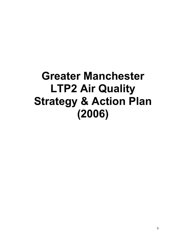## **Greater Manchester LTP2 Air Quality Strategy & Action Plan (2006)**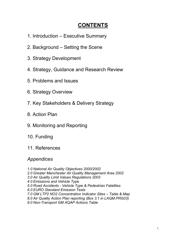## **CONTENTS**

- 1. Introduction Executive Summary
- 2. Background Setting the Scene
- 3. Strategy Development
- 4. Strategy, Guidance and Research Review
- 5. Problems and Issues
- 6. Strategy Overview
- 7. Key Stakeholders & Delivery Strategy
- 8. Action Plan
- 9. Monitoring and Reporting
- 10. Funding
- 11. References

### *Appendices*

*1.0 National Air Quality Objectives 2000/2002 2.0 Greater Manchester Air Quality Management Area 2002 3.0 Air Quality Limit Values Regulations 2003 4.0 Emissions and Vehicle Type 5.0 Road Accidents - Vehicle Type & Pedestrian Fatalities 6.0 EURO Standard Emission Tests 7.0 GM LTP2 NO2 Concentration Indicator Sites – Table & Map 8.0 Air Quality Action Plan reporting (Box 3.1 in LAQM.PRG03) 9.0 Non-Transport GM AQAP Actions Table*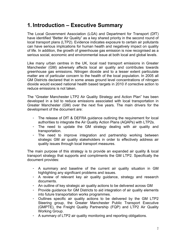## **1. Introduction – Executive Summary**

The Local Government Association (LGA) and Department for Transport (DfT) have identified "Better Air Quality" as a key shared priority in the second round of local transport plans (LTP2). Evidence indicates exposure to certain air pollutants can have serious implications for human health and negatively impact on quality of life. In addition, the growth of greenhouse gas emission is now recognised as a serious social, economic and environmental issue at both local and global levels.

Like many urban centres in the UK, local road transport emissions in Greater Manchester (GM) adversely affects local air quality and contributes towards greenhouse gas emissions. Nitrogen dioxide and to a lesser extent particulate matter are of particular concern to the health of the local population. In 2005 all GM Districts declared that in some areas ground level concentrations of nitrogen dioxide would exceed national health based targets in 2010 if corrective action to reduce emissions is not taken.

The "Greater Manchester LTP2 Air Quality Strategy and Action Plan" has been developed in a bid to reduce emissions associated with local transportation in Greater Manchester (GM) over the next five years. The main drivers for the development of the document are:

- The release of DfT & DEFRA guidance outlining the requirement for local authorities to integrate the Air Quality Action Plans (AQAPs) with LTP2s.
- The need to update the GM strategy dealing with air quality and transportation.
- The need to improve integration and partnership working between strategic GM air quality stakeholders in order to effectively address air quality issues through local transport measures.

The main purpose of this strategy is to provide an expanded air quality & local transport strategy that supports and compliments the GM LTP2. Specifically the document provides:

- A summary and baseline of the current air quality situation in GM highlighting any significant problems and issues.
- A review of relevant key air quality guidance, strategy and research documents.
- An outline of key strategic air quality actions to be delivered across GM
- Provide guidance for GM Districts to aid integration of air quality elements into future transportation works programmes.
- Outlines specific air quality actions to be delivered by the GM LTP2 Steering group, the Greater Manchester Public Transport Executive (GMPTE), the Freight Quality Partnership (FQP) and LTP2 Air Quality Working Group.
- A summary of LTP2 air quality monitoring and reporting obligations.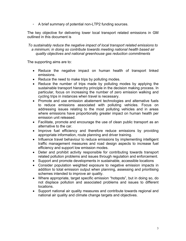- A brief summary of potential non-LTP2 funding sources.

The key objective for delivering lower local transport related emissions in GM outlined in this document is

*To sustainably reduce the negative impact of local transport related emissions to a minimum; in doing so contribute towards meeting national health based air quality objectives and national greenhouse gas reduction commitments* 

The supporting aims are to:

- Reduce the negative impact on human health of transport linked emissions.
- Reduce the need to make trips by polluting modes.
- Reduce the number of trips made by polluting modes by applying the sustainable transport hierarchy principle in the decision making process. In particular, focus on increasing the number of zero emission walking and cycling trips in instances when travel is necessary.
- Promote and use emission abatement technologies and alternative fuels to reduce emissions associated with polluting vehicles. Focus on addressing issues relating to the most polluting vehicles and in areas where emissions have proportionally greater impact on human health per emission unit released.
- Facilitate, promote and encourage the use of clean public transport as an alternative to the car.
- Improve fuel efficiency and therefore reduce emissions by providing appropriate information, route planning and driver training.
- Influence travel behaviour to reduce emissions by implementing intelligent traffic management measures and road design aspects to increase fuel efficiency and support low emission modes.
- Deter and prohibit activity responsible for contributing towards transport related pollution problems and issues through regulation and enforcement.
- Support and promote developments in sustainable, accessible locations
- Consider population weighted exposure to negative emission impacts in addition to total emission output when planning, assessing and prioritising schemes intended to improve air quality.
- Where appropriate, target specific emission "hotspots", but in doing so, do not displace pollution and associated problems and issues to different locations.
- Support national air quality measures and contribute towards regional and national air quality and climate change targets and objectives.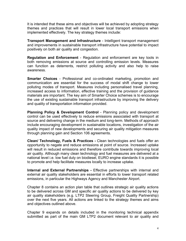It is intended that these aims and objectives will be achieved by adopting strategy themes and practices that will result in lower local transport emissions when implemented effectively. The key strategy themes include:

**Transport Management and Infrastructure** - Intelligent transport management and improvements in sustainable transport infrastructure have potential to impact positively on both air quality and congestion.

**Regulation and Enforcement** - Regulation and enforcement are key tools in both removing emissions at source and controlling emission levels. Measures can function as deterrents, restrict polluting activity and also help to raise awareness.

**Smarter Choices** - Professional and co-ordinated marketing, promotion and communication are essential for the success of modal shift change to lower polluting modes of transport. Measures including personalised travel planning, increased access to information, effective training and the provision of guidance materials are important. The key aim of Smarter Choice schemes is to encourage the use of existing sustainable transport infrastructure by improving the delivery and quality of transportation information provided.

**Planning Policy & Development Control** - Planning policy and development control can be used effectively to reduce emissions associated with transport at source and delivering change in the medium and long-term. Methods of approach include encouraging development in sustainable locations, investigation of the air quality impact of new developments and securing air quality mitigation measures through planning gain and Section 106 agreements.

**Clean/ Technology, Fuels & Practices -** Clean technologies and fuels offer an opportunity to negate and reduce emissions at point of source. Increased uptake will result in reduced emissions and therefore contribute towards improving local air quality. Although many clean technology and fuel measures are delivered at a national level i.e. low fuel duty on biodiesel, EURO engine standards it is possible to promote and help facilitate measures locally to increase uptake.

**Internal and External Partnerships -** Effective partnerships with internal and external air quality stakeholders are essential in efforts to lower transport related emissions, in particular the Highways Agency and Manchester Airport.

Chapter 8 contains an action plan table that outlines strategic air quality actions to be delivered across GM and specific air quality actions to be delivered by key air quality stakeholders (e.g. LTP2 Steering Group, Freight Quality Partnership) over the next five years. All actions are linked to the strategy themes and aims and objectives outlined above.

Chapter 9 expands on details included in the monitoring technical appendix submitted as part of the main GM LTP2 document relevant to air quality and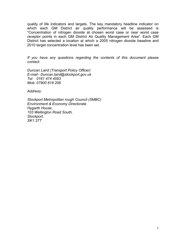quality of life indicators and targets. The key mandatory headline indicator on which each GM District air quality performance will be assessed is "Concentration of nitrogen dioxide at chosen worst case or near worst case receptor points in each GM District Air Quality Management Area". Each GM District has selected a location at which a 2005 nitrogen dioxide baseline and 2010 target concentration level has been set.

*If you have any questions regarding the contents of this document please contact:*

*Duncan Laird (Transport Policy Officer) E-mail - Duncan.laird@stockport.gov.uk Tel 0161 474 4593 Mob: 07800 618 206* 

*Address:* 

*Stockport Metropolitan rough Council (SMBC) Environment & Economy Directorate Hygarth House, 103 Wellington Road South, Stockport, SK1 3TT*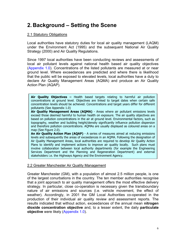## **2. Background – Setting the Scene**

#### 2.1 Statutory Obligations

Local authorities have statutory duties for local air quality management (LAQM) under the Environment Act (1995) and the subsequent National Air Quality Strategy (2000) and Air Quality Regulations.

Since 1997 local authorities have been conducting reviews and assessments of local air pollutant levels against national health based air quality objectives (Appendix 1.0). Concentrations of the listed pollutants are measured at or near ground level. Where exceedances are predicted and where there is likelihood that the public will be exposed to elevated levels, local authorities have a duty to declare Air Quality Management Areas (AQMA) and produce an Air Quality Action Plan (AQAP).

**Air Quality Objectives –** Health based targets relating to harmful air pollution concentrations at ground level. Objectives are linked to target dates when certain safe concentration levels should be achieved. Concentrations and target years differ for different pollutants (See Appendix 1.0)

**Air Quality Management Areas (AQMA)** - Areas where air pollutant emissions levels exceed those deemed harmful to human health on exposure. The air quality objectives are based on pollution concentrations in the air at ground level. Environmental factors, such as topography, weather and building height/density significantly influence pollution dispersion and therefore pollution concentrations. AQMAs are usually displayed as coloured areas on a map (See Figure 2.0).

**An Air Quality Action Plan (AQAP)** - A series of measures aimed at reducing emissions levels and subsequently the areas of exceedances in an AQMA. Following the designation of Air Quality Management Areas, local authorities are required to develop Air Quality Action Plans to identify and implement actions to improve air quality locally. Such plans must involve collaboration between local authority departments (for example the Engineering Services Department and the Planning and Regeneration Department) and external stakeholders i.e. the Highways Agency and the Environment Agency.

#### 2.2 Greater Manchester Air Quality Management

Greater Manchester (GM), with a population of almost 2.5 million people, is one of the largest conurbations in the country. The ten member authorities recognise that a joint approach to air quality management offers the most effective delivery strategy. In particular, close co-operation is necessary given the transboundary nature of air emissions and sources (i.e. vehicle movement, the effect of weather). Accordingly, in 2001 the GM Local Authorities co-operated in the production of their individual air quality review and assessment reports. The results indicated that without action, exceedances of the annual mean **nitrogen dioxide concentration objective** and, to a lesser extent, the daily **particulate objective** were likely (Appendix 1.0).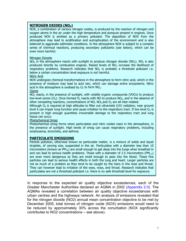#### **NITROGEN OXIDES (NO<sub>x</sub>)**

NOX, a combination of various nitrogen oxides, is produced by the reaction of nitrogen and oxygen atoms in the air under the high temperature and pressure present in engines. Once produced NOX is emitted as a primary pollutant. The deposition of NOX from the atmosphere may lead to acidification and eutrophication of the environment and is also believed to aggravate asthmatic conditions. In the atmosphere NOX is subject to a complex series of chemical reactions, producing secondary pollutants (see below), which can be even more harmful.

#### Nitrogen Dioxide

 $NO<sub>x</sub>$  in the atmosphere reacts with sunlight to produce nitrogen dioxide ( $NO<sub>2</sub>$ ). NO<sub>2</sub> is also produced directly by combustion engines. Raised levels of  $NO<sub>2</sub>$  increase the likelihood of respiratory problems. Research indicates that  $NO<sub>2</sub>$  is probably a threshold pollutant i.e. below a certain concentration level exposure is not harmful.

#### Nitric Acid

NOX undergoes chemical transformations in the atmosphere to form nitric acid, which in the presence of moisture may lead to acid rain, which can damage entire ecosystems. Nitric acid in the atmosphere is oxidised by  $O_3$  to form  $NO_2$ .

#### **Ozone**

 $NO<sub>2</sub>$  reacts, in the presence of sunlight, with volatile organic compounds (VOCs) to produce low-level ozone  $(O_3)$ . Once formed  $O_3$  reacts with NO to produce NO<sub>2</sub>, and in the absence of other competing reactions, concentrations of NO,  $NO<sub>2</sub>$  and  $O<sub>3</sub>$  are all inter-related.

Although  $O_3$  is required at high altitudes to filter out ultraviolet (UV) radiation, near ground level it can impair lung function and cause irritation to the respiratory tract. If low level  $O_3$  is present in high enough quantities irreversible damage to the respiratory tract and lung tissue can occur.

#### Photochemical Smog

Photochemical smog forms when particulates and nitric oxides react in the atmosphere, in the presence of sunlight. High levels of smog can cause respiratory problems, including emphysema, bronchitis, and asthma.

#### **PARTICULATE EMISSIONS**

Particle pollution, otherwise known as particulate matter, is a mixture of solids and liquid droplets, of varying size, suspended in the air. Particulates with a diameter less than 10 micrometers (known as  $PM_{10}$ ) are small enough to get deep into the lungs when breathed in and can lead to serious health problems. Those with a diameter of 2.5 micrometers ( $PM_{2.5}$ ) are even more dangerous as they are small enough to pass into the blood. These fine particles can lead to serious health effects in both the lung and heart. Larger particles are not as much of a problem as they tend to be caught by the hairs in the nose and throat. They can however lead to irritation of the eyes, nose, and throat. Research indicates that particulates are not a threshold pollutant i.e. there is no safe threshold level for exposure.

In response to the expected air quality objective exceedances, each of the Greater Manchester Authorities declared an AQMA in 2002 (Appendix 2.0). The AQMAs revealed a correlation between air quality objective exceedances with urban centres and the highways network. An analysis of emissions revealed that for the nitrogen dioxide (NO2) annual mean concentration objective to be met by December 2005, total tonnes of nitrogen oxide (NOX) emissions would need to be reduced by approximately 30% across the conurbation (NOX significantly contributes to NO2 concentrations – see above).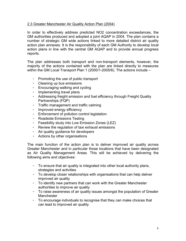#### 2.3 Greater Manchester Air Quality Action Plan (2004)

In order to effectively address predicted NO2 concentration exceedances, the GM authorities produced and adopted a joint AQAP in 2004. The plan contains a number of strategic GM wide actions linked to more detailed district air quality action plan annexes. It is the responsibility of each GM Authority to develop local action plans in line with the central GM AQAP and to provide annual progress reports.

The plan addresses both transport and non-transport elements, however, the majority of the actions contained with the plan are linked directly to measures within the GM Local Transport Plan 1 (2000/1-2005/6). The actions include -

- Promoting the use of public transport
- Cleaning up bus emissions
- Encouraging walking and cycling
- Implementing travel plans
- Addressing freight emission and fuel efficiency through Freight Quality Partnerships (FQP)
- Traffic management and traffic calming
- Improved energy efficiency
- Enforcement of pollution control legislation
- Roadside Emissions Testing
- Feasibility study into Low Emission Zones (LEZ)
- Review the regulation of taxi exhaust emissions
- Air quality guidance for developers
- Actions by other organisations

The main function of the action plan is to deliver improved air quality across Greater Manchester and in particular those locations that have been designated as Air Quality Management Areas. This will be achieved by delivering the following aims and objectives:

- To ensure that air quality is integrated into other local authority plans, strategies and activities
- To develop closer relationships with organisations that can help deliver improved air quality
- To identify new partners that can work with the Greater Manchester authorities to improve air quality
- To raise awareness of air quality issues amongst the population of Greater Manchester
- To encourage individuals to recognise that they can make choices that can lead to improved air quality.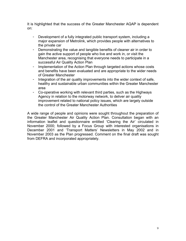It is highlighted that the success of the Greater Manchester AQAP is dependent on:

- Development of a fully integrated public transport system, including a major expansion of Metrolink, which provides people with alternatives to the private car
- Demonstrating the value and tangible benefits of cleaner air in order to gain the active support of people who live and work in, or visit the Manchester area, recognising that everyone needs to participate in a successful Air Quality Action Plan
- Implementation of the Action Plan through targeted actions whose costs and benefits have been evaluated and are appropriate to the wider needs of Greater Manchester
- Integration of the air quality improvements into the wider context of safe, healthy and sustainable urban communities within the Greater Manchester area
- Co-operative working with relevant third parties, such as the Highways Agency in relation to the motorway network, to deliver air quality improvement related to national policy issues, which are largely outside the control of the Greater Manchester Authorities

A wide range of people and opinions were sought throughout the preparation of the Greater Manchester Air Quality Action Plan. Consultation began with an information leaflet and questionnaire entitled 'Clearing the Air' circulated in November 2000; followed by a Focus Group with interested organisations in December 2001 and 'Transport Matters' Newsletters in May 2002 and in November 2003 as the Plan progressed. Comment on the final draft was sought from DEFRA and incorporated appropriately.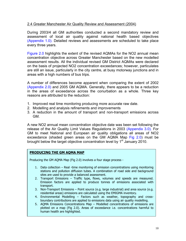#### 2.4 Greater Manchester Air Quality Review and Assessment (2004)

During 2003/4 all GM authorities conducted a second mandatory review and assessment of local air quality against national health based objectives (Appendix 1.0). Detailed reviews and assessments are scheduled to take place every three years.

Figure 2.0 highlights the extent of the revised AQMAs for the NO2 annual mean concentration objective across Greater Manchester based on the new modelled assessment results. All the individual revised GM District AQMAs were declared on the basis of projected NO2 concentration exceedances; however, particulates are still an issue, particularly in the city centre, at busy motorway junctions and in areas with a high numbers of bus trips.

A number of differences become apparent when comparing the extent of 2002 (Appendix 2.0) and 2005 GM AQMA. Generally, there appears to be a reduction in the areas of exceedance across the conurbation as a whole. Three key reasons are attributed to the reduction:

- 1. Improved real time monitoring producing more accurate raw date.
- 2. Modelling and analysis refinements and improvements
- 3. A reduction in the amount of transport and non-transport emissions across GM.

A new NO2 annual mean concentration objective date was been set following the release of the Air Quality Limit Values Regulations in 2003 (Appendix 3.0). For GM to meet National and European air quality obligations all areas of NO2 exceedance (shaded green areas on the GM AQMA Map Fig 2.0) must be brought below the target objective concentration level by 1<sup>st</sup> January 2010.

#### **PRODUCING THE GM AQMA MAP**

Producing the GM AQMA Map (Fig 2.0) involves a four stage process -

- 1. Data collection Real -time monitoring of emission concentrations using monitoring stations and pollution diffusion tubes. A combination of road side and background sites are used to provide a balanced assessment.
- 2. Transport Emissions Traffic type, flows, volumes and speeds are measured. Emission factors are applied to produce tonnes of emissions associated with transport.
- 3. Non-Transport Emissions Point source (e.g. large industrial) and area source (e.g. residential areas) emissions are calculated using the EMIGMA inventory.
- 4. Environmental Modelling Factors such as weather, topography and crossboundary contributions are applied to emissions data using air quality modelling.
- 5. AQMA Emissions Concentrations Map Modelled concentrations of emissions are plotted on a map (Fig 2.0). Areas of exceedance i.e. concentrations harmful to human health are highlighted.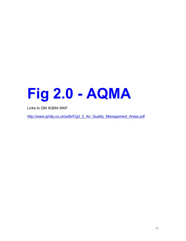# **Fig 2.0 - AQMA**

Links to GM AQMA MAP

http://www.gmltp.co.uk/pdfs/Fig3\_2\_Air\_Quality\_Management\_Areas.pdf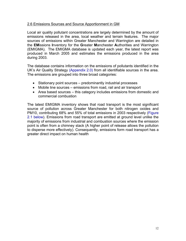#### 2.6 Emissions Sources and Source Apportionment in GM

Local air quality pollutant concentrations are largely determined by the amount of emissions released in the area, local weather and terrain features. The major sources of emissions within Greater Manchester and Warrington are detailed in the **EM**issions **I**nventory for the **G**reater **M**anchester **A**uthorities and Warrington (EMIGMA). The EMIGMA database is updated each year, the latest report was produced in March 2005 and estimates the emissions produced in the area during 2003.

The database contains information on the emissions of pollutants identified in the UK's Air Quality Strategy (Appendix 2.0) from all identifiable sources in the area. The emissions are grouped into three broad categories:

- Stationary point sources predominantly industrial processes
- Mobile line sources emissions from road, rail and air transport
- Area based sources this category includes emissions from domestic and commercial combustion

The latest EMIGMA inventory shows that road transport is the most significant source of pollution across Greater Manchester for both nitrogen oxides and PM10, contributing 68% and 55% of total emissions in 2003 respectively (Figure 2.1 below). Emissions from road transport are emitted at ground level unlike the majority of emissions from industrial and combustion sources where the emission point is often from a chimney stack (A higher point of release allows the pollution to disperse more effectively). Consequently, emissions form road transport has a greater direct impact on human health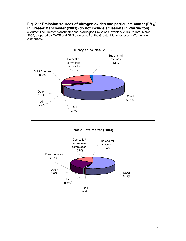Fig. 2.1: Emission sources of nitrogen oxides and particulate matter (PM<sub>10</sub>) **in Greater Manchester (2003) (do not include emissions in Warrington)**  (Source: The Greater Manchester and Warrington Emissions inventory 2003 Update, March 2005, prepared by CATE and GMTU on behalf of the Greater Manchester and Warrington Authorities)



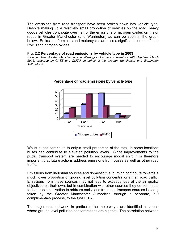The emissions from road transport have been broken down into vehicle type. Despite making up a relatively small proportion of vehicles on the road, heavy goods vehicles contribute over half of the emissions of nitrogen oxides on major roads in Greater Manchester (and Warrington) as can be seen in the graph below. Emissions from cars and motorcycles are also a significant source of both PM10 and nitrogen oxides.

#### **Fig. 2.2 Percentage of road emissions by vehicle type in 2003**

*(Source: The Greater Manchester and Warrington Emissions inventory 2003 Update, March 2005, prepared by CATE and GMTU on behalf of the Greater Manchester and Warrington Authorities)* 



Whilst buses contribute to only a small proportion of the total, in some locations buses can contribute to elevated pollution levels. Since improvements to the public transport system are needed to encourage modal shift, it is therefore important that future actions address emissions from buses as well as other road traffic.

Emissions from industrial sources and domestic fuel burning contribute towards a much lower proportion of ground level pollution concentrations than road traffic. Emissions from these sources may not lead to exceedances of the air quality objectives on their own, but in combination with other sources they do contribute to the problem. Action to address emissions from non-transport sources is being taken by the Greater Manchester Authorities through a separate, but complimentary process, to the GM LTP2.

The major road network, in particular the motorways, are identified as areas where ground level pollution concentrations are highest. The correlation between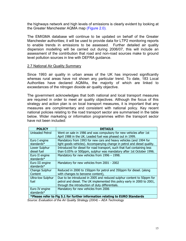the highways network and high levels of emissions is clearly evident by looking at the Greater Manchester AQMA map (Figure 2.0).

The EMIGMA database will continue to be updated on behalf of the Greater Manchester authorities; it will be used to provide data for LTP2 monitoring reports to enable trends in emissions to be assessed. Further detailed air quality dispersion modelling will be carried out during 2006/07, this will include an assessment of the contribution that road and non-road sources make to ground level pollution sources in line with DEFRA guidance.

#### 2.7 National Air Quality Summary

Since 1993 air quality in urban areas of the UK has improved significantly whereas rural areas have not shown any particular trend. To date, 183 Local Authorities have declared AQMAs, the majority of which are linked to exceedances of the nitrogen dioxide air quality objective.

The government acknowledges that both national and local transport measures are required in order to meet air quality objectives. Although the focus of this strategy and action plan is on local transport measures, it is important that any measures are complimentary and consistent with national policy. Key recent national policies relating to the road transport sector are summarised in the table below. Wider marketing or information programmes within the transport sector have not been included:

| <b>POLICY</b>                                                                | <b>DETAILS</b>                                                           |  |  |
|------------------------------------------------------------------------------|--------------------------------------------------------------------------|--|--|
| <b>Unleaded Petrol</b>                                                       | Went on sale in 1986 and was compulsory for new vehicles after 1st       |  |  |
|                                                                              | April 1988 in the UK. Leaded fuel was phased out in 1999.                |  |  |
| Euro I engine                                                                | Mandatory from 1993 for new cars and heavy vehicles (and 1994 for        |  |  |
| standards*                                                                   | light goods vehicles). Accompanying change in petrol and diesel quality. |  |  |
| Lower Sulphur                                                                | Introduced for diesel for road transport, such that fuel containing less |  |  |
| diesel fuel                                                                  | than 0.05% or 500ppm, sulphur was mandatory after 1st October 1996.      |  |  |
| Euro II engine                                                               | Mandatory for new vehicles from 1996 - 1998.                             |  |  |
| standards*                                                                   |                                                                          |  |  |
| Euro III engine                                                              | Mandatory for new vehicles from 2001 - 2002                              |  |  |
| standards $*$                                                                |                                                                          |  |  |
| Change Sulphur                                                               | Reduced in 2000 to 150ppm for petrol and 350ppm for diesel. (along       |  |  |
| Content                                                                      | with changes to benzene content),                                        |  |  |
| <b>Ultra-low Sulphur</b>                                                     | Due to be introduced in 2005 and reduced sulphur content to 50ppm for    |  |  |
| fuel                                                                         | petrol and diesel. The UK implemented this policy early in 2000 to 2001, |  |  |
|                                                                              | through the introduction of duty differentials.                          |  |  |
| Euro IV engine                                                               | Mandatory for new vehicles from 2006                                     |  |  |
| standards*                                                                   |                                                                          |  |  |
| *Plazee refer to Eig 5.1 for further information relating to FLIPO Standards |                                                                          |  |  |

**\*Please refer to Fig 5.1 for further information relating to EURO Standards**  *Source: Evaluation of the Air Quality Strategy (2004) – AEA Technology*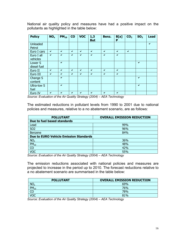National air quality policy and measures have had a positive impact on the pollutants as highlighted in the table below:

| <b>Policy</b>   | NO <sub>x</sub> | $PM_{10}$ | $\mathbf{CO}$ | <b>VOC</b>   | 1,3<br><b>But</b> | Benz.        | B[a]<br>P    | CO <sub>2</sub> | SO <sub>2</sub> | <b>Lead</b> |
|-----------------|-----------------|-----------|---------------|--------------|-------------------|--------------|--------------|-----------------|-----------------|-------------|
| <b>Unleaded</b> |                 |           |               |              |                   |              |              |                 |                 | ✔           |
| Petrol          |                 |           |               |              |                   |              |              |                 |                 |             |
| Euro I cars     | v               | ✔         | $\checkmark$  | $\checkmark$ | $\checkmark$      | $\checkmark$ | $\checkmark$ | $\checkmark$    |                 |             |
| Euro I all      | ✔               | ✔         | $\checkmark$  | $\checkmark$ | $\checkmark$      | ✔            | $\checkmark$ |                 |                 |             |
| vehicles        |                 |           |               |              |                   |              |              |                 |                 |             |
| Lower S         |                 | ✔         |               |              |                   |              |              |                 | $\checkmark$    |             |
| diesel fuel     |                 |           |               |              |                   |              |              |                 |                 |             |
| Euro II         | ✔               | ✔         | $\checkmark$  | $\checkmark$ | $\checkmark$      | $\checkmark$ | $\checkmark$ |                 |                 |             |
| Euro III        | $\checkmark$    | ✔         | $\checkmark$  | $\checkmark$ | ✓                 | ✔            | $\checkmark$ |                 |                 |             |
| Change S        |                 | ✔         |               |              |                   |              |              |                 | $\checkmark$    |             |
| content         |                 |           |               |              |                   |              |              |                 |                 |             |
| Ultra-low S     |                 | ✔         |               |              |                   |              |              |                 | $\checkmark$    |             |
| fuel            |                 |           |               |              |                   |              |              |                 |                 |             |
| Euro IV         | $\checkmark$    | ✓         | ✔             | ✔            | ✔                 | ✔            | v            |                 |                 |             |

*Source: Evaluation of the Air Quality Strategy (2004) – AEA Technology* 

The estimated reductions in pollutant levels from 1990 to 2001 due to national policies and measures, relative to a no abatement scenario, are as follows:

| <b>POLLUTANT</b>                              | <b>OVERALL EMISSION REDUCTION</b> |  |  |
|-----------------------------------------------|-----------------------------------|--|--|
| Due to fuel based standards                   |                                   |  |  |
| Lead                                          | 99%                               |  |  |
| <b>SO2</b>                                    | 96%                               |  |  |
| Benzene                                       | 84%                               |  |  |
| <b>Due to EURO Vehicle Emission Standards</b> |                                   |  |  |
| $NO_{x}$                                      | 36%                               |  |  |
| $PM_{10}$                                     | 48%                               |  |  |
| CO                                            | 42%                               |  |  |
| <b>VOC</b>                                    | 55%                               |  |  |

*Source: Evaluation of the Air Quality Strategy (2004) – AEA Technology* 

The emission reductions associated with national policies and measures are projected to increase in the period up to 2010. The forecast reductions relative to a no abatement scenario are summarised in the table below:

| <b>POLLUTANT</b> | <b>OVERALL EMISSION REDUCTION</b> |
|------------------|-----------------------------------|
| NO <sub>x</sub>  | 69%                               |
| $PM_{10}$        | 76%                               |
| r٢               | 78%                               |
| <b>VOC</b>       | 81%                               |

*Source: Evaluation of the Air Quality Strategy (2004) – AEA Technology*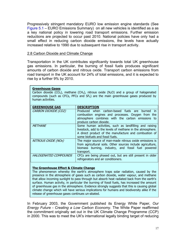Progressively stringent mandatory EURO low emission engine standards (See Figure 5.1 – EURO Emissions Summary) on all new vehicles is identified as a as a key national policy in lowering road transport emissions. Further emission reductions are projected to occur past 2010. National policies have only had a small effect in reducing carbon dioxide emissions, the levels have actually increased relative to 1990 due to subsequent rise in transport activity.

#### 2.8 Carbon Dioxide and Climate Change

Transportation in the UK contributes significantly towards total UK greenhouse gas emissions. In particular, the burning of fossil fuels produces significant amounts of carbon dioxide and nitrous oxide. Transport carbon emissions from road transport in the UK account for 24% of total emissions, and it is expected to rise by a further 9% by 2010.

| <b>Greenhouse Gases</b><br>Carbon dioxide (CO <sub>2</sub> ), methane (CH <sub>4</sub> ), nitrous oxide (N <sub>2</sub> O) and a group of halogenated<br>compounds (such as CFCs, PFCs and $SF6$ ) are the main greenhouse gases produced by<br>human activities. |                                                                                                                                                                                                                  |  |  |
|-------------------------------------------------------------------------------------------------------------------------------------------------------------------------------------------------------------------------------------------------------------------|------------------------------------------------------------------------------------------------------------------------------------------------------------------------------------------------------------------|--|--|
| <b>GREENHOUSE GAS</b>                                                                                                                                                                                                                                             | <b>DESCRIPTION</b>                                                                                                                                                                                               |  |  |
| CARBON DIOXIDE (CO2)                                                                                                                                                                                                                                              | Produced when carbon-based fuels are burned in<br>combustion engines and processes. Oxygen from the<br>atmosphere combines with the carbon emissions to<br>produce carbon dioxide.                               |  |  |
| <b>METHANE</b>                                                                                                                                                                                                                                                    | Some human activities, such as landfilling and raising<br>livestock, add to the levels of methane in the atmosphere.<br>A direct product of the manufacture and combustion of<br>some biofuels and fossil fuels. |  |  |
| NITROUS OXIDE (NOx)                                                                                                                                                                                                                                               | The major source of man-made nitrous oxide emissions is<br>from agricultural soils. Other sources include agriculture,<br>biomass burning, industry, and fossil fuel powered<br>transport.                       |  |  |
| HALOGENATED COMPOUNDS                                                                                                                                                                                                                                             | CFCs are being phased out, but are still present in older<br>refrigerators and air conditioners.                                                                                                                 |  |  |

#### **The Greenhouse Effect & Climate Change**

The phenomenon whereby the earth's atmosphere traps solar radiation, caused by the presence in the atmosphere of gases such as carbon dioxide, water vapour, and methane that allow incoming sunlight to pass through but absorb heat radiated back from the earth's surface. Human activity, in particular the burning of fossil fuels, has increased the amount of greenhouse gas in the atmosphere. Evidence strongly suggests that this is causing global climate change which will have serious implications for humans and biodiversity alike if the release of greenhouse gases continues un-abated.

In February 2003, the Government published its Energy White Paper, *Our Energy Future - Creating a Low Carbon Economy*. The White Paper reaffirmed the commitment originally set out in the UK Climate Change Programme (CCP) in 2000. This was to meet the UK's international legally binding target of reducing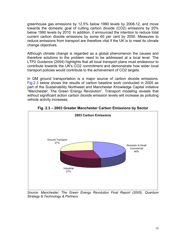greenhouse gas emissions by 12.5% below 1990 levels by 2008-12, and move towards the domestic goal of cutting carbon dioxide (CO2) emissions by 20% below 1990 levels by 2010. In addition, it announced the intention to reduce total current carbon dioxide emissions by some 60 per cent by 2050. Measures to reduce emissions from transport are therefore vital if the UK is to meet its climate change objectives.

Although climate change is regarded as a global phenomenon the causes and therefore solutions to the problem need to be addressed at a local level. The LTP2 Guidance (2004) highlights that all local transport plans must endeavour to contribute towards the UK's CO2 commitment and demonstrate how wider local transport policies would contribute to the achievement of CO2 targets.

In GM ground transportation is a major source of carbon dioxide emissions. Fig.2.3 below shows the results of carbon baseline work conducted in 2005 as part of the Sustainability Northwest and Manchester Knowledge Capital initiative "Manchester: The Green Energy Revolution". Transport modeling reveals that without significant action carbon dioxide emission levels will increase as polluting vehicle activity increases.



**Fig. 2.3 – 2003 Greater Manchester Carbon Emissions by Sector** 

*Source: Manchester: The Green Energy Revolution Final Report (2005). Quantum Strategy & Technology & Partners*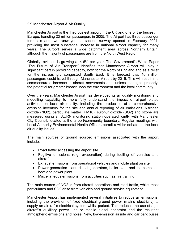#### 2.9 Manchester Airport & Air Quality

Manchester Airport is the third busiest airport in the UK and one of the busiest in Europe, handling 23 million passengers in 2005. The Airport has three passenger terminals and two runways; the second runway opened in February 2001, providing the most substantial increase in national airport capacity for many years. The Airport serves a wide catchment area across Northern Britain, although the majority of passengers are from the North West Region.

Globally, aviation is growing at 4-6% per year. The Government's White Paper "The Future of Air Transport" identifies that Manchester Airport will play a significant part in providing capacity, both for the North of England and as a relief for the increasingly congested South East. It is forecast that 40 million passengers could travel through Manchester Airport by 2015. This will result in a commensurate increase in aircraft movements and, unless managed properly, the potential for greater impact upon the environment and the local community.

Over the years, Manchester Airport has developed its air quality monitoring and modelling capability to more fully understand the impact of airport-related activities on local air quality, including the production of a comprehensive emission inventory for the site and annual reporting of air emissions. Nitrogen dioxide (NO2), particulate matter (PM10), sulphur dioxide (SO2) and ozone are measured using an AURN monitoring station operated jointly with Manchester City Council, located at the airport/community boundary. Regular meetings with Local Authority Environmental Health Officers permit a wider debate on the local air quality issues.

The main sources of ground sourced emissions associated with the airport include:

- Road traffic accessing the airport site.
- Fugitive emissions (e.g. evaporation) during fuelling of vehicles and aircraft.
- Exhaust emissions from operational vehicles and mobile plant on site.
- Power generation plant: diesel generators, boiler plant and the combined heat and power plant.
- Miscellaneous emissions from activities such as fire training.

The main source of NO2 is from aircraft operations and road traffic, whilst most particulates and SO2 arise from vehicles and ground service equipment.

Manchester Airport has implemented several initiatives to reduce air emissions, including the provision of fixed electrical ground power (mains electricity) to supply an aircraft's electrical system whilst parked. This reduces the use of a jet aircraft's auxiliary power unit or mobile diesel generator and the resultant atmospheric emissions and noise. New, low-emission airside and car park buses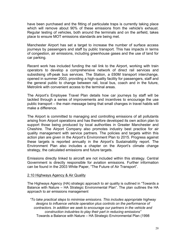have been purchased and the fitting of particulate traps is currently taking place which will remove about 90% of these emissions from the vehicle's exhaust. Regular testing of vehicles, both around the terminals and on the airfield, takes place to ensure MOT emissions standards are being met.

Manchester Airport has set a target to increase the number of surface access journeys by passengers and staff by public transport. This has impacts in terms of congestion, air emissions, including greenhouse gases and the use of land for car parking.

Recent work has included funding the rail link to the Airport, working with train operators to develop a comprehensive network of direct rail services and subsidising off-peak bus services. The Station, a £60M transport interchange, opened in summer 2003, providing a high-quality facility for passengers, staff and the general public to change between rail, local bus, coach and in the future, Metrolink with convenient access to the terminal areas.

The Airport's Employee Travel Plan details how car journeys by staff will be tackled through a series of improvements and incentives to encourage the use public transport – the main message being that small changes in travel habits will make a difference.

The Airport is committed to managing and controlling emissions of all pollutants arising from Airport operations and has therefore developed its own action plan to support those being produced by local authorities in Greater Manchester and Cheshire. The Airport Company also promotes industry best practice for air quality management with service partners. The policies and targets within this action plan are given in the Airport's Environment Plan to 2015. Progress against these targets is reported annually in the Airport's Sustainability report. The Environment Plan also includes a chapter on the Airport's climate change strategy, the calculated emissions and future targets.

Emissions directly linked to aircraft are not included within this strategy. Central Government is directly responsible for aviation emissions. Further information can be found in the 2003 White Paper, "The Future of Air Transport".

#### 2.10 Highways Agency & Air Quality

The Highways Agency (HA) strategic approach to air quality is outlined in "Towards a Balance with Nature – HA Strategic Environmental Plan". The plan outlines the HA approach to air emissions management

*"To take practical steps to minimise emissions. This includes appropriate highway designs to influence vehicle operation plus controls on the performance of contractors. In addition we seek to encourage our partners in the vehicle and construction industries to play their part in reducing emissions"*  Towards a Balance with Nature – HA Strategic Environmental Plan (1998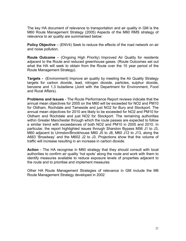The key HA document of relevance to transportation and air quality in GM is the M60 Route Management Strategy (2005) Aspects of the M60 RMS strategy of relevance to air quality are summarised below:

**Policy Objective** – (ENV4) Seek to reduce the effects of the road network on air and noise pollution.

**Route Outcome** – (Ongoing High Priority) Improved Air Quality for residents adjacent to the Route and reduced greenhouse gases. (Route Outcomes set out what the HA will seek to obtain from the Route over the 10 year period of the Route Management Strategy).

**Targets** - (Environment) Improve air quality by meeting the Air Quality Strategy targets for carbon dioxide, lead, nitrogen dioxide, particles, sulphur dioxide, benzene and 1,3 butadiene (Joint with the Department for Environment, Food and Rural Affairs).

**Problems and Issues** - The Route Performance Report reviews indicate that the annual mean objectives for 2005 on the M60 will be exceeded for NO2 and PM10 for Oldham, Rochdale and Tameside and just NO2 for Bury and Stockport. The annual mean objectives for 2010 are likely to be exceeded for NO2 and PM10 for Oldham and Rochdale and just NO2 for Stockport. The remaining authorities within Greater Manchester through which the route passes are expected to follow a similar trend with exceedances of both NO2 and PM10 in 2005 and 2010. In particular, the report highlighted issues through Sharston Bypass M56 J1 to J3, M60 adjacent to Urmston/Brookhouse M60 J5 to J8, M60 J12 to J13, along the A663 'Broadway' and the M602 J2 to J3. Projections show that the volume of traffic will increase resulting in an increase in carbon dioxide.

**Action** - The HA recognise in M60 strategy that they should consult with local authorities to confirm air quality 'hot spots' along the route and work with them to identify measures available to reduce exposure levels of properties adjacent to the route and to prioritise and implement measures

Other HA Route Management Strategies of relevance in GM include the M6 Route Management Strategy developed in 2002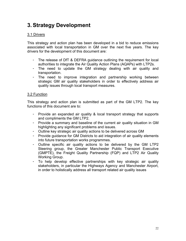## **3. Strategy Development**

#### 3.1 Drivers

This strategy and action plan has been developed in a bid to reduce emissions associated with local transportation in GM over the next five years. The key drivers for the development of this document are:

- The release of DfT & DEFRA guidance outlining the requirement for local authorities to integrate the Air Quality Action Plans (AQAPs) with LTP2s.
- The need to update the GM strategy dealing with air quality and transportation.
- The need to improve integration and partnership working between strategic GM air quality stakeholders in order to effectively address air quality issues through local transport measures.

#### 3.2 Function

This strategy and action plan is submitted as part of the GM LTP2. The key functions of this document are to:

- Provide an expanded air quality & local transport strategy that supports and compliments the GM LTP2.
- Provide a summary and baseline of the current air quality situation in GM highlighting any significant problems and issues.
- Outline key strategic air quality actions to be delivered across GM
- Provide guidance for GM Districts to aid integration of air quality elements into future transportation works programmes.
- Outline specific air quality actions to be delivered by the GM LTP2 Steering group, the Greater Manchester Public Transport Executive (GMPTE), the Freight Quality Partnership (FQP) and LTP2 Air Quality Working Group.
- To help develop effective partnerships with key strategic air quality stakeholders, in particular the Highways Agency and Manchester Airport, in order to holistically address all transport related air quality issues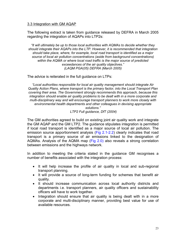#### 3.3 Integration with GM AQAP

The following extract is taken from guidance released by DEFRA in March 2005 regarding the integration of AQAPs into LTP2s:

*"It will ultimately be up to those local authorities with AQMAs to decide whether they should integrate their AQAPs into the LTP. However, it is recommended that integration should take place, where, for example, local road transport is identified as a major source of local air pollution concentrations (aside from background concentrations) within the AQMA or where local road traffic is the major source of predicted exceedances of the air quality objectives." (LAQM PGA(05) DEFRA (March 2005)* 

The advice is reiterated in the full guidance on LTPs:

*"Local authorities responsible for local air quality management should integrate Air Quality Action Plans, where transport is the primary factor, into the Local Transport Plan covering their area. The Government strongly recommends this approach, because this integration should enable air quality problems to be dealt with in a more corporate and multi-disciplinary way and will encourage transport planners to work more closely with environmental health departments and other colleagues in devising appropriate solutions."* 

 *LTP2 Full guidance, DfT (2004)* 

The GM authorities agreed to build on existing joint air quality work and integrate the GM AQAP and the GM LTP2. The guidance stipulates integration is permitted if local road transport is identified as a major source of local air pollution. The emission source apportionment analysis (Fig 2.1-2.2) clearly indicates that road transport is a primary source of air emissions linked to the designation of AQMAs. Analysis of the AQMA map (Fig 2.0) also reveals a strong correlation between emissions and the highways network.

In addition to meeting the criteria stated in the guidance GM recognises a number of benefits associated with the integration process:

- It will help increase the profile of air quality in local and sub-regional transport planning.
- It will provide a source of long-term funding for schemes that benefit air quality.
- It should increase communication across local authority districts and departments i.e. transport planners, air quality officers and sustainability officers will have to work together.
- Integration should ensure that air quality is being dealt with in a more corporate and multi-disciplinary manner, providing best value for use of available resources.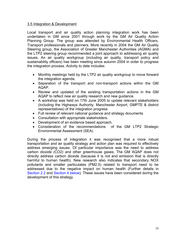#### 3.5 Integration & Development

Local transport and air quality action planning integration work has been undertaken in GM since 2001 through work by the GM Air Quality Action Planning Group. The group was attended by Environmental Health Officers, Transport professionals and planners. More recently in 2004 the GM Air Quality Steering group, the Association of Greater Manchester Authorities (AGMA) and the LTP2 steering group recommended a joint approach to addressing air quality issues. An air quality workgroup (including air quality, transport policy and sustainability officers) has been meeting since autumn 2004 in order to progress the integration process. Activity to date includes:

- Monthly meetings held by the LTP2 air quality workgroup to move forward the integration agenda.
- Separation of the transport and non-transport actions within the GM AQAP.
- Review and updated of the existing transportation actions in the GM AQAP to reflect new air quality research and new guidance.
- A workshop was held on 17th June 2005 to update relevant stakeholders (including the Highways Authority, Manchester Airport, GMPTE & district representatives) of the integration progress
- Full review of relevant national guidance and strategy documents
- Consultation with appropriate stakeholders.
- Development of an evidence based approach.
- Consideration of the recommendations of the GM LTP2 Strategic Environmental Assessment (SEA)

During the process of integration it was recognised that a more robust transportation and air quality strategy and action plan was required to effectively address emerging issues. Of particular importance was the need to address carbon dioxide (CO2) and other greenhouse gases. The GM AQAP does not directly address carbon dioxide (because it is not and emission that is directly harmful to human health). New research also indicates that secondary NOX pollutants and smaller particulates (PM2.5) related to transport need to be addressed due to the negative impact on human health (Further details in Section 2.2 and Section 4 below). These issues have been considered during the development of this strategy.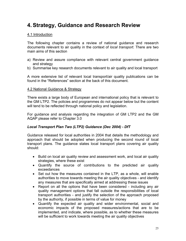## **4. Strategy, Guidance and Research Review**

#### 4.1 Introduction

The following chapter contains a review of national guidance and research documents relevant to air quality in the context of *local transport.* There are two main aims of this section

- a) Review and assure compliance with relevant central government guidance and strategy
- b) Summarise key research documents relevant to air quality and local transport

A more extensive list of relevant local transport/air quality publications can be found in the "References" section at the back of this document.

#### 4.2 National Guidance & Strategy

There exists a large body of European and international policy that is relevant to the GM LTP2. The policies and programmes do not appear below but the content will tend to be reflected through national policy and legislation.

For guidance and analysis regarding the integration of GM LTP2 and the GM AQAP please refer to Chapter 3.0

#### *Local Transport Plan Two (LTP2) Guidance (Dec 2004) - DfT*

Guidance released for local authorities in 2004 that details the methodology and approach that should be adopted when producing the second round of local transport plans. The guidance states local transport plans covering air quality should:

- Build on local air quality review and assessment work, and local air quality strategies, where these exist
- Quantify the source of contributions to the predicted air quality exceedances
- Set out how the measures contained in the LTP, as a whole, will enable authorities to move towards meeting the air quality objectives - and identify any measures that are specifically aimed at addressing these issues
- Report on all the options that have been considered including any air quality management options that fall outside the responsibilities of local transport authorities - and justify the selection of the approach proposed by the authority, if possible in terms of value for money
- Quantify the expected air quality and wider environmental, social and economic impacts of the proposed measures/actions that are to be implemented, and indicate, where possible, as to whether these measures will be sufficient to work towards meeting the air quality objectives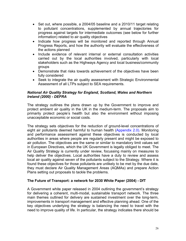- Set out, where possible, a 2004/05 baseline and a 2010/11 target relating to pollutant concentrations, supplemented by annual trajectories for progress against targets for intermediate outcomes (see below for further information) related to air quality objectives
- Indicate how progress will be monitored and reported through Annual Progress Reports, and how the authority will evaluate the effectiveness of the actions planned
- Include evidence of relevant internal or external consultation activities carried out by the local authorities involved, particularly with local stakeholders such as the Highways Agency and local business/community groups
- Demonstrate that risks towards achievement of the objectives have been fully considered
- Seek to integrate the air quality assessment with Strategic Environmental Assessment of all LTPs subject to SEA requirements.

#### *National Air Quality Strategy for England, Scotland, Wales and Northern Ireland (2000) - DEFRA*

The strategy outlines the plans drawn up by the Government to improve and protect ambient air quality in the UK in the medium-term. The proposals aim to primarily protect people's health but also the environment without imposing unacceptable economic or social costs.

The strategy sets objectives for the reduction of ground-level concentrations of eight air pollutants deemed harmful to human health (Appendix 2.0). Monitoring and performance assessment against these objectives is conducted by local authorities in areas where people are regularly present and might be exposed to air pollution. The objectives are the same or similar to mandatory limit values set in European Directives, which the UK Government is legally obliged to meet. The Air Quality Strategy is currently under review, focussing mainly on measures to help deliver the objectives. Local authorities have a duty to review and assess local air quality against seven of the pollutants subject to the Strategy. Where it is found these objectives for those pollutants are unlikely to be met by the due date, they must declare Air Quality Management Areas (AQMAs) and prepare Action Plans setting out proposals to tackle the problems.

#### **The Future of Transport: a network for 2030 White Paper (2004) - DfT**

A Government white paper released in 2004 outlining the government's strategy for delivering a coherent, multi-modal, sustainable transport network. The three main themes outlined for delivery are sustained investment over the long-term, improvements in transport management and effective planning ahead. One of the key objectives underlying the strategy is balancing the need to travel with the need to improve quality of life. In particular, the strategy indicates there should be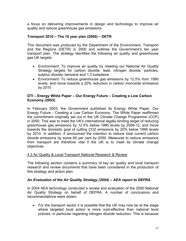a focus on delivering improvements in design and technology to improve air quality and reduce greenhouse gas emissions.

#### **Transport 2010 – The 10 year plan (2000) – DETR**

This document was produced by the Department of the Environment, Transport and the Regions (DETR) in 2000 and outlines the Government's ten year transport plan. The strategy identifies the following air quality and greenhouse gas UK targets:

- Environment: To improve air quality by meeting our National Air Quality Strategy targets for carbon dioxide, lead, nitrogen dioxide, particles, sulphur dioxide, benzene and 1,3 butadiene.
- Environment: To reduce greenhouse gas emissions by 12.5% from 1990 levels, and move towards a 20% reduction in carbon monoxide emissions by 2010

#### **DTI – Energy White Paper – Our Energy Future – Creating a Low Carbon Economy (2003)**

In February 2003, the Government published its Energy White Paper, Our Energy Future - Creating a Low Carbon Economy. The White Paper reaffirmed the commitment originally set out in the UK Climate Change Programme (CCP) in 2000. This was to meet the UK's international legally binding target of reducing greenhouse gas emissions by 12.5% below 1990 levels by 2008-12, and move towards the domestic goal of cutting CO2 emissions by 20% below 1990 levels by 2010. In addition, it announced the intention to reduce total current carbon dioxide emissions by some 60 per cent by 2050. Measures to reduce emissions from transport are therefore vital if the UK is to meet its climate change objectives.

#### 4.3 Air Quality & Local Transport National Research & Review

The following section contains a summary of key air quality and local transport research and review documents that have been considered in the production of this strategy and action plan:

#### *An Evaluation of the Air Quality Strategy (2004) – AEA report to DEFRA*

In 2004 AEA technology conducted a review and evaluation of the 2000 National Air Quality Strategy on behalf of DEFRA. A number of conclusions and recommendations were drawn:

• For the transport sector it is possible that the UK may now be at the stage where targeted local action is more cost-effective than national level policies, in particular regarding nitrogen dioxide reduction. This is because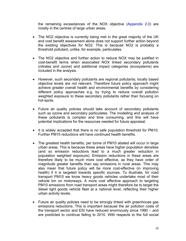the remaining exceedances of the NOX objective (Appendix 2.0) are mostly in the centres of large urban areas.

- The NO2 objective is currently being met in the great majority of the UK and cost benefit assessment alone does not support further action beyond the existing objectives for NO2. This is because NO2 is probably a threshold pollutant, unlike, for example, particulates.
- The NO2 objective and further action to reduce NOX may be justified in cost-benefit terms when associated NOX linked secondary pollutants (nitrates and ozone) and additional impact categories (ecosystems) are included in the analysis.
- However, such secondary pollutants are regional pollutants; locally based objective levels are not relevant. Therefore future policy approach might achieve greater overall health and environmental benefits by considering different policy approaches e.g. by trying to reduce overall pollution weighted exposure to these secondary pollutants rather than focusing on hot-spots.
- Future air quality policies should take account of secondary pollutants such as ozone and secondary particulates. The modelling and analysis of these pollutants is complex and time consuming, and this will have potential implications for the resources needed for future appraisal.
- It is widely accepted that there is no safe population threshold for PM10. Further PM10 reductions will have continued health benefits.
- The greatest health benefits, per tonne of PM10 abated will occur in large urban areas. This is because these areas have higher population densities (and so emission reductions lead to a much greater reduction in population weighted exposure). Emission reductions in these areas are therefore likely to be much more cost effective, as they have order of magnitude greater benefits than say emissions in rural areas. This may also mean that future policy will be more cost-effective (in improving health) if it is targeted towards specific sources. To illustrate, for road transport PM10 we know heavy goods vehicles undertake most of their vehicle km on motorways. A more cost effective approach to targeting PM10 emissions from road transport areas might therefore be to target the diesel light goods vehicle fleet at a national level, reflecting their higher urban activity levels.
- Future air quality policies need to be strongly linked with greenhouse gas emissions reductions. This is important because the air pollution costs of the transport sector and ESI have reduced enormously since 1990 – and are predicted to continue falling to 2010. With respects to the full social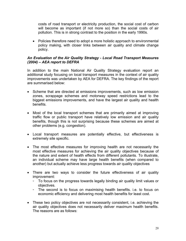costs of road transport or electricity production, the social cost of carbon will become as important (if not more so) than the social costs of air pollution. This is in strong contrast to the position in the early 1990s.

• Policies therefore need to adopt a more holistic approach to environmental policy making, with closer links between air quality and climate change policy.

#### *An Evaluation of the Air Quality Strategy - Local Road Transport Measures (2004) – AEA report to DEFRA*

In addition to the main National Air Quality Strategy evaluation report an additional study focusing on local transport measures in the context of air quality improvements was undertaken by AEA for DEFRA. The key findings of the report are summarised below:

- Scheme that are directed at emissions improvements, such as low emission zones, scrappage schemes and motorway speed restrictions lead to the biggest emissions improvements, and have the largest air quality and health benefits.
- Most of the local transport schemes that are primarily aimed at improving traffic flow or public transport have relatively low emission and air quality benefits, though this is not surprising because these schemes are aimed at other problems (e.g. congestion).
- Local transport measures are potentially effective, but effectiveness is extremely site specific.
- The most effective measures for improving health are not necessarily the most effective measures for achieving the air quality objectives because of the nature and extent of health effects from different pollutants. To illustrate, an individual scheme may have large health benefits (when compared to another) but actually achieve less progress towards air quality objectives
- There are two ways to consider the future effectiveness of air quality improvement:
	- To focus on the progress towards legally binding air quality limit values or objectives.
	- The second is to focus on maximising health benefits. i.e. to focus on economic efficiency and delivering most health benefits for least cost.
- These two policy objectives are not necessarily consistent, i.e. achieving the air quality objectives does not necessarily deliver maximum health benefits. The reasons are as follows: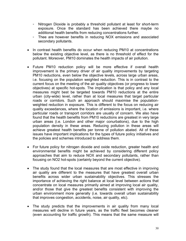- Nitrogen Dioxide is probably a threshold pollutant at least for short-term exposure. Once the standard has been achieved there maybe no additional health benefits from reducing concentrations further.
- Thee are however benefits in reducing NOX emissions and associated secondary pollutants.
- In contrast health benefits do occur when reducing PM10 at concentrations below the existing objective level, as there is no threshold of effect for the pollutant. Moreover, PM10 dominates the health impacts of air pollution.
- Future PM10 reduction policy will be more effective if overall health improvement is the primary driver of air quality improvements by targeting PM10 reductions, even below the objective levels, across large urban areas, i.e. focusing on the population weighted reduction. This is in contrast to the current focus on the meeting of the air quality objectives (or progress to lower objectives) at specific hot-spots. The implication is that policy and any local measures might best be targeted towards PM10 reductions at the entire urban (city-wide) level, rather than at local measures that target particular roads or corridors. Such an approach should maximise the populationweighted reduction in exposure. This is different to the focus on reducing air quality exceedances, where the location of emissions is important, i.e. where particular roads or transport corridors are usually of concern. We also have found that the health benefits from PM10 reductions are greatest in very large urban areas (i.e. London and other major conurbations), due to the high population density in these areas. Reducing pollution in these areas will achieve greatest health benefits per tonne of pollution abated. All of these issues have important implications for the types of future policy initiatives and the policies and schemes introduced to address them.
- For future policy for nitrogen dioxide and oxide reduction, greater health and environmental benefits might be achieved by considering different policy approaches that aim to reduce NOX and secondary pollutants, rather than focusing on NO2 hot-spots (certainly beyond the current objective).
- The study found that the local measures that are most effective in improving air quality are different to the measures that have greatest overall urban benefits across wider urban sustainability objectives. This stresses the importance of achieving the right balance at local level between actions that concentrate on local measures primarily aimed at improving local air quality, and/or those that give the greatest benefits consistent with improving the urban environment more generally (i.e. towards overall urban sustainability that improves congestion, accidents, noise, air quality, etc).
- The study predicts that the improvements in air quality from many local measures will decline in future years, as the traffic fleet becomes cleaner (even accounting for traffic growth). This means that the same measure will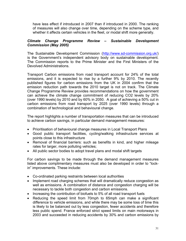have less effect if introduced in 2007 than if introduced in 2000. The ranking of measures will also change over time, depending on the scheme type, and whether it affects certain vehicles in the fleet, or modal shift more generally.

#### *Climate Change Programme Review – Sustainable Development Commission (May 2005)*

The Sustainable Development Commission (http://www.sd-commission.org.uk/) is the Government's independent advisory body on sustainable development. The Commission reports to the Prime Minister and the First Ministers of the Devolved Administrations.

Transport Carbon emissions from road transport account for 24% of the total emissions, and it is expected to rise by a further 9% by 2010. The recently published figures for carbon emissions from the UK in 2004 confirm that the emission reduction path towards the 2010 target is not on track. The Climate Change Programme Review provides recommendations on how the government can achieve the climate change commitment of reducing CO2 levels by 20% (over 1990 levels) by 2010 and by 60% in 2050. A goal of achieving a 50% cut in carbon emissions from road transport by 2025 (over 1990 levels) through a combination of technological and behavioural change.

The report highlights a number of transportation measures that can be introduced to achieve carbon savings, in particular demand management measures:

- Prioritisation of behavioural change measures in Local Transport Plans
- Good public transport facilities, cycling/walking infrastructure services at points close to this infrastructure
- Removal of financial barriers: such as benefits in kind, and higher mileage rates for larger, more polluting vehicles;
- All public sector bodies to adopt travel plans and modal shift targets

For carbon savings to be made through the demand management measures listed above complimentary measures must also be developed in order to "lockin" improvements. These include:

- Co-ordinated parking restraints between local authorities
- Implement road charging schemes that will dramatically reduce congestion as well as emissions. A combination of distance and congestion charging will be necessary to tackle both congestion and carbon emissions.
- Increasing the contribution of biofuels to 5% of all road transport fuels
- Reducing the speed limit from 70mph to 65mph can make a significant difference to vehicle emissions, and while there may be some loss of time this is likely to be balanced out by less congestion, fewer accidents and therefore less public spend. France enforced strict speed limits on main motorways in 2003 and succeeded in reducing accidents by 30% and carbon emissions by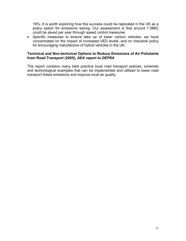19%. It is worth exploring how this success could be replicated in the UK as a policy option for emissions saving. Our assessment is that around 1.5MtC could be saved per year through speed control measures.

• Specific measures to ensure take up of lower carbon vehicles: we have concentrated on the impact of increased VED levels, and on industrial policy for encouraging manufacture of hybrid vehicles in the UK;

#### **Technical and Non-technical Options to Reduce Emissions of Air Pollutants from Road Transport (2005),** *AEA report to DEFRA*

The report contains many best practice local road transport policies, schemes and technological examples that can be implemented and utilised to lower road transport linked emissions and improve local air quality.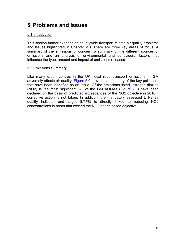## **5. Problems and Issues**

#### 5.1 Introduction

This section further expands on countywide transport related air quality problems and issues highlighted in Chapter 2.0. There are three key areas of focus. A summary of the emissions of concern, a summary of the different sources of emissions and an analysis of environmental and behavioural factors that influence the type, amount and impact of emissions released.

#### 5.2 Emissions Summary

Like many urban centres in the UK, local road transport emissions in GM adversely affects air quality. Figure 5.0 provides a summary of the key pollutants that have been identified as an issue. Of the emissions listed, nitrogen dioxide (NO2) is the most significant. All of the GM AQMAs (Figure 2.0) have been declared on the basis of predicted exceedances of the NO2 objective in 2010 if corrective action is not taken. In addition, the mandatory assessed LTP2 air quality indicator and target (LTP8) is directly linked to reducing NO2 concentrations in areas that exceed the NO2 health based objective.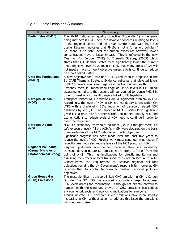Fig 5.0 – Key Emissions Summary

| <b>Pollutant</b>               | <b>Summary</b>                                                          |
|--------------------------------|-------------------------------------------------------------------------|
| <b>Particulates (PM10)</b>     | The PM10 national air quality objective (Appendix 1) is generally       |
|                                | being met across GM. There are however concerns relating to levels      |
|                                | in the regional centre and on urban centre roads with high bus          |
|                                | usage. Research indicates that PM10s is not a "threshold pollutant"     |
|                                | i.e. there is no safe level for human exposure; however, lower          |
|                                | concentrations have a lesser impact. This is reflected in the new       |
|                                | Clean Air For Europe (CAFÉ) EU Thematic Strategy (2005) which           |
|                                | states that EU Member States must significantly lower the current       |
|                                | PM10 objective level by 2010. It is likely that many areas of GM will   |
|                                | not meet a more stringent objective unless efforts continue to reduce   |
|                                | transport linked PM10s.                                                 |
| <b>Ultra fine Particulates</b> | A new objective for "Ultra-fine" PM2.5 reduction is proposed in the     |
| (PM2.5)                        | EU CAFÉ Thematic Strategy. Evidence indicates that elevated levels      |
|                                | of PM2.5 have a significant negative impact on human health.            |
|                                | Presently there is limited knowledge of PM2.5 levels in GM. Initial     |
|                                | assessments indicate that actions will be required to reduce PM2.5 in   |
|                                | order to meet any future UK targets linked to EU legislation.           |
| <b>Nitrogen Oxides</b>         | Transport related NOX emissions are a significant problem in GM.        |
| (NOX)                          | Accordingly, the level of NOX in GM is a mandatory target within GM     |
|                                | LTP2 with a challenging 30% reduction of transport related NOX          |
|                                | emissions by 2010/11. The impact of NOX is particularly significant     |
|                                | given it is a precursor for other harmful pollutants, notably NO2 and   |
|                                | ozone. Actions to reduce levels of NOX need to continue in order to     |
|                                | meet the target set.                                                    |
| <b>Nitrogen Dioxide</b>        | NO2 is a secondary "threshold" pollutant (i.e. it is thought there is a |
| (NO2)                          | safe exposure level). All the AQMAs in GM were declared on the basis    |
|                                | of exceedances of the NO2 national air quality objective.               |
|                                | Significant progress has been made over the past five years to          |
|                                | reduce the level of NO2. Further work must continue, in particular if   |
|                                | reduction methods also reduce levels of the NO2 precursor NOX.          |
| <b>Regional Pollutants -</b>   | pollutants are defined because they are inherently<br>Regional          |
| (Ozone, Nitric Acid,           | transboundary in nature i.e. emissions are prone to "drift" from the    |
| <b>Photochemical Smog)</b>     | point of origin. This has implications for directly monitoring and      |
|                                | assessing the effects of local transport measures on local air quality. |
|                                | Consequently, the requirement to achieve regional pollutant             |
|                                | objectives remains the UK Government's responsibility; however, GM      |
|                                | is committed to contribute towards meeting regional pollution           |
|                                | objectives.                                                             |
| <b>Green House Gas</b>         | The most significant transport linked GHG emission in GM is Carbon      |
| (GHG) Emissions                | Dioxide. The GM LTP2 has adopted a subsidiary target to address         |
|                                | CO2 levels across the conurbation. Although not directly harmful to     |
|                                | human health the continued growth of GHG emissions has serious          |
|                                | environmental, social and economic implications for everyone.           |
|                                | Trends indicate CO2 transport linked emissions have been steadily       |
|                                | increasing in GM. Without action to address this issue the emissions    |
|                                | will continue to rise.                                                  |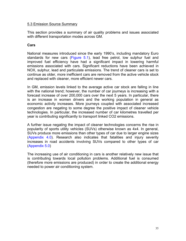#### 5.3 Emission Source Summary

This section provides a summary of air quality problems and issues associated with different transportation modes across GM.

#### **Cars**

National measures introduced since the early 1990's, including mandatory Euro standards for new cars (Figure 5.1), lead free petrol, low sulphur fuel and improved fuel efficiency have had a significant impact in lowering harmful emissions associated with cars. Significant reductions have been achieved in NOX, sulphur, lead and particulate emissions. The trend of cleaner cars is set to continue as older, more inefficient cars are removed from the active vehicle stock and replaced with cleaner, more efficient newer cars.

In GM, emission levels linked to the average active car stock are falling in line with the national trend; however, the number of car journeys is increasing with a forecast increase of over 200,000 cars over the next 5 years. In particular, there is an increase in women drivers and the working population in general as economic activity increases. More journeys coupled with associated increased congestion are negating to some degree the positive impact of cleaner vehicle technologies. In particular, the increased number of car kilometres travelled per year is contributing significantly to transport linked CO2 emissions.

A further issue negating the impact of cleaner technologies concerns the rise in popularity of sports utility vehicles (SUVs) otherwise known as 4x4. In general, SUVs produce more emissions than other types of car due to larger engine sizes (Appendix 4.0). Research also indicates that fatalities and injury severity increases in road accidents involving SUVs compared to other types of car (Appendix 5.0)

The increasing use of air conditioning in cars is another relatively new issue that is contributing towards local pollution problems. Additional fuel is consumed (therefore more emissions are produced) in order to create the additional energy needed to power air conditioning system.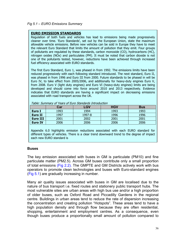### **EURO EMISSION STANDARDS**

Regulation of both fuels and vehicles has lead to emissions being made progressively cleaner over time. 'Euro Standards', set out by the European Union, state the maximum allowable vehicle emissions. Before new vehicles can be sold in Europe they have to meet the relevant Euro Standard that limits the amount of pollution that they emit. Four groups of pollutants are regulated by these standards, carbon monoxide (CO), hydrocarbons (HC), nitrogen oxides (NOx) and particulates (PM). It must be noted that carbon dioxide is not one of the pollutants tested, however, reductions have been achieved through increased fuel efficiency associated with EURO standards.

The first Euro Standard, Euro 1, was phased in from 1992. The emissions limits have been reduced progressively with each following standard introduced. The next standard, Euro II, was phased in from 1996 and Euro III from 2000. Future standards to be phased in will be Euro IV, to take effect from 2005/2006, and additionally for heavy-duty engines Euro V, from 2008. Euro V (light duty engines) and Euro VI (heavy-duty engines) limits are being developed and should come into force around 2010 and 2013 respectively. Evidence indicates that EURO standards are having a significant impact on decreasing emissions associated with road transport across the UK.

| .               |      |            |            |            |
|-----------------|------|------------|------------|------------|
|                 | Car  | <b>LGV</b> | <b>HGV</b> | <b>Bus</b> |
| Euro I          | 1993 | 1994       | 1993       | 1993       |
| <b>Euro II</b>  | 1997 | 1997-8     | 1996       | 1996       |
| <b>Euro III</b> | 2001 | 2002       | 2001       | 2001       |
| <b>Euro IV</b>  | 2006 | 2006       | 2006       | 2006       |

Table: Summary of Years of Euro Standards Introduction

Appendix 6.0 highlights emission reductions associated with each EURO standard for different types of vehicles. There is a clear trend downward trend to the degree of impact each new EURO standard is

### **Buses**

The key emission associated with buses in GM is particulate (PM10) and fine particulate matter (PM2.5). Across GM buses contribute only a small proportion of total emissions (Fig 2.2). The GMPTE and GM Districts actively work with bus operators to promote clean technologies and buses with Euro-standard engines (Fig 5.1) are gradually increasing in number.

Many air quality issues associated with buses in GM are localised due to the nature of bus transport i.e. fixed routes and stationery public transport hubs. The most vulnerable sites are urban areas with high bus use and/or a high proportion of older buses, such as Oxford Road and Piccadilly Gardens in the regional centre. Buildings in urban areas tend to reduce the rate of dispersion increasing the concentration and creating pollution "Hotspots". These areas tend to have a high population density and through flow because they are often residential, shopping, entertainment and employment centres. As a consequence, even though buses produce a proportionally small amount of pollution compared to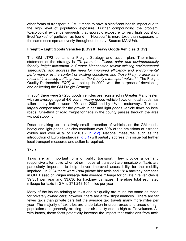other forms of transport in GM, it tends to have a significant health impact due to the high level of population exposure. Further compounding the problem, toxicological evidence suggests that sporadic exposure to very high but short lived 'spikes' of particles, as found in "Hotspots" is more toxic than exposure to the same dose spread evenly throughout the day (Source: MANUni).

### **Freight – Light Goods Vehicles (LGV) & Heavy Goods Vehicles (HGV)**

The GM LTP2 contains a Freight Strategy and action plan. The mission statement of the strategy is *"To promote efficient, safer and environmentally friendly freight movement in Greater Manchester, review existing environmental safeguards, and address the need for improved efficiency and environmental performance, in the context of existing conditions and those likely to arise as a*  result of increasing traffic growth on the County's transport network". The Freight Quality Partnership (FQP) was set up in 2002, with the purpose of developing and delivering the GM Freight Strategy.

In 2004 there were 27,230 goods vehicles are registered in Greater Manchester, with an average age of 4.6 years. Heavy goods vehicle flows on local roads has fallen nearly half between 1991 and 2003 and by 4% on motorways. This has largely compensated for the growth in car and light goods vehicle flows on local roads. One-third of road freight tonnage in the county passes through the area without stopping.

Despite making up a relatively small proportion of vehicles on the GM roads, heavy and light goods vehicles contribute over 60% of the emissions of nitrogen oxides and over 40% of PM10s (Fig 2.2). National measures, such as the introduction of Euro standards (Fig 5.1) will partially address this issue but further local transport measures and action is required.

### **Taxis**

Taxis are an important form of public transport. They provide a demand responsive alternative when other modes of transport are unsuitable. Taxis are particularly important to help deliver improved accessibility for the mobility impaired. In 2004 there were 7884 private hire taxis and 1814 hackney carriages in GM. Based on Wigan mileage data average mileage for private hire vehicles is 39,351 per year and 33,630 for hackney carriages. Therefore total estimated mileage for taxis in GM is 371,248,104 miles per year.

Many of the issues relating to taxis and air quality are much the same as those for privately owned cars; however, there are a few slight nuances. There are far fewer taxis than private cars but the average taxi travels many more miles per year. The majority of taxi trips are undertaken in urban areas and areas of high population and generally existing poor air quality due to high traffic volumes. As with buses, these facts potentially increase the impact that emissions from taxis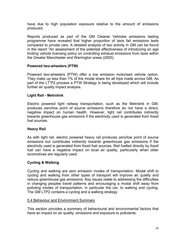have due to high population exposure relative to the amount of emissions produced.

Reports produced as part of the GM Cleaner Vehicles emissions testing programme have revealed that higher proportion of taxis fail emissions tests compared to private cars. A detailed analysis of taxi activity in GM can be found in the report "An assessment of the potential effectiveness of introducing an age limiting vehicle licensing policy on controlling exhaust emissions from taxis within the Greater Manchester and Warrington areas (2005).

### **Powered two-wheelers (PTW)**

Powered two-wheelers (PTW) offer a low emission motorised vehicle option. They make up less than 1% of the modal share for all trips made across GM. As part of the LT"P2 process a PTW Strategy is being developed which will include further air quality impact analysis.

### **Light Rail - Metrolink**

Electric powered light railway transportation, such as the Metrolink in GM, produces zero/low point of source emissions therefore do not have a direct, negative impact on human health. However, light rail contributes indirectly towards greenhouse gas emissions if the electricity used is generated from fossil fuel sources.

### **Heavy Rail**

As with light rail, electric powered heavy rail produces zero/low point of source emissions but contributes indirectly towards greenhouse gas emissions if the electricity used is generated from fossil fuel sources. Rail fuelled directly by fossil fuel can have a negative impact on local air quality, particularly when older locomotives are regularly used.

### **Cycling & Walking**

Cycling and walking are zero emission modes of transportation. Modal shift to cycling and walking from other types of transport will improve air quality and reduce greenhouse gas emissions. Key issues relate to addressing the difficulties in changing peoples travel patterns and encouraging a modal shift away from polluting modes of transportation, in particular the car, to walking and cycling. The GM LTP2 contains a cycling and a walking strategy.

### 5.4 Behaviour and Environment Summary

This section provides a summary of behavioural and environmental factors that have an impact on air quality, emissions and exposure to pollutants.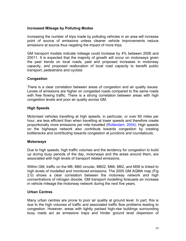### **Increased Mileage by Polluting Modes**

Increasing the number of trips made by polluting vehicles in an area will increase point of source of emissions unless cleaner vehicle improvements reduce emissions at source thus negating the impact of more trips.

GM transport models indicate mileage could increase by 4% between 2006 and 20011. It is expected that the majority of growth will occur on motorways given the past trends on local roads, past and proposed increases in motorway capacity, and proposed reallocation of local road capacity to benefit public transport, pedestrians and cyclists

### **Congestion**

There is a clear correlation between areas of congestion and air quality issues. Levels of emissions are higher on congested roads compared to the same roads with free flowing traffic. There is a strong correlation between areas with high congestion levels and poor air quality across GM.

### **High Speeds**

Motorised vehicles travelling at high speeds, in particular, or over 60 miles per hour, are less efficient than when travelling at lower speeds and therefore create proportionally more emissions per mile travelled (Rotterdam: 2004). High speeds on the highways network also contribute towards congestion by creating bottlenecks and contributing towards congestion at junctions and roundabouts.

### **Motorways**

Due to high speeds, high traffic volumes and the tendency for congestion to build up during busy periods of the day, motorways and the areas around them, are associated with high levels of transport related emissions.

Within GM, traffic on the M6, M60 circular, M602, M66, M62, and M56 is linked to high levels of modelled and monitored emissions. The 2005 GM AQMA map (Fig 2.0) shows a clear correlation between the motorway network and high concentrations of nitrogen dioxide. GM transport modelling forecasts an increase in vehicle mileage the motorway network during the next five years.

### **Urban Centres**

Many urban centres are prone to poor air quality at ground level. In part, this is due to the high volumes of traffic and associated traffic flow problems leading to congestion. However, areas with tightly packed high-rise buildings surrounding busy roads act as emissions traps and hinder ground level dispersion of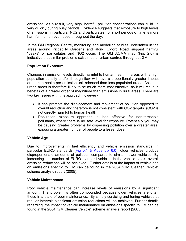emissions. As a result, very high, harmful pollution concentrations can build up very quickly during busy periods. Evidence suggests that exposure to high levels of emissions, in particular NO2 and particulates, for short periods of time is more harmful than an even dose throughout the day.

In the GM Regional Centre, monitoring and modelling studies undertaken in the areas around Piccadilly Gardens and along Oxford Road suggest harmful "peaks" of particulates and NO2 occur. The GM AQMA map (Fig. 2.0) is indicative that similar problems exist in other urban centres throughout GM.

### **Population Exposure**

Changes in emission levels directly harmful to human health in areas with a high population density and/or through flow will have a proportionally greater impact on human health per emission unit released than less populated areas. Action in urban areas is therefore likely to be much more cost effective, as it will result in benefits of a greater order of magnitude than emissions in rural areas. There are two key issues with this approach however -

- It can promote the displacement and movement of pollution opposed to overall reduction and therefore is not consistent with CO2 targets. (CO2 is not directly harmful to human health).
- Population exposure approach is less effective for non-threshold pollutants, where there is no safe level for exposure. Potentially you may be causing greater problems by dispersing pollution over a greater area, exposing a greater number of people to a lesser dose.

### **Vehicle Age**

Due to improvements in fuel efficiency and vehicle emission standards, in particular EURO standards (Fig 5.1 & Appendix 6.0), older vehicles produce disproportionate amounts of pollution compared to similar newer vehicles. By increasing the number of EURO standard vehicles in the vehicle stock, overall emission reductions will be achieved. Further details of the impact of vehicle age on emissions specific to GM can be found in the 2004 "GM Cleaner Vehicle" scheme analysis report (2005).

### **Vehicle Maintenance**

Poor vehicle maintenance can increase levels of emissions by a significant amount. The problem is often compounded because older vehicles are often those in a state of poor maintenance. By simply servicing and tuning vehicles at regular intervals significant emission reductions will be achieved. Further details regarding the impact of vehicle maintenance on emissions specific to GM can be found in the 2004 "GM Cleaner Vehicle" scheme analysis report (2005).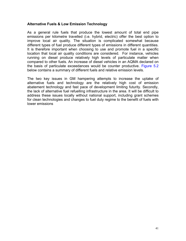### **Alternative Fuels & Low Emission Technology**

As a general rule fuels that produce the lowest amount of total end pipe emissions per kilometre travelled (i.e. hybrid, electric) offer the best option to improve local air quality. The situation is complicated somewhat because different types of fuel produce different types of emissions in different quantities. It is therefore important when choosing to use and promote fuel in a specific location that local air quality conditions are considered. For instance, vehicles running on diesel produce relatively high levels of particulate matter when compared to other fuels. An increase of diesel vehicles in an AQMA declared on the basis of particulate exceedances would be counter productive. Figure 5.2 below contains a summary of different fuels and relative emission levels.

The two key issues in GM hampering attempts to increase the uptake of alternative fuels and technology are the relatively high cost of emission abatement technology and fast pace of development limiting futurity. Secondly, the lack of alternative fuel refuelling infrastructure in the area. It will be difficult to address these issues locally without national support, including grant schemes for clean technologies and changes to fuel duty regime to the benefit of fuels with lower emissions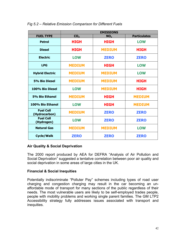|                                   |                 | <b>EMISSIONS</b> |                     |
|-----------------------------------|-----------------|------------------|---------------------|
| <b>FUEL TYPE</b>                  | CO <sub>2</sub> | NO <sub>x</sub>  | <b>Particulates</b> |
| <b>Petrol</b>                     | <b>HIGH</b>     | <b>HIGH</b>      | <b>LOW</b>          |
| <b>Diesel</b>                     | <b>HIGH</b>     | <b>MEDIUM</b>    | <b>HIGH</b>         |
| <b>Electric</b>                   | <b>LOW</b>      | <b>ZERO</b>      | <b>ZERO</b>         |
| <b>LPG</b>                        | <b>MEDIUM</b>   | <b>HIGH</b>      | <b>LOW</b>          |
| <b>Hybrid Electric</b>            | <b>MEDIUM</b>   | <b>MEDIUM</b>    | <b>LOW</b>          |
| <b>5% Bio Diesel</b>              | <b>MEDIUM</b>   | <b>MEDIUM</b>    | <b>HIGH</b>         |
| 100% Bio Diesel                   | <b>LOW</b>      | <b>MEDIUM</b>    | <b>HIGH</b>         |
| <b>5% Bio Ethanol</b>             | <b>MEDIUM</b>   | <b>HIGH</b>      | <b>MEDIUM</b>       |
| 100% Bio Ethanol                  | <b>LOW</b>      | <b>HIGH</b>      | <b>MEDIUM</b>       |
| <b>Fuel Cell</b><br>(Hydrocarbon) | <b>MEDIUM</b>   | <b>ZERO</b>      | <b>ZERO</b>         |
| <b>Fuel Cell</b><br>(Hydrogen)    | <b>LOW</b>      | <b>ZERO</b>      | <b>ZERO</b>         |
| <b>Natural Gas</b>                | <b>MEDIUM</b>   | <b>MEDIUM</b>    | <b>LOW</b>          |
| <b>Cycle/Walk</b>                 | <b>ZERO</b>     | <b>ZERO</b>      | <b>ZERO</b>         |

### *Fig 5.2 – Relative Emission Comparison for Different Fuels*

### **Air Quality & Social Deprivation**

The 2000 report produced by AEA for DEFRA "Analysis of Air Pollution and Social Deprivation" suggested a tentative correlation between poor air quality and social deprivation in some areas of large cities in the UK.

### **Financial & Social Inequities**

Potentially indiscriminate "Polluter Pay" schemes including types of road user charging and congestion charging may result in the car becoming an unaffordable mode of transport for many sections of the public regardless of their needs. The most vulnerable users are likely to be self-employed trades people, people with mobility problems and working single parent families. The GM LTP2 Accessibility strategy fully addresses issues associated with transport and inequities.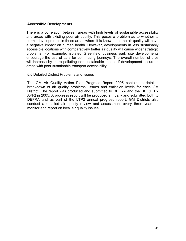### **Accessible Developments**

There is a correlation between areas with high levels of sustainable accessibility and areas with existing poor air quality. This poses a problem as to whether to permit developments in these areas where it is known that the air quality will have a negative impact on human health. However, developments in less sustainably accessible locations with comparatively better air quality will cause wider strategic problems. For example, isolated Greenfield business park site developments encourage the use of cars for commuting journeys. The overall number of trips will increase by more polluting non-sustainable modes if development occurs in areas with poor sustainable transport accessibility.

### 5.5 Detailed District Problems and Issues

The GM Air Quality Action Plan Progress Report 2005 contains a detailed breakdown of air quality problems, issues and emission levels for each GM District. The report was produced and submitted to DEFRA and the DfT (LTP2 APR) in 2005. A progress report will be produced annually and submitted both to DEFRA and as part of the LTP2 annual progress report. GM Districts also conduct a detailed air quality review and assessment every three years to monitor and report on local air quality issues.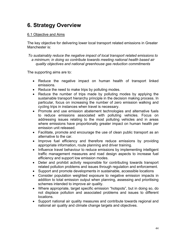# **6. Strategy Overview**

### 6.1 Objective and Aims

The key objective for delivering lower local transport related emissions in Greater Manchester is:

*To sustainably reduce the negative impact of local transport related emissions to a minimum; in doing so contribute towards meeting national health based air quality objectives and national greenhouse gas reduction commitments* 

The supporting aims are to:

- Reduce the negative impact on human health of transport linked emissions.
- Reduce the need to make trips by polluting modes.
- Reduce the number of trips made by polluting modes by applying the sustainable transport hierarchy principle in the decision making process. In particular, focus on increasing the number of zero emission walking and cycling trips in instances when travel is necessary.
- Promote and use emission abatement technologies and alternative fuels to reduce emissions associated with polluting vehicles. Focus on addressing issues relating to the most polluting vehicles and in areas where emissions have proportionally greater impact on human health per emission unit released.
- Facilitate, promote and encourage the use of clean public transport as an alternative to the car.
- Improve fuel efficiency and therefore reduce emissions by providing appropriate information, route planning and driver training.
- Influence travel behaviour to reduce emissions by implementing intelligent traffic management measures and road design aspects to increase fuel efficiency and support low emission modes.
- Deter and prohibit activity responsible for contributing towards transport related pollution problems and issues through regulation and enforcement.
- Support and promote developments in sustainable, accessible locations
- Consider population weighted exposure to negative emission impacts in addition to total emission output when planning, assessing and prioritising schemes intended to improve air quality.
- Where appropriate, target specific emission "hotspots", but in doing so, do not displace pollution and associated problems and issues to different locations.
- Support national air quality measures and contribute towards regional and national air quality and climate change targets and objectives.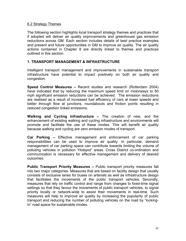### 6.2 Strategy Themes

The following section highlights local transport strategy themes and practices that if adopted will deliver air quality improvements and greenhouse gas emission reductions across GM. Each section includes details of best practice examples and present and future opportunities in GM to improve air quality. The air quality actions contained in Chapter 8 are directly linked to themes and practices outlined in this section.

### **1. TRANSPORT MANAGEMENT & INFRASTRUCTURE**

Intelligent transport management and improvements in sustainable transport infrastructure have potential to impact positively on both air quality and congestion.

**Speed Control Measures –** Recent studies and research (Rotterdam 2004) have indicated that by reducing the maximum speed limit on motorways to 50 mph significant emission reductions can be achieved. The emission reductions are realised as a result of increased fuel efficiency of cars at lower speeds and better through flow at junctions, roundabouts and friction points resulting in reduced congestion linked emissions.

**Walking and Cycling Infrastructure –** The creation of new, and the enhancement of existing walking and cycling infrastructure and environments will promote and facilitate the use of these modes. This will benefit air quality because walking and cycling are zero emission modes of transport.

**Car Parking –** Effective management and enforcement of car parking responsibilities can be used to improve air quality. In particular, demand management of car parking space can contribute towards limiting the volume of polluting vehicles in pollution "Hotspot" areas. Cross District co-ordination and communication is necessary for effective management and delivery of desired outcomes.

**Public Transport Priority Measures –** Public transport priority measures fall into two major categories. Measures that are based on facility design that usually consists of exclusive lanes for buses on arterials as well as infrastructure design that facilitates the movements of the public transport vehicles. Secondly, measures that rely on traffic control and range from changes to fixed-time signal settings so that they favour the movements of public transport vehicles, to signal priority locally or network-wide to assist their movements in real-time. Such measures will help to improve air quality by increasing the popularity of public transport and reducing the number of polluting vehicles on the road by "lockingin" road space for sustainable modes.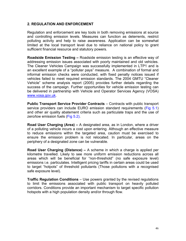### **2. REGULATION AND ENFORCEMENT**

Regulation and enforcement are key tools in both removing emissions at source and controlling emission levels. Measures can function as deterrents, restrict polluting activity and help to raise awareness. Application can be somewhat limited at the local transport level due to reliance on national policy to grant sufficient financial resource and statutory powers.

**Roadside Emission Testing –** Roadside emission testing is an effective way of addressing emission issues associated with poorly maintained and old vehicles. The Cleaner Vehicles Campaign was successfully implemented in LTP1 and is an excellent example of a "polluter pays" measure. A combination of formal and informal emission checks were conducted, with fixed penalty notices issued if vehicles failed to meet required emission standards. The 2004 GMTU "Cleaner Vehicle" scheme analysis report (2005) provides further details regarding the success of the campaign. Further opportunities for vehicle emission testing can be delivered in partnership with Vehicle and Operator Services Agency (VOSA) www.vosa.gov.uk.

**Public Transport Service Provider Contracts** – Contracts with public transport service providers can include EURO emission standard requirements (Fig 5.1) and other air quality abatement criteria such as particulate traps and the use of zero/low emission fuels (Fig 5.2).

**Road User Charging (Area) –** A designated area, as in London, where a driver of a polluting vehicle incurs a cost upon entering. Although an effective measure to reduce emissions within the targeted area, caution must be exercised to ensure the emission problem is not relocated. In particular, areas on the periphery of a designated zone can be vulnerable.

**Road User Charging (Distance) –** A scheme in which a charge is applied per kilometre travelled. Likely to see more uniform emission reductions across all areas which will be beneficial for "non-threshold" (no safe exposure level) emissions i.e. particulates. Intelligent pricing tariffs in certain areas could be used to target "hotpots" of threshold pollutants (Those pollutions with a recognised safe exposure level).

**Traffic Regulation Conditions** – Use powers granted by the revised regulations to limit the emissions associated with public transport on heavily polluted corridors. Conditions provide an important mechanism to target specific pollution hotspots with a high population density and/or through flow.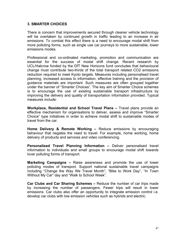### **3. SMARTER CHOICES**

There is concern that improvements secured through cleaner vehicle technology will be overtaken by continued growth in traffic leading to an increase in air emissions. To combat this effect there is a need to encourage modal shift from more polluting forms, such as single use car journeys to more sustainable, lower emissions modes.

Professional and co-ordinated marketing, promotion and communication are essential for the success of modal shift change. Recent research by UCL/Halcrow funded by the DfT New Horizons fund concludes that behavioural change must contribute two-thirds of the total transport related CO2 emissions reduction required to meet Kyoto targets. Measures including personalised travel planning, increased access to information, effective training and the provision of guidance materials are important. Such measures are often grouped together under the banner of "Smarter Choices". The key aim of Smarter Choice schemes is to encourage the use of existing sustainable transport infrastructure by improving the delivery and quality of transportation information provided. Typical measures include:

**Workplace, Residential and School Travel Plans –** Travel plans provide an effective mechanism for organisations to deliver, assess and improve "Smarter Choice" type initiatives in order to achieve modal shift to sustainable modes of travel from the car.

**Home Delivery & Remote Working –** Reduce emissions by encouraging behaviour that negates the need to travel. For example, home working, home delivery of products and services and video conferencing.

**Personalised Travel Planning Information –** Deliver personalised travel information to individuals and small groups to encourage modal shift towards lover polluting forms of transport.

**Marketing Campaigns –** Raise awareness and promote the use of lower polluting modes of transport. Support national sustainable travel campaigns including "Change the Way We Travel Month", "Bike to Work Day", "In Town Without My Car" day and "Walk to School Week".

**Car Clubs and Car Sharing Schemes –** Reduce the number of car trips made by increasing the number of passengers. Fewer trips will result in lower emissions. Car clubs also offer an opportunity to integrate emission control i.e. develop car clubs with low emission vehicles such as hybrids and electric.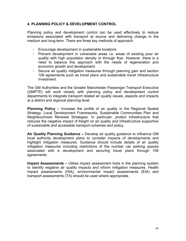### **4. PLANNING POLICY & DEVELOPMENT CONTROL**

Planning policy and development control can be used effectively to reduce emissions associated with transport at source and delivering change in the medium and long-term. There are three key methods of approach:

- Encourage development in sustainable locations
- Prevent development in vulnerable areas i.e. areas of existing poor air quality with high population density or through flow. However, there is a need to balance this approach with the needs of regeneration and economic growth and development.
- Secure air quality mitigation measures through planning gain and section 106 agreements such as travel plans and sustainable travel infrastructure investment.

The GM Authorities and the Greater Manchester Passenger Transport Executive (GMPTE) will work closely with planning policy and development control departments to integrate transport related air quality issues, aspects and impacts at a district and regional planning level.

**Planning Policy** – Increase the profile of air quality in the Regional Spatial Strategy, Local Development Frameworks, Sustainable Communities Plan and Neighbourhood Renewal Strategies. In particular, protect infrastructure that reduces the negative impact of freight on air quality and infrastructure supportive of sustainable and accessible transport schemes and policy.

**Air Quality Planning Guidance –** Develop air quality guidance to influence GM local authority development plans to consider impacts of developments and highlight mitigation measures. Guidance should include details of air quality mitigation measures including restrictions of the number car parking spaces associated with a development and securing travel plans through 106 agreements.

**Impact Assessments –** Utilise impact assessment tools in the planning system to identify negative air quality impacts and inform mitigation measures. Health impact assessments (HIA), environmental impact assessments (EIA) and transport assessments (TA) should be used where appropriate.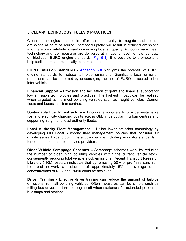### **5. CLEAN/ TECHNOLOGY, FUELS & PRACTICES**

Clean technologies and fuels offer an opportunity to negate and reduce emissions at point of source. Increased uptake will result in reduced emissions and therefore contribute towards improving local air quality. Although many clean technology and fuel measures are delivered at a national level i.e. low fuel duty on biodiesel, EURO engine standards (Fig. 5.1), it is possible to promote and help facilitate measures locally to increase uptake.

**EURO Emission Standards -** Appendix 6.0 highlights the potential of EURO engine standards to reduce tail pipe emissions. Significant local emission reductions can be achieved by encouraging the use of EURO III accredited or later vehicles.

**Financial Support –** Provision and facilitation of grant and financial support for low emission technologies and practices. The highest impact can be realised when targeted at the most polluting vehicles such as freight vehicles, Council fleets and buses in urban centres.

**Sustainable Fuel Infrastructure –** Encourage suppliers to provide sustainable fuel and electricity charging points across GM, in particular in urban centres and supporting freight and local authority fleets.

**Local Authority Fleet Management –** Utilise lower emission technology by developing GM Local Authority fleet management policies that consider air quality issues. Expand down the supply chain by including air quality standards in tenders and contracts for service providers.

**Older Vehicle Scrappage Schemes –** Scrappage schemes work by reducing the number of older, high polluting vehicles within the current vehicle stock, consequently reducing total vehicle stock emissions. Recent Transport Research Libratory (TRL) research indicates that by removing 50% of pre-1993 cars from the road network a reduction of approximately 5% in average urban concentrations of NO2 and PM10 could be achieved.

**Driver Training - Effective driver training can reduce the amount of tailpipe** emissions from all polluting vehicles. Often measures can be simple such as telling bus drivers to turn the engine off when stationary for extended periods at bus stops and stations.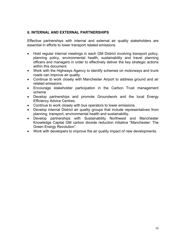### **6. INTERNAL AND EXTERNAL PARTNERSHIPS**

Effective partnerships with internal and external air quality stakeholders are essential in efforts to lower transport related emissions.

- Hold regular internal meetings in each GM District involving transport policy, planning policy, environmental health, sustainability and travel planning officers and managers in order to effectively deliver the key strategic actions within this document.
- Work with the Highways Agency to identify schemes on motorways and trunk roads can improve air quality.
- Continue to work closely with Manchester Airport to address ground and air related emissions.
- Encourage stakeholder participation in the Carbon Trust management scheme
- Develop partnerships and promote Groundwork and the local Energy Efficiency Advice Centres.
- Continue to work closely with bus operators to lower emissions.
- Develop internal District air quality groups that include representatives from planning, transport, environmental health and sustainability.
- Develop partnerships with Sustainability Northwest and Manchester Knowledge Capital GM carbon dioxide reduction initiative "Manchester: The Green Energy Revolution".
- Work with developers to improve the air quality impact of new developments.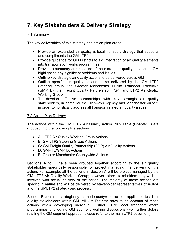# **7. Key Stakeholders & Delivery Strategy**

### 7.1 Summary

The key deliverables of this strategy and action plan are to

- Provide an expanded air quality & local transport strategy that supports and compliments the GM LTP2.
- Provide guidance for GM Districts to aid integration of air quality elements into transportation works programmes.
- Provide a summary and baseline of the current air quality situation in GM highlighting any significant problems and issues.
- Outline key strategic air quality actions to be delivered across GM
- Outline specific air quality actions to be delivered by the GM LTP2 Steering group, the Greater Manchester Public Transport Executive (GMPTE), the Freight Quality Partnership (FQP) and LTP2 Air Quality Working Group.
- To develop effective partnerships with key strategic air quality stakeholders, in particular the Highways Agency and Manchester Airport, in order to holistically address all transport related air quality issues

### 7.2 Action Plan Delivery

The actions within the GM LTP2 Air Quality Action Plan Table (Chapter 8) are grouped into the following five sections:

- A: LTP2 Air Quality Working Group Actions
- B: GM LTP2 Steering Group Actions
- C: GM Freight Quality Partnership (FQP) Air Quality Actions
- D: GMPTE/GMPTA Actions
- E: Greater Manchester Countywide Actions

Sections A to D have been grouped together according to the air quality stakeholder specifically responsible for project managing the delivery of the action. For example, all the actions in Section A will be project managed by the GM LTP2 Air Quality Working Group; however, other stakeholders may well be involved with actual delivery of the action. The majority of these actions are specific in nature and will be delivered by stakeholder representatives of AGMA and the GMLTP2 strategy and process.

Section E contains strategically themed countywide actions applicable to all air quality stakeholders within GM. All GM Districts have taken account of these actions when developing individual District LTP2 local transport works programmes and during GM segment working discussions (For further details relating the GM segment approach please refer to the main LTP2 document*).*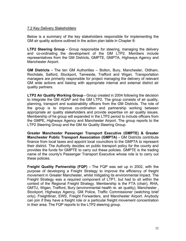### 7.2 Key Delivery Stakeholders

Below is a summary of the key stakeholders responsible for implementing the GM air quality actions outlined in the action plan table in Chapter 8:

**LTP2 Steering Group -** Group responsible for steering, managing the delivery and co-ordinating the development of the GM LTP2. Members include representatives from the GM Districts, GMPTE, GMPTA, Highways Agency and Manchester Airport.

**GM Districts -** The ten GM Authorities – Bolton, Bury, Manchester, Oldham, Rochdale, Salford, Stockport, Tameside, Trafford and Wigan. Transportation managers are primarily responsible for project managing the delivery of relevant GM wide actions and liaising with appropriate internal and external district air quality partners.

**LTP2 Air Quality Working Group -** Group created in 2004 following the decision to integrate the GM AQAP and the GM LTP2. The group consists of air quality, planning, transport and sustainability officers from the GM Districts. The role of the group is to improve co-ordination and partnership working between appropriate air quality stakeholders and provide expertise on air quality issues. Membership of he group will expanded in the LTP2 period to include officers from the GMPE, Highways Agency and Manchester Airport. The group reports to the LTP2 Steering Group and the GM Air Quality Steering Group.

**Greater Manchester Passenger Transport Executive (GMPTE) & Greater Manchester Public Transport Association (GMPTA) - GM Districts contribute** finance from local taxes and appoint local councillors to the GMPTA to represent their district. The Authority decides on public transport policy for the county and provides the funds for GMPTE to carry out these policies. GMPTE is the trading name of the county's Passenger Transport Executive whose role is to carry out these policies.

**Freight Quality Partnership (FQP) -** The FQP was set up in 2002, with the purpose of developing a Freight Strategy to improve the efficiency of freight movement in Greater Manchester, whilst mitigating its environmental impact. The Freight Strategy was a required component of LTP1, but had to sit within the context of the Regional Freight Strategy. Membership is the FTA (chair), RHA, GMTU, Wigan, Trafford, Bury (environmental health re. air quality), Manchester , Stockport, Highways Agency, GM Police, Traffic Commissioner (watching brief only), Freightliner, EWS, Freight Forwarders, and Manchester Airport. Anybody can join if they have a freight role or a particular freight movement concentration in their area. The FQP reports to the LTP2 steering group.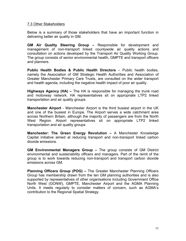### 7.3 Other Stakeholders

Below is a summary of those stakeholders that have an important function in delivering better air quality in GM.

**GM Air Quality Steering Group –** Responsible for development and management of non-transport linked countywide air quality actions and consultation on actions developed by the Transport Air Quality Working Group. The group consists of senior environmental health, GMPTE and transport officers and planners.

**Public Health Bodies & Public Health Directors** – Public health bodies, namely the Association of GM Strategic Health Authorities and Association of Greater Manchester Primary Care Trusts, are consulted on the wider transport and health agenda, including the negative health impact of poor air quality.

**Highways Agency (HA) –** The HA is responsible for managing the trunk road and motorway network. HA representatives sit on appropriate LTP2 linked transportation and air quality groups.

**Manchester Airport** - Manchester Airport is the third busiest airport in the UK and one of the busiest in Europe. The Airport serves a wide catchment area across Northern Britain, although the majority of passengers are from the North West Region. Airport representatives sit on appropriate LTP2 linked transportation and air quality groups

**Manchester: The Green Energy Revolution –** A Manchester Knowledge Capital initiative aimed at reducing transport and non-transport linked carbon dioxide emissions.

**GM Environmental Managers Group –** The group consists of GM District environmental and sustainability officers and managers. Part of the remit of the group is to work towards reducing non-transport and transport carbon dioxide emissions across GM.

**Planning Officers Group (POG) –** The Greater Manchester Planning Officers Group has membership drawn from the ten GM planning authorities and is also supported by representatives of other organisations including Government Office North West (GONW), GMPTE, Manchester Airport and the AGMA Planning Units. It meets regularly to consider matters of concern, such as AGMA's contribution to the Regional Spatial Strategy.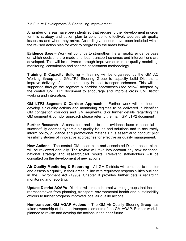### 7.5 Future Development/ & Continuing Improvement

A number of areas have been identified that require further development in order for this strategy and action plan to continue to effectively address air quality issues as and when they arrive. Accordingly, actions have been included within the revised action plan for work to progress in the areas below.

**Evidence Base** – Work will continue to strengthen the air quality evidence base on which decisions are made and local transport schemes and interventions are developed. This will be delivered through improvements in air quality modelling, monitoring, consultation and scheme assessment methodology.

**Training & Capacity Building –** Training will be organised by the GM AQ Working Group and GMLTP2 Steering Group to capacity build Districts to improve delivery of better air quality in local transport schemes. This will be supported through the segment & corridor approaches (see below) adopted by the central GM LTP2 document to encourage and improve cross GM District working and integration.

**GM LTP2 Segment & Corridor Approach** – Further work will continue to develop air quality actions and monitoring regimes to be delivered in identified GM congestion corridors and GM segments. (For further details regarding the GM segment & corridor approach please refer to the main GM LTP2 document).

**Further Research** - A consistent and up to date evidence base is essential to successfully address dynamic air quality issues and solutions and to accurately inform policy, guidance and promotional materials it is essential to conduct pilot feasibility studies of innovative approaches for effective air quality management.

**New Actions -** The central GM action plan and associated District action plans will be reviewed annually. The review will take into account any new evidence, national strategy and research/pilot results. Relevant stakeholders will be consulted on the development of new actions

**Air Quality Monitoring & Reporting -** All GM Districts will continue to monitor and assess air quality in their areas in line with regulatory responsibilities outlined in the Environment Act (1995). Chapter 9 provides further details regarding monitoring and reporting.

**Update District AQAPs-** Districts will create internal working groups that include representatives from planning, transport, environmental health and sustainability officers to further progress improved local air quality actions.

**Non-transport GM AQAP Actions –** The GM Air Quality Steering Group has taken ownership of the non-transport elements of the GM AQAP. Further work is planned to revise and develop the actions in the near future.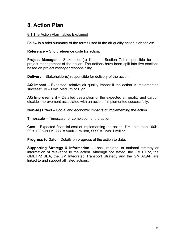# **8. Action Plan**

### 8.1 The Action Plan Tables Explained

Below is a brief summary of the terms used in the air quality action plan tables:

**Reference –** Short reference code for action.

**Project Manager –** Stakeholder(s) listed in Section 7.1 responsible for the project management of the action. The actions have been split into five sections based on project manager responsibility.

**Delivery –** Stakeholder(s) responsible for delivery of the action.

**AQ Impact –** Expected, relative air quality impact if the action is implemented successfully – Low, Medium or High

**AQ Improvement –** Detailed description of the expected air quality and carbon dioxide improvement associated with an action if implemented successfully.

**Non-AQ Effect –** Social and economic impacts of implementing the action.

**Timescale –** Timescale for completion of the action.

**Cost –** Expected financial cost of implementing the action.  $E =$  Less than 100K, ££ = 100K-500K, £££ = 500K-1 million, ££££ = Over 1 million

**Progress to Date –** Details on progress of the action to date.

**Supporting Strategy & Information –** Local, regional or national strategy or information of relevance to the action. Although not stated, the GM LTP2, the GMLTP2 SEA, the GM Integrated Transport Strategy and the GM AQAP are linked to and support all listed actions.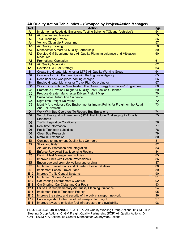| <b>Ref</b>                  | <b>Action</b>                                                                                                                            | Page            |
|-----------------------------|------------------------------------------------------------------------------------------------------------------------------------------|-----------------|
| A <sub>1</sub>              | Implement a Roadside Emissions Testing Scheme ("Cleaner Vehicles")                                                                       | 54              |
| A2                          | <b>AQ Studies and Research</b>                                                                                                           | 55              |
| A3                          | <b>Taxi Licensing Review</b>                                                                                                             | 56              |
| A <sub>4</sub>              | Vehicle Clean-Up Programme                                                                                                               | 57              |
| A <sub>5</sub>              | <b>Air Quality Training</b>                                                                                                              | 58              |
| A <sub>6</sub>              | Manchester Airport Air Quality Partnership                                                                                               | 59              |
| <b>A7</b>                   | Develop GM Supplementary Air Quality Planning guidance and Mitigation                                                                    | 60              |
|                             | <b>Measures</b>                                                                                                                          |                 |
| A <sub>8</sub>              | <b>Promotional Campaign</b>                                                                                                              | 61              |
| A <sub>9</sub>              | <b>Air Quality Monitoring</b>                                                                                                            | 62              |
| A10                         | <b>Develop GM Fuel Strategy</b>                                                                                                          | 63              |
| <b>B1</b>                   | Create the Greater Manchester LTP2 Air Quality Working Group                                                                             | 64              |
| <b>B2</b>                   | Continue to Build Partnerships with the Highways Agency                                                                                  | 65              |
| <b>B3</b>                   | Road user and workplace-parking charges                                                                                                  | 66              |
| <b>B4</b>                   | Employ Greater Manchester Travel Plan Co-ordinator                                                                                       | 67              |
| <b>B5</b><br>C <sub>1</sub> | Work Jointly with the Manchester "The Green Energy Revolution" Programme<br>Promote & Develop Freight Air Quality Best Practice Guidance | 68<br>69        |
| C <sub>2</sub>              | Produce Greater Manchester Drivers Freight Map                                                                                           | 70              |
| C <sub>3</sub>              | <b>Sustainable Distribution Guidance</b>                                                                                                 | $\overline{71}$ |
| C <sub>4</sub>              | <b>Night time Freight Deliveries</b>                                                                                                     | 72              |
| $\overline{\text{C5}}$      | Identify And Address Key Environmental Impact Points for Freight on the Road                                                             | 73              |
|                             | <b>And Rail Network</b>                                                                                                                  |                 |
| D <sub>1</sub>              | Work With Bus Operators To Reduce Bus Emissions                                                                                          | 74              |
| D <sub>2</sub>              | Set Up Bus Quality Agreements (BQA) that Include Challenging Air Quality                                                                 | 75              |
|                             | Standards                                                                                                                                |                 |
| D <sub>3</sub>              | <b>Traffic Regulation Conditions</b>                                                                                                     | 76              |
| D <sub>4</sub>              | Real time information                                                                                                                    | 77              |
| D <sub>5</sub>              | <b>Public Transport subsidies</b>                                                                                                        | 78              |
| D <sub>6</sub>              | Clean Bus Research                                                                                                                       | 79              |
| D7                          | <b>Metrolink Expansion</b>                                                                                                               | 80              |
| E <sub>1</sub>              | <b>Continue to Implement Quality Bus Corridors</b>                                                                                       | 81              |
| E2                          | "Park and Ride"                                                                                                                          | 82              |
| <b>E3</b>                   | Air Quality Promotion and Integration                                                                                                    | 83              |
| <b>E4</b>                   | <b>Enforce Reviewed Taxi Licensing Regime</b>                                                                                            | 84              |
| E <sub>5</sub>              | <b>District Fleet Management Policies</b>                                                                                                | 85              |
| E <sub>6</sub>              | Improve Links with Health Professionals                                                                                                  | 86              |
| E7                          | Encourage and promote walking and cycling                                                                                                | $\overline{87}$ |
| E <sub>8</sub>              | <b>Implement Travel Plans and Smarter Choice Initiatives</b>                                                                             | 88              |
| E <sub>9</sub>              | <b>Implement School Travel Plans</b>                                                                                                     | 89              |
| E10                         | <b>Improve Traffic Control Systems</b>                                                                                                   | 90              |
| E11<br>E12                  | Implement "Home Zones"<br><b>Car Parking Enforcement &amp; Control</b>                                                                   | 91<br>92        |
| E13                         | Car Sharing, Car Clubs and Car Pools                                                                                                     | 93              |
| E14                         | Utilise GM Supplementary Air Quality Planning Guidance                                                                                   | 94              |
| E15                         | <b>Implement Public Transport Priority</b>                                                                                               | 95              |
| E16                         | Improve the safety and security of the public transport network                                                                          | 96              |
| E17                         | Encourage shift to the use of rail transport for freight                                                                                 | 97              |
| E18                         | Improve low/zero emission fuel infrastructure and availability                                                                           | 98              |
|                             |                                                                                                                                          |                 |

## **Air Quality Action Table Index – (Grouped by Project/Action Manager)**

**PROJECT/ACTION MANAGER - A**: LTP2 Air Quality Working Group Actions, **B**: GM LTP2 Steering Group Actions, **C**: GM Freight Quality Partnership (FQP) Air Quality Actions, **D**: GMPTE/GMPTA Actions, **E**: Greater Manchester Countywide Actions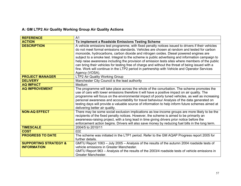## **A: GM LTP2 Air Quality Working Group Air Quality Actions**

| <b>REFERENCE</b>                 | A1                                                                                                 |
|----------------------------------|----------------------------------------------------------------------------------------------------|
| <b>ACTION</b>                    | To implement a Roadside Emissions Testing Scheme                                                   |
| <b>DESCRIPTION</b>               | A vehicle emissions test programme, with fixed penalty notices issued to drivers if their vehicles |
|                                  | do not meet formal emissions standards. Vehicles are chosen at random and tested for carbon        |
|                                  | monoxide, hydrocarbons, carbon dioxide and nitrogen oxides. Diesel powered engines are             |
|                                  | subject to a smoke test. Integral to the scheme is public advertising and information campaign to  |
|                                  | help raise awareness including the provision of emission tests sites where members of the public   |
|                                  | can bring their vehicles for testing free of charge and without the threat of being issued with a  |
|                                  | fine. Work will continue in the LTP2 period in partnership with Vehicle and Operator Services      |
|                                  | Agency (VOSA).                                                                                     |
| <b>PROJECT MANAGER</b>           | LTP2 Air Quality Working Group                                                                     |
| <b>DELIVERY</b>                  | Manchester City Council is the lead authority                                                      |
| <b>AQ IMPACT</b>                 | Medium                                                                                             |
| <b>AQ IMPROVEMENT</b>            | The programme will take place across the whole of the conurbation. The scheme promotes the         |
|                                  | use of cars with lower emissions therefore it will have a positive impact on air quality. The      |
|                                  | programme will focus on the environmental impact of poorly tuned vehicles, as well as increasing   |
|                                  | personal awareness and accountability for travel behaviour Analysis of the data generated on       |
|                                  | testing days will provide a valuable source of information to help inform future schemes aimed at  |
|                                  | delivering better air quality.                                                                     |
| <b>NON-AQ EFFECT</b>             | There may be some social exclusion implications as low-income groups are more likely to be the     |
|                                  | recipients of the fixed penalty notices. However, the scheme is aimed to be primarily an           |
|                                  | awareness-raising project, with a long lead in time giving drivers prior notice before the         |
|                                  | enforcement action begins. Drivers will also save money by reducing fuel bills in the long term.   |
| <b>TIMESCALE</b>                 | 2004/5 to 2010/11                                                                                  |
| <b>COST</b>                      | £££                                                                                                |
| <b>PROGRESS TO DATE</b>          | The scheme was initiated in the LTP1 period. Refer to the GM AQAP Progress report 2005 for         |
|                                  | further details.                                                                                   |
| <b>SUPPORTING STRATEGY &amp;</b> | GMTU Report 1063 - July 2005 - Analysis of the results of the autumn 2004 roadside tests of        |
| <b>INFORMATION</b>               | vehicle emissions in Greater Manchester.                                                           |
|                                  | GMTU Report 963 – Analysis of the results of the 2003/4 roadside tests of vehicle emissions in     |
|                                  | Greater Manchester.                                                                                |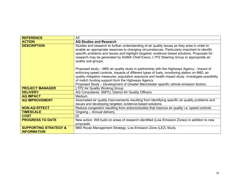| <b>REFERENCE</b>                                       | A2                                                                                                                                                                                                                                                                                                                                                                                                                                              |
|--------------------------------------------------------|-------------------------------------------------------------------------------------------------------------------------------------------------------------------------------------------------------------------------------------------------------------------------------------------------------------------------------------------------------------------------------------------------------------------------------------------------|
| <b>ACTION</b>                                          | <b>AQ Studies and Research</b>                                                                                                                                                                                                                                                                                                                                                                                                                  |
| <b>DESCRIPTION</b>                                     | Studies and research to further understanding of air quality issues as they arise in order to<br>enable an appropriate response to changing circumstances. Particularly important to identify<br>specific problems and issues and highlight targeted, evidence based solutions. Proposals for<br>research may be generated by AGMA Chief Execs, LTP2 Steering Group or appropriate air<br>quality sub-groups.                                   |
|                                                        | Proposed study - M60 air quality study in partnership with the Highways Agency - Impact of<br>enforcing speed controls, impacts of different types of fuels, monitoring station on M60, air<br>quality mitigation measures, population exposure and health impact study. Investigate possibility<br>of match funding support form the Highways Agency.<br>Proposed Study - Development of Greater Manchester specific vehicle emission factors. |
| <b>PROJECT MANAGER</b>                                 | LTP2 Air Quality Working Group                                                                                                                                                                                                                                                                                                                                                                                                                  |
| <b>DELIVERY</b>                                        | AQ Consultants, GMTU, District Air Quality Officers                                                                                                                                                                                                                                                                                                                                                                                             |
| <b>AQ IMPACT</b>                                       | Medium                                                                                                                                                                                                                                                                                                                                                                                                                                          |
| <b>AQ IMPROVEMENT</b>                                  | Associated air quality improvements resulting from identifying specific air quality problems and<br>issues and developing targeted, evidence-based solutions.                                                                                                                                                                                                                                                                                   |
| <b>NON-AQ EFFECT</b>                                   | Reduce congestion resulting from actions/studies that improve air quality i.e. speed controls                                                                                                                                                                                                                                                                                                                                                   |
| <b>TIMESCALE</b>                                       | Ongoing - Annual delivery                                                                                                                                                                                                                                                                                                                                                                                                                       |
| <b>COST</b>                                            | ££                                                                                                                                                                                                                                                                                                                                                                                                                                              |
| <b>PROGRESS TO DATE</b>                                | New action. Will build on areas of research identified (Low Emission Zones) in addition to new                                                                                                                                                                                                                                                                                                                                                  |
|                                                        | proposals                                                                                                                                                                                                                                                                                                                                                                                                                                       |
| <b>SUPPORTING STRATEGY &amp;</b><br><b>INFORMATION</b> | M60 Route Management Strategy, Low Emission Zone (LEZ) Study.                                                                                                                                                                                                                                                                                                                                                                                   |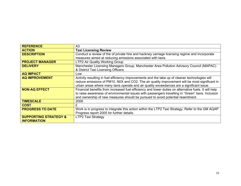| <b>REFERENCE</b>                 | A3                                                                                                    |
|----------------------------------|-------------------------------------------------------------------------------------------------------|
| <b>ACTION</b>                    | <b>Taxi Licensing Review</b>                                                                          |
| <b>DESCRIPTION</b>               | Conduct a review of the of private hire and hackney carriage licensing regime and incorporate         |
|                                  | measures aimed at reducing emissions associated with taxis.                                           |
| <b>PROJECT MANAGER</b>           | LTP2 Air Quality Working Group                                                                        |
| <b>DELIVERY</b>                  | Manchester Licensing Managers Group, Manchester Area Pollution Advisory Council (MAPAC)               |
|                                  | & District Taxi Licensing Officers                                                                    |
| <b>AQ IMPACT</b>                 | Low                                                                                                   |
| <b>AQ IMPROVEMENT</b>            | Activity resulting in fuel efficiency improvements and the take up of cleaner technologies will       |
|                                  | reduce emissions of PM10, N0X and CO2. The air quality improvement will be most significant in        |
|                                  | urban areas where many taxis operate and air quality exceedances are a significant issue.             |
| <b>NON-AQ EFFECT</b>             | Financial benefits from increased fuel efficiency and lower duties on alternative fuels. It will help |
|                                  | to raise awareness of environmental issues with passengers travelling in "Green" taxis. Inclusion     |
|                                  | and ownership of new measures should be pursued to avoid potential resentment.                        |
| <b>TIMESCALE</b>                 | 2006                                                                                                  |
| <b>COST</b>                      | £                                                                                                     |
| <b>PROGRESS TO DATE</b>          | Work is in progress to integrate this action within the LTP2 Taxi Strategy. Refer to the GM AQAP      |
|                                  | Progress report 2005 for further details.                                                             |
| <b>SUPPORTING STRATEGY &amp;</b> | <b>LTP2 Taxi Strategy</b>                                                                             |
| <b>INFORMATION</b>               |                                                                                                       |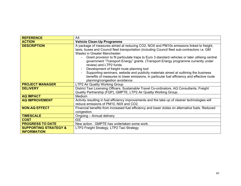| <b>REFERENCE</b>                                       | A4                                                                                                                                                                                                                                                                                                                                                                                                                                                                                                                                                                                                                                                                                                                  |
|--------------------------------------------------------|---------------------------------------------------------------------------------------------------------------------------------------------------------------------------------------------------------------------------------------------------------------------------------------------------------------------------------------------------------------------------------------------------------------------------------------------------------------------------------------------------------------------------------------------------------------------------------------------------------------------------------------------------------------------------------------------------------------------|
| <b>ACTION</b>                                          | <b>Vehicle Clean-Up Programme</b>                                                                                                                                                                                                                                                                                                                                                                                                                                                                                                                                                                                                                                                                                   |
| <b>DESCRIPTION</b>                                     | A package of measures aimed at reducing CO2, NOX and PM10s emissions linked to freight,<br>taxis, buses and Council fleet transportation (including Council fleet sub-contractors i.e. GM<br>Waste) in Greater Manchester:<br>Grant provision to fit particulate traps to Euro 3 standard vehicles or later utilising central<br>government "Transport Energy" grants. (Transport Energy programme currently under<br>review) and LTP2 funds.<br>Development of freight route planning tool<br>Supporting seminars, website and publicity materials aimed at outlining the business<br>benefits of measures to lower emissions, in particular fuel efficiency and effective route<br>planning/congestion avoidance. |
| <b>PROJECT MANAGER</b>                                 | LTP2 Air Quality Working Group                                                                                                                                                                                                                                                                                                                                                                                                                                                                                                                                                                                                                                                                                      |
| <b>DELIVERY</b>                                        | District Taxi Licensing Officers, Sustainable Travel Co-ordinators, AQ Consultants, Freight<br>Quality Partnership (FQP), GMPTE, LTP2 Air Quality Working Group.                                                                                                                                                                                                                                                                                                                                                                                                                                                                                                                                                    |
| <b>AQ IMPACT</b>                                       | Medium                                                                                                                                                                                                                                                                                                                                                                                                                                                                                                                                                                                                                                                                                                              |
| <b>AQ IMPROVEMENT</b>                                  | Activity resulting in fuel efficiency improvements and the take up of cleaner technologies will<br>reduce emissions of PM10, N0X and CO2.                                                                                                                                                                                                                                                                                                                                                                                                                                                                                                                                                                           |
| <b>NON-AQ EFFECT</b>                                   | Financial benefits from increased fuel efficiency and lower duties on alternative fuels. Reduced<br>congestion.                                                                                                                                                                                                                                                                                                                                                                                                                                                                                                                                                                                                     |
| <b>TIMESCALE</b>                                       | Ongoing - Annual delivery                                                                                                                                                                                                                                                                                                                                                                                                                                                                                                                                                                                                                                                                                           |
| <b>COST</b>                                            | <b>EEE</b>                                                                                                                                                                                                                                                                                                                                                                                                                                                                                                                                                                                                                                                                                                          |
| <b>PROGRESS TO DATE</b>                                | New action. GMPTE has undertaken some work.                                                                                                                                                                                                                                                                                                                                                                                                                                                                                                                                                                                                                                                                         |
| <b>SUPPORTING STRATEGY &amp;</b><br><b>INFORMATION</b> | LTP2 Freight Strategy, LTP2 Taxi Strategy                                                                                                                                                                                                                                                                                                                                                                                                                                                                                                                                                                                                                                                                           |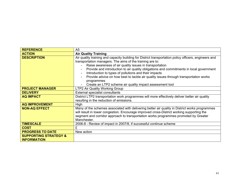| <b>REFERENCE</b>                 | A <sub>5</sub>                                                                                        |
|----------------------------------|-------------------------------------------------------------------------------------------------------|
| <b>ACTION</b>                    | <b>Air Quality Training</b>                                                                           |
| <b>DESCRIPTION</b>               | Air quality training and capacity building for District transportation policy officers, engineers and |
|                                  | transportation managers. The aims of the training are to:                                             |
|                                  | Raise awareness of air quality issues in transportation                                               |
|                                  | Provide and introduction to air quality obligations and commitments in local government               |
|                                  | Introduction to types of pollutions and their impacts                                                 |
|                                  | Provide advice on how best to tackle air quality issues through transportation works                  |
|                                  | programmes                                                                                            |
|                                  | Create an LTP2 scheme air quality impact assessment tool                                              |
| <b>PROJECT MANAGER</b>           | LTP2 Air Quality Working Group                                                                        |
| <b>DELIVERY</b>                  | External specialist consultants                                                                       |
| <b>AQ IMPACT</b>                 | District LTP2 transportation work programmes will more effectively deliver better air quality         |
|                                  | resulting in the reduction of emissions.                                                              |
| <b>AQ IMPROVEMENT</b>            | High                                                                                                  |
| <b>NON-AQ EFFECT</b>             | Many of the schemes associated with delivering better air quality in District works programmes        |
|                                  | will result in lower congestion. Encourage improved cross-District working supporting the             |
|                                  | segment and corridor approach to transportation works programmes promoted by Greater                  |
|                                  | Manchester.                                                                                           |
| <b>TIMESCALE</b>                 | 2006-8 - Review of impact in 2007/8, if successful continue scheme                                    |
| <b>COST</b>                      | £                                                                                                     |
| <b>PROGRESS TO DATE</b>          | New action                                                                                            |
| <b>SUPPORTING STRATEGY &amp;</b> |                                                                                                       |
| <b>INFORMATION</b>               |                                                                                                       |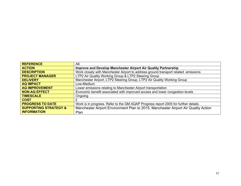| <b>REFERENCE</b>                 | A6                                                                                  |
|----------------------------------|-------------------------------------------------------------------------------------|
| <b>ACTION</b>                    | Improve and Develop Manchester Airport Air Quality Partnership                      |
| <b>DESCRIPTION</b>               | Work closely with Manchester Airport to address ground transport related emissions  |
| <b>PROJECT MANAGER</b>           | LTP2 Air Quality Working Group & LTP2 Steering Group                                |
| <b>DELIVERY</b>                  | Manchester Airport, LTP2 Steering Group, LTP2 Air Quality Working Group             |
| <b>AQ IMPACT</b>                 | Low-Medium                                                                          |
| <b>AQ IMPROVEMENT</b>            | Lower emissions relating to Manchester Airport transportation                       |
| <b>NON-AQ EFFECT</b>             | Economic benefit associated with improved access and lower congestion levels        |
| <b>TIMESCALE</b>                 | Ongoing                                                                             |
| <b>COST</b>                      | £                                                                                   |
| <b>PROGRESS TO DATE</b>          | Work is in progress. Refer to the GM AQAP Progress report 2005 for further details. |
| <b>SUPPORTING STRATEGY &amp;</b> | Manchester Airport Environment Plan to 2015, Manchester Airport Air Quality Action  |
| <b>INFORMATION</b>               | Plan                                                                                |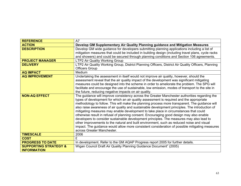| <b>REFERENCE</b>                 | A7                                                                                                  |
|----------------------------------|-----------------------------------------------------------------------------------------------------|
| <b>ACTION</b>                    | Develop GM Supplementary Air Quality Planning guidance and Mitigation Measures                      |
| <b>DESCRIPTION</b>               | Develop GM wide guidance for developers submitting planning applications including a list of        |
|                                  | mitigation measures that could be included in building design (including travel plans, cycle racks  |
|                                  | and showers) and could be secured through planning conditions and Section 106 agreements.           |
| <b>PROJECT MANAGER</b>           | LTP2 Air Quality Working Group                                                                      |
| <b>DELIVERY</b>                  | LTP2 Air Quality Working Group, District Planning Officers, District Air Quality Officers, Planning |
|                                  | <b>Officers Group</b>                                                                               |
| <b>AQ IMPACT</b>                 | Medium                                                                                              |
| <b>AQ IMPROVEMENT</b>            | Undertaking the assessment in itself would not improve air quality, however, should the             |
|                                  | assessment reveal that the air quality impact of the development was significant mitigating         |
|                                  | measures could be designed into the scheme in order to ameliorate the problem. The SPG will         |
|                                  | facilitate and encourage the use of sustainable, low emission, modes of transport to the site in    |
|                                  | the future, reducing negative impacts on air quality.                                               |
| <b>NON-AQ EFFECT</b>             | The guidance will improve consistency across the Greater Manchester authorities regarding the       |
|                                  | types of development for which an air quality assessment is required and the appropriate            |
|                                  | methodology to follow. This will make the planning process more transparent. The guidance will      |
|                                  | also raise awareness of air quality and sustainable development principles. The introduction of     |
|                                  | mitigating measures may enable development to take place in circumstances that could                |
|                                  | otherwise result in refusal of planning consent. Encouraging good design may also enable            |
|                                  | developers to consider sustainable development principles. The measures may also lead to            |
|                                  | other improvements to the natural and built environment, such as reduced noise and visual           |
|                                  | impact. The guidance would allow more consistent consideration of possible mitigating measures      |
|                                  | across Greater Manchester.                                                                          |
| <b>TIMESCALE</b>                 | 2006                                                                                                |
| <b>COST</b>                      | £                                                                                                   |
| <b>PROGRESS TO DATE</b>          | In development. Refer to the GM AQAP Progress report 2005 for further details.                      |
| <b>SUPPORTING STRATEGY &amp;</b> | Wigan Council Draft Air Quality Planning Guidance Document" (2005)                                  |
| <b>INFORMATION</b>               |                                                                                                     |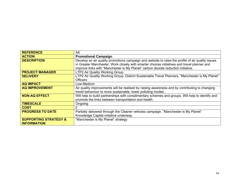| <b>REFERENCE</b>                 | A8                                                                                                |
|----------------------------------|---------------------------------------------------------------------------------------------------|
| <b>ACTION</b>                    | <b>Promotional Campaign</b>                                                                       |
| <b>DESCRIPTION</b>               | Develop an air quality promotions campaign and website to raise the profile of air quality issues |
|                                  | in Greater Manchester. Work closely with smarter choices initiatives and travel planner and       |
|                                  | improve links with "Manchester is My Planet" carbon dioxide reduction initiative.                 |
| <b>PROJECT MANAGER</b>           | LTP2 Air Quality Working Group                                                                    |
| <b>DELIVERY</b>                  | LTP2 Air Quality Working Group, District Sustainable Travel Planners, "Manchester is My Planet"   |
|                                  | <b>Officers</b>                                                                                   |
| <b>AQ IMPACT</b>                 | Low-Medium                                                                                        |
| <b>AQ IMPROVEMENT</b>            | Air quality improvements will be realised by raising awareness and by contributing to changing    |
|                                  | travel behaviour to more sustainable, lower polluting modes.                                      |
| <b>NON-AQ EFFECT</b>             | Will help to build partnerships with complimentary schemes and groups. Will help to identify and  |
|                                  | promote the links between transportation and health.                                              |
| <b>TIMESCALE</b>                 | Ongoing                                                                                           |
| <b>COST</b>                      | £                                                                                                 |
| <b>PROGRESS TO DATE</b>          | Partially delivered through the Cleaner vehicles campaign. "Manchester is My Planet"              |
|                                  | Knowledge Capital initiative underway.                                                            |
| <b>SUPPORTING STRATEGY &amp;</b> | "Manchester is My Planet" strategy                                                                |
| <b>INFORMATION</b>               |                                                                                                   |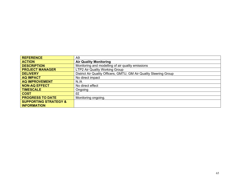| <b>REFERENCE</b>                 | A9                                                                 |
|----------------------------------|--------------------------------------------------------------------|
| <b>ACTION</b>                    | <b>Air Quality Monitoring</b>                                      |
| <b>DESCRIPTION</b>               | Monitoring and modelling of air quality emissions                  |
| <b>PROJECT MANAGER</b>           | LTP2 Air Quality Working Group                                     |
| <b>DELIVERY</b>                  | District Air Quality Officers, GMTU, GM Air Quality Steering Group |
| <b>AQ IMPACT</b>                 | No direct impact                                                   |
| <b>AQ IMPROVEMENT</b>            | N.A                                                                |
| <b>NON-AQ EFFECT</b>             | No direct effect                                                   |
| <b>TIMESCALE</b>                 | Ongoing                                                            |
| <b>COST</b>                      | ££                                                                 |
| <b>PROGRESS TO DATE</b>          | Monitoring ongoing.                                                |
| <b>SUPPORTING STRATEGY &amp;</b> |                                                                    |
| <b>INFORMATION</b>               |                                                                    |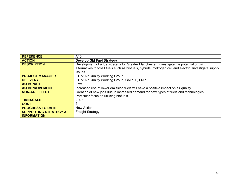| <b>REFERENCE</b>                 | A10                                                                                                    |
|----------------------------------|--------------------------------------------------------------------------------------------------------|
| <b>ACTION</b>                    | <b>Develop GM Fuel Strategy</b>                                                                        |
| <b>DESCRIPTION</b>               | Development of a fuel strategy for Greater Manchester. Investigate the potential of using              |
|                                  | alternatives to fossil fuels such as biofuels, hybrids, hydrogen cell and electric. Investigate supply |
|                                  | issues.                                                                                                |
| <b>PROJECT MANAGER</b>           | LTP2 Air Quality Working Group                                                                         |
| <b>DELIVERY</b>                  | LTP2 Air Quality Working Group, GMPTE, FQP                                                             |
| <b>AQ IMPACT</b>                 | Low                                                                                                    |
| <b>AQ IMPROVEMENT</b>            | Increased use of lower emission fuels will have a positive impact on air quality.                      |
| <b>NON-AQ EFFECT</b>             | Creation of new jobs due to increased demand for new types of fuels and technologies.                  |
|                                  | Particular focus on utilising biofuels.                                                                |
| <b>TIMESCALE</b>                 | 2007                                                                                                   |
| <b>COST</b>                      | £                                                                                                      |
| <b>PROGRESS TO DATE</b>          | New Action                                                                                             |
| <b>SUPPORTING STRATEGY &amp;</b> | <b>Freight Strategy</b>                                                                                |
| <b>INFORMATION</b>               |                                                                                                        |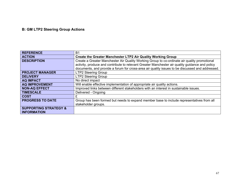# **B: GM LTP2 Steering Group Actions**

| <b>REFERENCE</b>                 | B1                                                                                              |
|----------------------------------|-------------------------------------------------------------------------------------------------|
| <b>ACTION</b>                    | Create the Greater Manchester LTP2 Air Quality Working Group                                    |
| <b>DESCRIPTION</b>               | Create a Greater Manchester Air Quality Working Group to co-ordinate air quality promotional    |
|                                  | activity, produce and contribute to relevant Greater Manchester air quality guidance and policy |
|                                  | documents, and provide a forum for cross-area air quality issues to be discussed and addressed. |
| <b>PROJECT MANAGER</b>           | <b>LTP2 Steering Group</b>                                                                      |
| <b>DELIVERY</b>                  | <b>LTP2 Steering Group</b>                                                                      |
| <b>AQ IMPACT</b>                 | No direct impact                                                                                |
| <b>AQ IMPROVEMENT</b>            | Will enable effective implementation of appropriate air quality actions.                        |
| <b>NON-AQ EFFECT</b>             | Improved links between different stakeholders with an interest in sustainable issues.           |
| <b>TIMESCALE</b>                 | Delivered - Ongoing                                                                             |
| <b>COST</b>                      | £                                                                                               |
| <b>PROGRESS TO DATE</b>          | Group has been formed but needs to expand member base to include representatives from all       |
|                                  | stakeholder groups.                                                                             |
| <b>SUPPORTING STRATEGY &amp;</b> |                                                                                                 |
| <b>INFORMATION</b>               |                                                                                                 |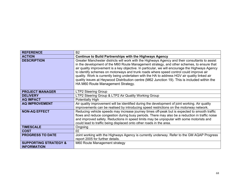| <b>REFERENCE</b>                                       | <b>B2</b>                                                                                                                                                                                                                                                                                                                                                                                                                                                                                                                                                                                                                         |
|--------------------------------------------------------|-----------------------------------------------------------------------------------------------------------------------------------------------------------------------------------------------------------------------------------------------------------------------------------------------------------------------------------------------------------------------------------------------------------------------------------------------------------------------------------------------------------------------------------------------------------------------------------------------------------------------------------|
| <b>ACTION</b>                                          | <b>Continue to Build Partnerships with the Highways Agency</b>                                                                                                                                                                                                                                                                                                                                                                                                                                                                                                                                                                    |
| <b>DESCRIPTION</b>                                     | Greater Manchester districts will work with the Highways Agency and their consultants to assist<br>in the development of the M60 Route Management strategy, and other schemes, to ensure that<br>air quality improvement is a key objective. In particular, we will encourage the Highways Agency<br>to identify schemes on motorways and trunk roads where speed control could improve air<br>quality. Work is currently being undertaken with the HA to address HGV air quality linked air<br>quality issues at Heywood Distribution centre (M62 Junction 19). This is included within the<br>HA M60 Route Management Strategy. |
| <b>PROJECT MANAGER</b>                                 | <b>LTP2 Steering Group</b>                                                                                                                                                                                                                                                                                                                                                                                                                                                                                                                                                                                                        |
| <b>DELIVERY</b>                                        | LTP2 Steering Group & LTP2 Air Quality Working Group                                                                                                                                                                                                                                                                                                                                                                                                                                                                                                                                                                              |
| <b>AQ IMPACT</b>                                       | Potentially High                                                                                                                                                                                                                                                                                                                                                                                                                                                                                                                                                                                                                  |
| <b>AQ IMPROVEMENT</b>                                  | Air quality improvement will be identified during the development of joint working. Air quality<br>improvements can be realised by introducing speed restrictions on the motorway network.                                                                                                                                                                                                                                                                                                                                                                                                                                        |
| <b>NON-AQ EFFECT</b>                                   | Reducing vehicle speeds may increase journey times off-peak but is expected to smooth traffic<br>flows and reduce congestion during busy periods. There may also be a reduction in traffic noise<br>and improved safety. Reductions in speed limits may be unpopular with some motorists and<br>could lead to traffic being displaced onto other roads in the area.                                                                                                                                                                                                                                                               |
| <b>TIMESCALE</b>                                       | Ongoing                                                                                                                                                                                                                                                                                                                                                                                                                                                                                                                                                                                                                           |
| <b>COST</b>                                            | ££                                                                                                                                                                                                                                                                                                                                                                                                                                                                                                                                                                                                                                |
| <b>PROGRESS TO DATE</b>                                | Joint working with the Highways Agency is currently underway. Refer to the GM AQAP Progress<br>report 2005 for further details.                                                                                                                                                                                                                                                                                                                                                                                                                                                                                                   |
| <b>SUPPORTING STRATEGY &amp;</b><br><b>INFORMATION</b> | M60 Route Management strategy                                                                                                                                                                                                                                                                                                                                                                                                                                                                                                                                                                                                     |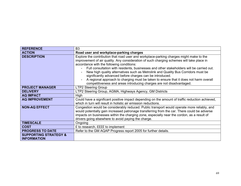| <b>REFERENCE</b>                                       | B <sub>3</sub>                                                                                                                                                                                                                                                                                                                                                                                                                                                                                                                                                                                                                                  |
|--------------------------------------------------------|-------------------------------------------------------------------------------------------------------------------------------------------------------------------------------------------------------------------------------------------------------------------------------------------------------------------------------------------------------------------------------------------------------------------------------------------------------------------------------------------------------------------------------------------------------------------------------------------------------------------------------------------------|
| <b>ACTION</b>                                          | Road user and workplace-parking charges                                                                                                                                                                                                                                                                                                                                                                                                                                                                                                                                                                                                         |
| <b>DESCRIPTION</b>                                     | Explore the contribution that road user and workplace-parking charges might make to the<br>improvement of air quality. Any consideration of such charging schemes will take place in<br>accordance with the following conditions:<br>Full consultation with residents, businesses and other stakeholders will be carried out.<br>New high quality alternatives such as Metrolink and Quality Bus Corridors must be<br>significantly advanced before charges can be introduced.<br>A regional approach to charging must be taken to ensure that it does not harm overall<br>competitiveness and areas introducing charges are not disadvantaged. |
| <b>PROJECT MANAGER</b>                                 | <b>LTP2 Steering Group</b>                                                                                                                                                                                                                                                                                                                                                                                                                                                                                                                                                                                                                      |
| <b>DELIVERY</b>                                        | LTP2 Steering Group, AGMA, Highways Agency, GM Districts                                                                                                                                                                                                                                                                                                                                                                                                                                                                                                                                                                                        |
| <b>AQ IMPACT</b>                                       | High                                                                                                                                                                                                                                                                                                                                                                                                                                                                                                                                                                                                                                            |
| <b>AQ IMPROVEMENT</b>                                  | Could have a significant positive impact depending on the amount of traffic reduction achieved,<br>which in turn will result in holistic air emission reductions.                                                                                                                                                                                                                                                                                                                                                                                                                                                                               |
| <b>NON-AQ EFFECT</b>                                   | Congestion would be considerably reduced. Public transport would operate more reliably, and<br>would potentially gain increased patronage transferring from the car. There could be adverse<br>impacts on businesses within the charging zone, especially near the cordon, as a result of<br>drivers going elsewhere to avoid paying the charge.                                                                                                                                                                                                                                                                                                |
| <b>TIMESCALE</b>                                       | Ongoing                                                                                                                                                                                                                                                                                                                                                                                                                                                                                                                                                                                                                                         |
| <b>COST</b>                                            | £ to research, ££££ to implement                                                                                                                                                                                                                                                                                                                                                                                                                                                                                                                                                                                                                |
| <b>PROGRESS TO DATE</b>                                | Refer to the GM AQAP Progress report 2005 for further details.                                                                                                                                                                                                                                                                                                                                                                                                                                                                                                                                                                                  |
| <b>SUPPORTING STRATEGY &amp;</b><br><b>INFORMATION</b> |                                                                                                                                                                                                                                                                                                                                                                                                                                                                                                                                                                                                                                                 |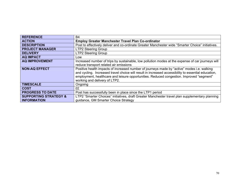| <b>REFERENCE</b>                 | B4                                                                                                  |
|----------------------------------|-----------------------------------------------------------------------------------------------------|
| <b>ACTION</b>                    | <b>Employ Greater Manchester Travel Plan Co-ordinator</b>                                           |
| <b>DESCRIPTION</b>               | Post to effectively deliver and co-ordinate Greater Manchester wide "Smarter Choice" initiatives.   |
| <b>PROJECT MANAGER</b>           | <b>LTP2 Steering Group</b>                                                                          |
| <b>DELIVERY</b>                  | <b>LTP2 Steering Group</b>                                                                          |
| <b>AQ IMPACT</b>                 | Low                                                                                                 |
| <b>AQ IMPROVEMENT</b>            | Increased number of trips by sustainable, low pollution modes at the expense of car journeys will   |
|                                  | reduce transport related air emissions                                                              |
| <b>NON-AQ EFFECT</b>             | Positive health impacts of increased number of journeys made by "active" modes i.e. walking         |
|                                  | and cycling. Increased travel choice will result in increased accessibility to essential education, |
|                                  | employment, healthcare and leisure opportunities. Reduced congestion. Improved "segment"            |
|                                  | working and delivery of LTP2.                                                                       |
| <b>TIMESCALE</b>                 | Ongoing                                                                                             |
| <b>COST</b>                      | ££                                                                                                  |
| <b>PROGRESS TO DATE</b>          | Post has successfully been in place since the LTP1 period                                           |
| <b>SUPPORTING STRATEGY &amp;</b> | LTP2 "Smarter Choices" initiatives, draft Greater Manchester travel plan supplementary planning     |
| <b>INFORMATION</b>               | guidance, GM Smarter Choice Strategy                                                                |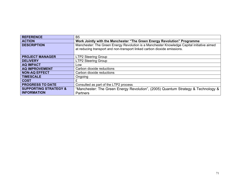| <b>REFERENCE</b>                 | B <sub>5</sub>                                                                             |
|----------------------------------|--------------------------------------------------------------------------------------------|
| <b>ACTION</b>                    | Work Jointly with the Manchester "The Green Energy Revolution" Programme                   |
| <b>DESCRIPTION</b>               | Manchester: The Green Energy Revolution is a Manchester Knowledge Capital initiative aimed |
|                                  | at reducing transport and non-transport linked carbon dioxide emissions.                   |
| <b>PROJECT MANAGER</b>           | <b>LTP2 Steering Group</b>                                                                 |
| <b>DELIVERY</b>                  | <b>LTP2 Steering Group</b>                                                                 |
| <b>AQ IMPACT</b>                 | LOW                                                                                        |
| <b>AQ IMPROVEMENT</b>            | Carbon dioxide reductions                                                                  |
| <b>NON-AQ EFFECT</b>             | Carbon dioxide reductions                                                                  |
| <b>TIMESCALE</b>                 | Ongoing                                                                                    |
| <b>COST</b>                      | £                                                                                          |
| <b>PROGRESS TO DATE</b>          | Consulted as part of the LTP2 process                                                      |
| <b>SUPPORTING STRATEGY &amp;</b> | "Manchester: The Green Energy Revolution", (2005) Quantum Strategy & Technology &          |
| <b>INFORMATION</b>               | <b>Partners</b>                                                                            |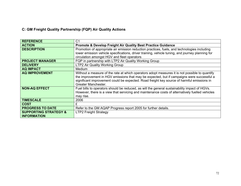## **C: GM Freight Quality Partnership (FQP) Air Quality Actions**

| <b>REFERENCE</b>                 | C1                                                                                               |
|----------------------------------|--------------------------------------------------------------------------------------------------|
| <b>ACTION</b>                    | Promote & Develop Freight Air Quality Best Practice Guidance                                     |
| <b>DESCRIPTION</b>               | Promotion of appropriate air emission reduction practices, fuels, and technologies including     |
|                                  | lower emission vehicle specifications, driver training, vehicle tuning, and journey planning for |
|                                  | circulation amongst HGV and fleet operators                                                      |
| <b>PROJECT MANAGER</b>           | FQP in partnership with LTP2 Air Quality Working Group                                           |
| <b>DELIVERY</b>                  | LTP2 Air Quality Working Group                                                                   |
| <b>AQ IMPACT</b>                 | Medium                                                                                           |
| <b>AQ IMPROVEMENT</b>            | Without a measure of the rate at which operators adopt measures it is not possible to quantify   |
|                                  | the improvement in HGV emissions that may be expected, but if campaigns were successful a        |
|                                  | significant improvement could be expected. Road freight key source of harmful emissions in       |
|                                  | Greater Manchester.                                                                              |
| <b>NON-AQ EFFECT</b>             | Fuel bills to operators should be reduced, as will the general sustainability impact of HGVs.    |
|                                  | However, there is a view that servicing and maintenance costs of alternatively fuelled vehicles  |
|                                  | may rise.                                                                                        |
| <b>TIMESCALE</b>                 | 2006                                                                                             |
| <b>COST</b>                      | £                                                                                                |
| <b>PROGRESS TO DATE</b>          | Refer to the GM AQAP Progress report 2005 for further details.                                   |
| <b>SUPPORTING STRATEGY &amp;</b> | <b>LTP2 Freight Strategy</b>                                                                     |
| <b>INFORMATION</b>               |                                                                                                  |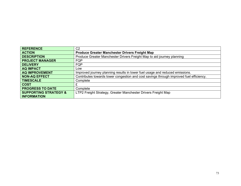| <b>REFERENCE</b>                 | C <sub>2</sub>                                                                          |
|----------------------------------|-----------------------------------------------------------------------------------------|
| <b>ACTION</b>                    | <b>Produce Greater Manchester Drivers Freight Map</b>                                   |
| <b>DESCRIPTION</b>               | Produce Greater Manchester Drivers Freight Map to aid journey planning                  |
| <b>PROJECT MANAGER</b>           | FQP                                                                                     |
| <b>DELIVERY</b>                  | <b>FQP</b>                                                                              |
| <b>AQ IMPACT</b>                 | Low                                                                                     |
| <b>AQ IMPROVEMENT</b>            | Improved journey planning results in lower fuel usage and reduced emissions.            |
| <b>NON-AQ EFFECT</b>             | Contributes towards lower congestion and cost savings through improved fuel efficiency. |
| <b>TIMESCALE</b>                 | Complete                                                                                |
| <b>COST</b>                      |                                                                                         |
| <b>PROGRESS TO DATE</b>          | Complete                                                                                |
| <b>SUPPORTING STRATEGY &amp;</b> | LTP2 Freight Strategy, Greater Manchester Drivers Freight Map                           |
| <b>INFORMATION</b>               |                                                                                         |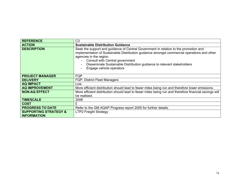| <b>REFERENCE</b>                                       | C <sub>3</sub>                                                                                                                                                                                                                                                                                                                                          |
|--------------------------------------------------------|---------------------------------------------------------------------------------------------------------------------------------------------------------------------------------------------------------------------------------------------------------------------------------------------------------------------------------------------------------|
| <b>ACTION</b>                                          | <b>Sustainable Distribution Guidance</b>                                                                                                                                                                                                                                                                                                                |
| <b>DESCRIPTION</b>                                     | Seek the support and guidance of Central Government in relation to the promotion and<br>implementation of Sustainable Distribution guidance amongst commercial operations and other<br>agencies in the region.<br>Consult with Central government<br>Disseminate Sustainable Distribution guidance to relevant stakeholders<br>Engage vehicle operators |
| <b>PROJECT MANAGER</b>                                 | FQP                                                                                                                                                                                                                                                                                                                                                     |
| <b>DELIVERY</b>                                        | <b>FQP, District Fleet Managers</b>                                                                                                                                                                                                                                                                                                                     |
| <b>AQ IMPACT</b>                                       | Low                                                                                                                                                                                                                                                                                                                                                     |
| <b>AQ IMPROVEMENT</b>                                  | More efficient distribution should lead to fewer miles being run and therefore lower emissions.                                                                                                                                                                                                                                                         |
| <b>NON-AQ EFFECT</b>                                   | More efficient distribution should lead to fewer miles being run and therefore financial savings will<br>be realised.                                                                                                                                                                                                                                   |
| <b>TIMESCALE</b>                                       | 2006                                                                                                                                                                                                                                                                                                                                                    |
| <b>COST</b>                                            | £                                                                                                                                                                                                                                                                                                                                                       |
| <b>PROGRESS TO DATE</b>                                | Refer to the GM AQAP Progress report 2005 for further details.                                                                                                                                                                                                                                                                                          |
| <b>SUPPORTING STRATEGY &amp;</b><br><b>INFORMATION</b> | <b>LTP2 Freight Strategy</b>                                                                                                                                                                                                                                                                                                                            |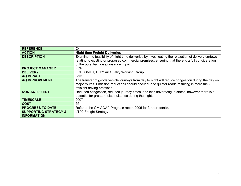| <b>REFERENCE</b>                 | C <sub>4</sub>                                                                                       |
|----------------------------------|------------------------------------------------------------------------------------------------------|
| <b>ACTION</b>                    | <b>Night time Freight Deliveries</b>                                                                 |
| <b>DESCRIPTION</b>               | Examine the feasibility of night-time deliveries by investigating the relaxation of delivery curfews |
|                                  | relating to existing or proposed commercial premises, ensuring that there is a full consideration    |
|                                  | of the potential noise/nuisance impact.                                                              |
| <b>PROJECT MANAGER</b>           | <b>FQP</b>                                                                                           |
| <b>DELIVERY</b>                  | FQP, GMTU, LTP2 Air Quality Working Group                                                            |
| <b>AQ IMPACT</b>                 | Low                                                                                                  |
| <b>AQ IMPROVEMENT</b>            | The transfer of goods vehicle journeys from day to night will reduce congestion during the day on    |
|                                  | major routes. Emission reductions should occur due to quieter roads resulting in more fuel-          |
|                                  | efficient driving practices.                                                                         |
| <b>NON-AQ EFFECT</b>             | Reduced congestion, reduced journey times, and less driver fatigue/stress, however there is a        |
|                                  | potential for greater noise nuisance during the night.                                               |
| <b>TIMESCALE</b>                 | 2007                                                                                                 |
| <b>COST</b>                      | ££                                                                                                   |
| <b>PROGRESS TO DATE</b>          | Refer to the GM AQAP Progress report 2005 for further details.                                       |
| <b>SUPPORTING STRATEGY &amp;</b> | <b>LTP2 Freight Strategy</b>                                                                         |
| <b>INFORMATION</b>               |                                                                                                      |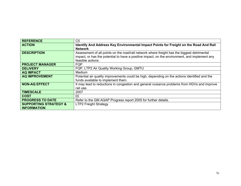| <b>REFERENCE</b>                 | C <sub>5</sub>                                                                                                                                                                               |
|----------------------------------|----------------------------------------------------------------------------------------------------------------------------------------------------------------------------------------------|
| <b>ACTION</b>                    | Identify And Address Key Environmental Impact Points for Freight on the Road And Rail                                                                                                        |
|                                  | <b>Network</b>                                                                                                                                                                               |
| <b>DESCRIPTION</b>               | Assessment of all points on the road/rail network where freight has the biggest detrimental<br>impact, or has the potential to have a positive impact, on the environment, and implement any |
|                                  | feasible actions.                                                                                                                                                                            |
| <b>PROJECT MANAGER</b>           | FQP                                                                                                                                                                                          |
| <b>DELIVERY</b>                  | FQP, LTP2 Air Quality Working Group, GMTU                                                                                                                                                    |
| <b>AQ IMPACT</b>                 | Medium                                                                                                                                                                                       |
| <b>AQ IMPROVEMENT</b>            | Potential air quality improvements could be high, depending on the actions identified and the                                                                                                |
|                                  | funds available to implement them.                                                                                                                                                           |
| <b>NON-AQ EFFECT</b>             | It may lead to reductions in congestion and general nuisance problems from HGVs and improve                                                                                                  |
|                                  | rail use.                                                                                                                                                                                    |
| <b>TIMESCALE</b>                 | 2007                                                                                                                                                                                         |
| <b>COST</b>                      | ££                                                                                                                                                                                           |
| <b>PROGRESS TO DATE</b>          | Refer to the GM AQAP Progress report 2005 for further details.                                                                                                                               |
| <b>SUPPORTING STRATEGY &amp;</b> | <b>LTP2 Freight Strategy</b>                                                                                                                                                                 |
| <b>INFORMATION</b>               |                                                                                                                                                                                              |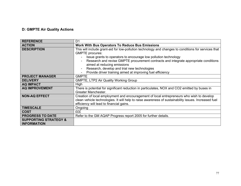### **D: GMPTE Air Quality Actions**

| <b>REFERENCE</b>                                       | D <sub>1</sub>                                                                                       |
|--------------------------------------------------------|------------------------------------------------------------------------------------------------------|
| <b>ACTION</b>                                          | <b>Work With Bus Operators To Reduce Bus Emissions</b>                                               |
| <b>DESCRIPTION</b>                                     | This will include grant-aid for low-pollution technology and changes to conditions for services that |
|                                                        | <b>GMPTE</b> procures:                                                                               |
|                                                        | Issue grants to operators to encourage low pollution technology                                      |
|                                                        | Research and revise GMPTE procurement contracts and integrate appropriate conditions                 |
|                                                        | aimed at reducing emissions                                                                          |
|                                                        | Research, develop and trial new technologies                                                         |
|                                                        | Provide driver training aimed at improving fuel efficiency                                           |
| <b>PROJECT MANAGER</b>                                 | <b>GMPTE</b>                                                                                         |
| <b>DELIVERY</b>                                        | <b>GMPTE, LTP2 Air Quality Working Group</b>                                                         |
| <b>AQ IMPACT</b>                                       | High                                                                                                 |
| <b>AQ IMPROVEMENT</b>                                  | There is potential for significant reduction in particulates, NOX and CO2 emitted by buses in        |
|                                                        | Greater Manchester.                                                                                  |
| <b>NON-AQ EFFECT</b>                                   | Creation of local employment and encouragement of local entrepreneurs who wish to develop            |
|                                                        | clean vehicle technologies. It will help to raise awareness of sustainability issues. Increased fuel |
|                                                        | efficiency will lead to financial gains.                                                             |
| <b>TIMESCALE</b>                                       | Ongoing                                                                                              |
| <b>COST</b>                                            | £££                                                                                                  |
| <b>PROGRESS TO DATE</b>                                | Refer to the GM AQAP Progress report 2005 for further details.                                       |
| <b>SUPPORTING STRATEGY &amp;</b><br><b>INFORMATION</b> |                                                                                                      |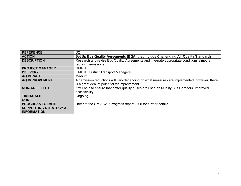| <b>REFERENCE</b>                                       | D <sub>2</sub>                                                                               |
|--------------------------------------------------------|----------------------------------------------------------------------------------------------|
| <b>ACTION</b>                                          | Set Up Bus Quality Agreements (BQA) that Include Challenging Air Quality Standards           |
| <b>DESCRIPTION</b>                                     | Research and revise Bus Quality Agreements and integrate appropriate conditions aimed at     |
|                                                        | reducing emissions.                                                                          |
| <b>PROJECT MANAGER</b>                                 | <b>GMPTE</b>                                                                                 |
| <b>DELIVERY</b>                                        | <b>GMPTE, District Transport Managers</b>                                                    |
| <b>AQ IMPACT</b>                                       | Medium                                                                                       |
| <b>AQ IMPROVEMENT</b>                                  | Air emission reductions will vary depending on what measures are implemented; however, there |
|                                                        | is a great deal of potential for improvement.                                                |
| <b>NON-AQ EFFECT</b>                                   | It will help to ensure that better quality buses are used on Quality Bus Corridors. Improved |
|                                                        | accessibility.                                                                               |
| <b>TIMESCALE</b>                                       | Ongoing                                                                                      |
| <b>COST</b>                                            | ££                                                                                           |
| <b>PROGRESS TO DATE</b>                                | Refer to the GM AQAP Progress report 2005 for further details.                               |
| <b>SUPPORTING STRATEGY &amp;</b><br><b>INFORMATION</b> |                                                                                              |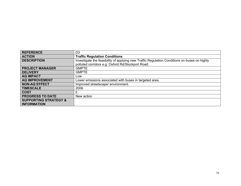| <b>REFERENCE</b>                 | D <sub>3</sub>                                                                               |
|----------------------------------|----------------------------------------------------------------------------------------------|
| <b>ACTION</b>                    | <b>Traffic Regulation Conditions</b>                                                         |
| <b>DESCRIPTION</b>               | Investigate the feasibility of applying new Traffic Regulation Conditions on buses on highly |
|                                  | polluted corridors e.g. Oxford Rd/Stockport Road.                                            |
| <b>PROJECT MANAGER</b>           | <b>GMPTE</b>                                                                                 |
| <b>DELIVERY</b>                  | <b>GMPTE</b>                                                                                 |
| <b>AQ IMPACT</b>                 | Low                                                                                          |
| <b>AQ IMPROVEMENT</b>            | Lower emissions associated with buses in targeted area.                                      |
| <b>NON-AQ EFFECT</b>             | Improved streetscape/environment.                                                            |
| <b>TIMESCALE</b>                 | 2006                                                                                         |
| <b>COST</b>                      | £                                                                                            |
| <b>PROGRESS TO DATE</b>          | New action                                                                                   |
| <b>SUPPORTING STRATEGY &amp;</b> |                                                                                              |
| <b>INFORMATION</b>               |                                                                                              |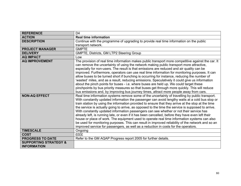| <b>REFERENCE</b>                                       | D <sub>4</sub>                                                                                                                                                                                                                                                                                                                                                                                                                                                                                                                                                                                                                                                                                                                                                                                                                                                                                             |
|--------------------------------------------------------|------------------------------------------------------------------------------------------------------------------------------------------------------------------------------------------------------------------------------------------------------------------------------------------------------------------------------------------------------------------------------------------------------------------------------------------------------------------------------------------------------------------------------------------------------------------------------------------------------------------------------------------------------------------------------------------------------------------------------------------------------------------------------------------------------------------------------------------------------------------------------------------------------------|
| <b>ACTION</b>                                          | <b>Real time information</b>                                                                                                                                                                                                                                                                                                                                                                                                                                                                                                                                                                                                                                                                                                                                                                                                                                                                               |
| <b>DESCRIPTION</b>                                     | Continue with the programme of upgrading to provide real time information on the public                                                                                                                                                                                                                                                                                                                                                                                                                                                                                                                                                                                                                                                                                                                                                                                                                    |
|                                                        | transport network.                                                                                                                                                                                                                                                                                                                                                                                                                                                                                                                                                                                                                                                                                                                                                                                                                                                                                         |
| <b>PROJECT MANAGER</b>                                 | <b>GMPTE</b>                                                                                                                                                                                                                                                                                                                                                                                                                                                                                                                                                                                                                                                                                                                                                                                                                                                                                               |
| <b>DELIVERY</b>                                        | GMPTE, Districts, GM LTP2 Steering Group                                                                                                                                                                                                                                                                                                                                                                                                                                                                                                                                                                                                                                                                                                                                                                                                                                                                   |
| <b>AQ IMPACT</b>                                       | Low                                                                                                                                                                                                                                                                                                                                                                                                                                                                                                                                                                                                                                                                                                                                                                                                                                                                                                        |
| <b>AQ IMPROVEMENT</b>                                  | The provision of real time information makes public transport more competitive against the car. It<br>can remove the uncertainty of using the network making public transport more attractive,<br>especially for non-users. The result is that emissions are reduced and air quality can be<br>improved. Furthermore, operators can use real time information for monitoring purposes. It can<br>allow buses to be turned short if bunching is occurring for instance, reducing the number of<br>'wasted' miles, and as a result, reducing emissions. Speculatively it could give us information<br>about the pinch points for buses - i.e. where buses are held up. We could target these<br>pinchpoints by bus priority measures so that buses get through more quickly. This will reduce<br>bus emissions and, by improving bus journey times, attract more people away from cars.                      |
| <b>NON-AQ EFFECT</b>                                   | Real time information systems remove some of the uncertainty of travelling by public transport.<br>With constantly updated information the passenger can avoid lengthy waits at a cold bus stop or<br>train station by using the information provided to ensure that they arrive at the stop at the time<br>the service is actually going to arrive, as opposed to the time the service is supposed to arrive.<br>With constantly updated information passengers can see whether or not their service has<br>already left, is running late, or even if it has been cancelled, before they have even left their<br>house or place of work. The equipment used to operate real time information systems can also<br>be used for monitoring purposes. This can result in improved reliability of the network and so an<br>improved service for passengers, as well as a reduction in costs for the operators. |
| <b>TIMESCALE</b>                                       | Ongoing                                                                                                                                                                                                                                                                                                                                                                                                                                                                                                                                                                                                                                                                                                                                                                                                                                                                                                    |
| <b>COST</b>                                            | <b>EEEE</b>                                                                                                                                                                                                                                                                                                                                                                                                                                                                                                                                                                                                                                                                                                                                                                                                                                                                                                |
| <b>PROGRESS TO DATE</b>                                | Refer to the GM AQAP Progress report 2005 for further details.                                                                                                                                                                                                                                                                                                                                                                                                                                                                                                                                                                                                                                                                                                                                                                                                                                             |
| <b>SUPPORTING STRATEGY &amp;</b><br><b>INFORMATION</b> |                                                                                                                                                                                                                                                                                                                                                                                                                                                                                                                                                                                                                                                                                                                                                                                                                                                                                                            |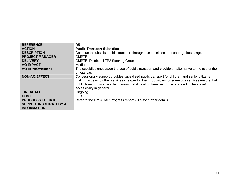| <b>REFERENCE</b>                                       | D <sub>5</sub>                                                                                                                                                                                                                                                                                                           |
|--------------------------------------------------------|--------------------------------------------------------------------------------------------------------------------------------------------------------------------------------------------------------------------------------------------------------------------------------------------------------------------------|
| <b>ACTION</b>                                          | <b>Public Transport Subsidies</b>                                                                                                                                                                                                                                                                                        |
| <b>DESCRIPTION</b>                                     | Continue to subsidise public transport through bus subsidies to encourage bus usage.                                                                                                                                                                                                                                     |
| <b>PROJECT MANAGER</b>                                 | <b>GMPTE</b>                                                                                                                                                                                                                                                                                                             |
| <b>DELIVERY</b>                                        | GMPTE, Districts, LTP2 Steering Group                                                                                                                                                                                                                                                                                    |
| <b>AQ IMPACT</b>                                       | Medium                                                                                                                                                                                                                                                                                                                   |
| <b>AQ IMPROVEMENT</b>                                  | The subsidies encourage the use of public transport and provide an alternative to the use of the                                                                                                                                                                                                                         |
|                                                        | private car.                                                                                                                                                                                                                                                                                                             |
| <b>NON-AQ EFFECT</b>                                   | Concessionary support provides subsidised public transport for children and senior citizens<br>making access to other services cheaper for them. Subsidies for some bus services ensure that<br>public transport is available in areas that it would otherwise not be provided in. Improved<br>accessibility in general. |
| <b>TIMESCALE</b>                                       | Ongoing                                                                                                                                                                                                                                                                                                                  |
| <b>COST</b>                                            | <b>EEEE</b>                                                                                                                                                                                                                                                                                                              |
| <b>PROGRESS TO DATE</b>                                | Refer to the GM AQAP Progress report 2005 for further details.                                                                                                                                                                                                                                                           |
| <b>SUPPORTING STRATEGY &amp;</b><br><b>INFORMATION</b> |                                                                                                                                                                                                                                                                                                                          |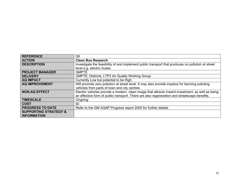| <b>REFERENCE</b>                 | D <sub>6</sub>                                                                                     |
|----------------------------------|----------------------------------------------------------------------------------------------------|
| <b>ACTION</b>                    | <b>Clean Bus Research</b>                                                                          |
| <b>DESCRIPTION</b>               | Investigate the feasibility of and implement public transport that produces no pollution at street |
|                                  | level e.g. electric buses.                                                                         |
| <b>PROJECT MANAGER</b>           | <b>GMPTE</b>                                                                                       |
| <b>DELIVERY</b>                  | GMPTE, Districts, LTP2 Air Quality Working Group                                                   |
| <b>AQ IMPACT</b>                 | Currently Low but potential to be High                                                             |
| <b>AQ IMPROVEMENT</b>            | Will promote zero pollution at street level. It may also provide impetus for banning polluting     |
|                                  | vehicles from parts of town and city centres                                                       |
| <b>NON-AQ EFFECT</b>             | Electric vehicles provide a modern, clean image that attracts inward investment, as well as being  |
|                                  | an effective form of public transport. There are also regeneration and streetscape benefits.       |
| <b>TIMESCALE</b>                 | Ongoing                                                                                            |
| <b>COST</b>                      | ££                                                                                                 |
| <b>PROGRESS TO DATE</b>          | Refer to the GM AQAP Progress report 2005 for further details.                                     |
| <b>SUPPORTING STRATEGY &amp;</b> |                                                                                                    |
| <b>INFORMATION</b>               |                                                                                                    |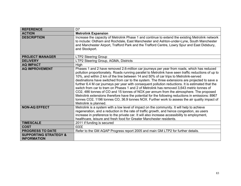| <b>REFERENCE</b>                                       | D <sub>7</sub>                                                                                                                                                                                                                                                                                                                                                                                                                                                                                                                                                                                                                                                                                                                                                                                                                                                                                                             |
|--------------------------------------------------------|----------------------------------------------------------------------------------------------------------------------------------------------------------------------------------------------------------------------------------------------------------------------------------------------------------------------------------------------------------------------------------------------------------------------------------------------------------------------------------------------------------------------------------------------------------------------------------------------------------------------------------------------------------------------------------------------------------------------------------------------------------------------------------------------------------------------------------------------------------------------------------------------------------------------------|
| <b>ACTION</b>                                          | <b>Metrolink Expansion</b>                                                                                                                                                                                                                                                                                                                                                                                                                                                                                                                                                                                                                                                                                                                                                                                                                                                                                                 |
| <b>DESCRIPTION</b>                                     | Increase the capacity of Metrolink Phase 1 and continue to extend the existing Metrolink network<br>to include: Oldham and Rochdale, East Manchester and Ashton-under-Lyne, South Manchester<br>and Manchester Airport, Trafford Park and the Trafford Centre, Lowry Spur and East Didsbury,<br>and Stockport.                                                                                                                                                                                                                                                                                                                                                                                                                                                                                                                                                                                                             |
| <b>PROJECT MANAGER</b>                                 | <b>LTP2 Steering Group</b>                                                                                                                                                                                                                                                                                                                                                                                                                                                                                                                                                                                                                                                                                                                                                                                                                                                                                                 |
| <b>DELIVERY</b>                                        | LTP2 Steering Group, AGMA, Districts                                                                                                                                                                                                                                                                                                                                                                                                                                                                                                                                                                                                                                                                                                                                                                                                                                                                                       |
| <b>AQ IMPACT</b>                                       | High                                                                                                                                                                                                                                                                                                                                                                                                                                                                                                                                                                                                                                                                                                                                                                                                                                                                                                                       |
| <b>AQ IMPROVEMENT</b>                                  | Phases 1 and 2 have removed 2.6-million car journeys per year from roads, which has reduced<br>pollution proportionately. Roads running parallel to Metrolink have seen traffic reductions of up to<br>10%, and within 2 km of the line between 14 and 50% of car trips to Metrolink-served<br>destinations have switched from car to the system. The three extensions are projected to save a<br>further 6.4 M car journeys per year with consequent pollution reductions. It is estimated that the<br>switch from car to tram on Phases 1 and 2 of Metrolink has removed 3,643 metric tonnes of<br>CO2, 486 tonnes of CO and 15 tonnes of NOX per annum from the atmosphere. The proposed<br>Metrolink extensions therefore have the potential for the following reductions in emissions: 8967<br>tonnes CO2, 1196 tonnes CO, 36.9 tonnes NOX. Further work to assess the air quality impact of<br>Metrolink is planned. |
| <b>NON-AQ EFFECT</b>                                   | Metrolink is a system with a low level of impact on the community. It will help to achieve<br>regeneration, and a reduction in the rate of traffic growth, and hence congestion, as users<br>increase in preference to the private car. It will also increase accessibility to employment,<br>healthcare, leisure and fresh food for Greater Manchester residents.                                                                                                                                                                                                                                                                                                                                                                                                                                                                                                                                                         |
| <b>TIMESCALE</b>                                       | 2011 if funding is secured                                                                                                                                                                                                                                                                                                                                                                                                                                                                                                                                                                                                                                                                                                                                                                                                                                                                                                 |
| <b>COST</b>                                            | <b>EEEE</b>                                                                                                                                                                                                                                                                                                                                                                                                                                                                                                                                                                                                                                                                                                                                                                                                                                                                                                                |
| <b>PROGRESS TO DATE</b>                                | Refer to the GM AQAP Progress report 2005 and main GM LTP2 for further details.                                                                                                                                                                                                                                                                                                                                                                                                                                                                                                                                                                                                                                                                                                                                                                                                                                            |
| <b>SUPPORTING STRATEGY &amp;</b><br><b>INFORMATION</b> |                                                                                                                                                                                                                                                                                                                                                                                                                                                                                                                                                                                                                                                                                                                                                                                                                                                                                                                            |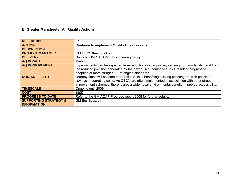## **E: Greater Manchester Air Quality Actions**

| <b>REFERENCE</b>                 | E1                                                                                              |
|----------------------------------|-------------------------------------------------------------------------------------------------|
| <b>ACTION</b>                    | <b>Continue to implement Quality Bus Corridors</b>                                              |
| <b>DESCRIPTION</b>               |                                                                                                 |
| <b>PROJECT MANAGER</b>           | <b>GM LTP2 Steering Group</b>                                                                   |
| <b>DELIVERY</b>                  | Districts, GMPTE, GM LTP2 Steering Group                                                        |
| <b>AQ IMPACT</b>                 | Medium                                                                                          |
| <b>AQ IMPROVEMENT</b>            | Improvements can be expected from reductions in car journeys arising from modal shift and from  |
|                                  | the reduced pollution generated by the new buses themselves, as a result of progressive         |
|                                  | adoption of more stringent Euro engine standards                                                |
| <b>NON-AQ EFFECT</b>             | Journey times will become more reliable, thus benefiting existing passengers, with possible     |
|                                  | savings in operating costs. As QBC's are often implemented in association with other street     |
|                                  | improvement schemes, there is also a wider local environmental benefit. Improved accessibility. |
| <b>TIMESCALE</b>                 | Ongoing until 2009                                                                              |
| <b>COST</b>                      | EEEE                                                                                            |
| <b>PROGRESS TO DATE</b>          | Refer to the GM AQAP Progress report 2005 for further details.                                  |
| <b>SUPPORTING STRATEGY &amp;</b> | <b>GM Bus Strategy</b>                                                                          |
| <b>INFORMATION</b>               |                                                                                                 |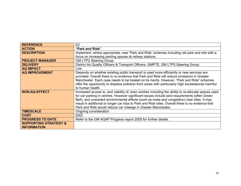| <b>REFERENCE</b>                 | E2                                                                                                                                                                                      |
|----------------------------------|-----------------------------------------------------------------------------------------------------------------------------------------------------------------------------------------|
| <b>ACTION</b>                    | "Park and Ride"                                                                                                                                                                         |
| <b>DESCRIPTION</b>               | Implement, where appropriate, new "Park and Ride" schemes including rail park and ride with a                                                                                           |
|                                  | focus on increasing parking spaces at railway stations.                                                                                                                                 |
| <b>PROJECT MANAGER</b>           | <b>GM LTP2 Steering Group</b>                                                                                                                                                           |
| <b>DELIVERY</b>                  | District Air Quality Officers & Transport Officers, GMPTE, GM LTP2 Steering Group                                                                                                       |
| <b>AQ IMPACT</b>                 | Low                                                                                                                                                                                     |
| <b>AQ IMPROVEMENT</b>            | Depends on whether existing public transport is used more efficiently or new services are<br>provided. Overall there is no evidence that Park and Ride will reduce emissions in Greater |
|                                  | Manchester. Each case needs to be treated on its merits. However, "Park and Ride" schemes                                                                                               |
|                                  | offer the opportunity to displace pollution from areas with particularly high exceedances harmful                                                                                       |
|                                  | to human health.                                                                                                                                                                        |
| <b>NON-AQ EFFECT</b>             | Increased access to, and viability of, town centres including the ability to re-allocate spaces used                                                                                    |
|                                  | for car parking in centres. However significant issues include land requirements (often Green                                                                                           |
|                                  | Belt), and unwanted environmental effects (such as noise and congestion) near sites. It may                                                                                             |
|                                  | result in additional or longer car trips to Park and Ride sites. Overall there is no evidence that                                                                                      |
|                                  | Park and Ride would reduce car mileage in Greater Manchester.                                                                                                                           |
| <b>TIMESCALE</b>                 | Ongoing consideration                                                                                                                                                                   |
| <b>COST</b>                      | EEEE                                                                                                                                                                                    |
| <b>PROGRESS TO DATE</b>          | Refer to the GM AQAP Progress report 2005 for further details.                                                                                                                          |
| <b>SUPPORTING STRATEGY &amp;</b> |                                                                                                                                                                                         |
| <b>INFORMATION</b>               |                                                                                                                                                                                         |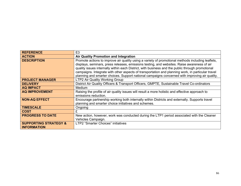| <b>REFERENCE</b>                 | E <sub>3</sub>                                                                                    |
|----------------------------------|---------------------------------------------------------------------------------------------------|
| <b>ACTION</b>                    | <b>Air Quality Promotion and Integration</b>                                                      |
| <b>DESCRIPTION</b>               | Promote actions to improve air quality using a variety of promotional methods including leaflets, |
|                                  | displays, seminars, press releases, emissions testing, and websites. Raise awareness of air       |
|                                  | quality issues internally within each District, with business and the public through promotional  |
|                                  | campaigns. Integrate with other aspects of transportation and planning work, in particular travel |
|                                  | planning and smarter choices. Support national campaigns concerned with improving air quality.    |
| <b>PROJECT MANAGER</b>           | LTP2 Air Quality Working Group                                                                    |
| <b>DELIVERY</b>                  | District Air Quality Officers & Transport Officers, GMPTE, Sustainable Travel Co-ordinators       |
| <b>AQ IMPACT</b>                 | Medium                                                                                            |
| <b>AQ IMPROVEMENT</b>            | Raising the profile of air quality issues will result a more holistic and effective approach to   |
|                                  | emissions reduction.                                                                              |
| <b>NON-AQ EFFECT</b>             | Encourage partnership working both internally within Districts and externally. Supports travel    |
|                                  | planning and smarter choice initiatives and schemes.                                              |
| <b>TIMESCALE</b>                 | Ongoing                                                                                           |
| <b>COST</b>                      | £                                                                                                 |
| <b>PROGRESS TO DATE</b>          | New action, however, work was conducted during the LTP1 period associated with the Cleaner        |
|                                  | Vehicles Campaign.                                                                                |
| <b>SUPPORTING STRATEGY &amp;</b> | <b>LTP2 "Smarter Choices" initiatives</b>                                                         |
| <b>INFORMATION</b>               |                                                                                                   |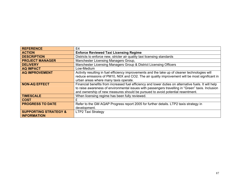| <b>REFERENCE</b>                 | E4                                                                                                    |
|----------------------------------|-------------------------------------------------------------------------------------------------------|
| <b>ACTION</b>                    | <b>Enforce Reviewed Taxi Licensing Regime</b>                                                         |
| <b>DESCRIPTION</b>               | Districts to enforce new, stricter air quality taxi licensing standards                               |
| <b>PROJECT MANAGER</b>           | Manchester Licensing Managers Group,                                                                  |
| <b>DELIVERY</b>                  | Manchester Licensing Managers Group & District Licensing Officers                                     |
| <b>AQ IMPACT</b>                 | Low-Medium                                                                                            |
| <b>AQ IMPROVEMENT</b>            | Activity resulting in fuel efficiency improvements and the take up of cleaner technologies will       |
|                                  | reduce emissions of PM10, N0X and CO2. The air quality improvement will be most significant in        |
|                                  | urban areas where many taxis operate.                                                                 |
| <b>NON-AQ EFFECT</b>             | Financial benefits from increased fuel efficiency and lower duties on alternative fuels. It will help |
|                                  | to raise awareness of environmental issues with passengers travelling in "Green" taxis. Inclusion     |
|                                  | and ownership of new measures should be pursued to avoid potential resentment.                        |
| <b>TIMESCALE</b>                 | When licensing regime has been fully reviewed.                                                        |
| <b>COST</b>                      | £                                                                                                     |
| <b>PROGRESS TO DATE</b>          | Refer to the GM AQAP Progress report 2005 for further details. LTP2 taxis strategy in                 |
|                                  | development.                                                                                          |
| <b>SUPPORTING STRATEGY &amp;</b> | <b>LTP2 Taxi Strategy</b>                                                                             |
| <b>INFORMATION</b>               |                                                                                                       |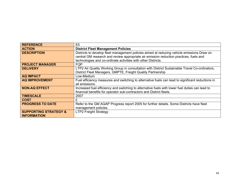| <b>REFERENCE</b>                 | E5                                                                                                |
|----------------------------------|---------------------------------------------------------------------------------------------------|
| <b>ACTION</b>                    | <b>District Fleet Management Policies</b>                                                         |
| <b>DESCRIPTION</b>               | Districts to develop fleet management policies aimed at reducing vehicle emissions Draw on        |
|                                  | central GM research and review appropriate air emission reduction practices, fuels and            |
|                                  | technologies and co-ordinate activities with other Districts.                                     |
| <b>PROJECT MANAGER</b>           | <b>FQP</b>                                                                                        |
| <b>DELIVERY</b>                  | LTP2 Air Quality Working Group in consultation with District Sustainable Travel Co-ordinators,    |
|                                  | District Fleet Managers, GMPTE, Freight Quality Partnership                                       |
| <b>AQ IMPACT</b>                 | Low-Medium                                                                                        |
| <b>AQ IMPROVEMENT</b>            | Fuel efficiency measures and switching to alternative fuels can lead to significant reductions in |
|                                  | all emissions.                                                                                    |
| <b>NON-AQ EFFECT</b>             | Increased fuel efficiency and switching to alternative fuels with lower fuel duties can lead to   |
|                                  | financial benefits for operator sub-contractors and District fleets.                              |
| <b>TIMESCALE</b>                 | 2007                                                                                              |
| <b>COST</b>                      |                                                                                                   |
| <b>PROGRESS TO DATE</b>          | Refer to the GM AQAP Progress report 2005 for further details. Some Districts have fleet          |
|                                  | management policies.                                                                              |
| <b>SUPPORTING STRATEGY &amp;</b> | <b>LTP2 Freight Strategy</b>                                                                      |
| <b>INFORMATION</b>               |                                                                                                   |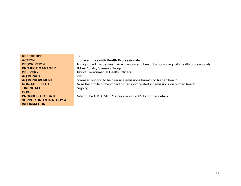| <b>REFERENCE</b>                 | E <sub>6</sub>                                                                                |
|----------------------------------|-----------------------------------------------------------------------------------------------|
| <b>ACTION</b>                    | Improve Links with Health Professionals.                                                      |
| <b>DESCRIPTION</b>               | Highlight the links between air emissions and health by consulting with health professionals. |
| <b>PROJECT MANAGER</b>           | <b>GM Air Quality Steering Group</b>                                                          |
| <b>DELIVERY</b>                  | <b>District Environmental Health Officers</b>                                                 |
| <b>AQ IMPACT</b>                 | Low                                                                                           |
| <b>AQ IMPROVEMENT</b>            | Increased support to help reduce emissions harmful to human health.                           |
| <b>NON-AQ EFFECT</b>             | Raise the profile of the impact of transport related air emissions on human health.           |
| <b>TIMESCALE</b>                 | Ongoing                                                                                       |
| <b>COST</b>                      | £                                                                                             |
| <b>PROGRESS TO DATE</b>          | Refer to the GM AQAP Progress report 2005 for further details                                 |
| <b>SUPPORTING STRATEGY &amp;</b> |                                                                                               |
| <b>INFORMATION</b>               |                                                                                               |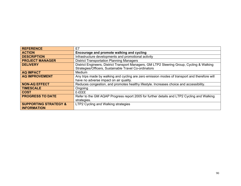| <b>REFERENCE</b>                 | E7                                                                                            |
|----------------------------------|-----------------------------------------------------------------------------------------------|
| <b>ACTION</b>                    | Encourage and promote walking and cycling                                                     |
| <b>DESCRIPTION</b>               | Infrastructure developments and promotional activity                                          |
| <b>PROJECT MANAGER</b>           | <b>District Transportation Planning Managers</b>                                              |
| <b>DELIVERY</b>                  | District Engineers, District Transport Managers, GM LTP2 Steering Group, Cycling & Walking    |
|                                  | Strategies/Officers, Sustainable Travel Co-ordinators                                         |
| <b>AQ IMPACT</b>                 | <b>Medium</b>                                                                                 |
| <b>AQ IMPROVEMENT</b>            | Any trips made by walking and cycling are zero emission modes of transport and therefore will |
|                                  | have no adverse impact on air quality.                                                        |
| <b>NON-AQ EFFECT</b>             | Reduces congestion, and promotes healthy lifestyle. Increases choice and accessibility.       |
| <b>TIMESCALE</b>                 | Ongoing                                                                                       |
| <b>COST</b>                      | £-££££                                                                                        |
| <b>PROGRESS TO DATE</b>          | Refer to the GM AQAP Progress report 2005 for further details and LTP2 Cycling and Walking    |
|                                  | strategies.                                                                                   |
| <b>SUPPORTING STRATEGY &amp;</b> | LTP2 Cycling and Walking strategies                                                           |
| <b>INFORMATION</b>               |                                                                                               |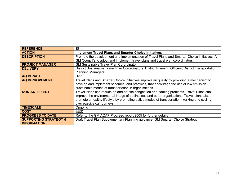| <b>REFERENCE</b>                 | E8                                                                                                  |
|----------------------------------|-----------------------------------------------------------------------------------------------------|
| <b>ACTION</b>                    | <b>Implement Travel Plans and Smarter Choice Initiatives</b>                                        |
| <b>DESCRIPTION</b>               | Promote the development and implementation of Travel Plans and Smarter Choice initiatives. All      |
|                                  | GM Council's to adopt and implement travel plans and travel plan co-ordinators.                     |
| <b>PROJECT MANAGER</b>           | <b>GM Sustainable Travel Plan Co-ordinator</b>                                                      |
| <b>DELIVERY</b>                  | District Sustainable Travel Plan Co-ordinators, District Planning Officers, District Transportation |
|                                  | <b>Planning Managers</b>                                                                            |
| <b>AQ IMPACT</b>                 | High                                                                                                |
| <b>AQ IMPROVEMENT</b>            | Travel Plans and Smarter Choice initiatives improve air quality by providing a mechanism to         |
|                                  | develop and implement schemes, and practices, that encourage the use of low emission                |
|                                  | sustainable modes of transportation in organisations.                                               |
| <b>NON-AQ EFFECT</b>             | Travel Plans can reduce on and off-site congestion and parking problems. Travel Plans can           |
|                                  | improve the environmental image of businesses and other organisations. Travel plans also            |
|                                  | promote a healthy lifestyle by promoting active modes of transportation (walking and cycling)       |
|                                  | over passive car journeys.                                                                          |
| <b>TIMESCALE</b>                 | Ongoing                                                                                             |
| <b>COST</b>                      | EEEE                                                                                                |
| <b>PROGRESS TO DATE</b>          | Refer to the GM AQAP Progress report 2005 for further details                                       |
| <b>SUPPORTING STRATEGY &amp;</b> | Draft Travel Plan Supplementary Planning guidance, GM Smarter Choice Strategy                       |
| <b>INFORMATION</b>               |                                                                                                     |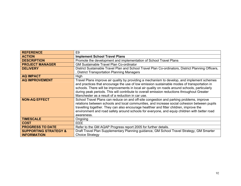| <b>REFERENCE</b>                                       | E <sub>9</sub>                                                                                                                                                                                                                                                                                                                                                                                                                                   |
|--------------------------------------------------------|--------------------------------------------------------------------------------------------------------------------------------------------------------------------------------------------------------------------------------------------------------------------------------------------------------------------------------------------------------------------------------------------------------------------------------------------------|
| <b>ACTION</b>                                          | <b>Implement School Travel Plans</b>                                                                                                                                                                                                                                                                                                                                                                                                             |
| <b>DESCRIPTION</b>                                     | Promote the development and implementation of School Travel Plans                                                                                                                                                                                                                                                                                                                                                                                |
| <b>PROJECT MANAGER</b>                                 | <b>GM Sustainable Travel Plan Co-ordinator</b>                                                                                                                                                                                                                                                                                                                                                                                                   |
| <b>DELIVERY</b>                                        | District Sustainable Travel Plan and School Travel Plan Co-ordinators, District Planning Officers,                                                                                                                                                                                                                                                                                                                                               |
|                                                        | <b>District Transportation Planning Managers</b>                                                                                                                                                                                                                                                                                                                                                                                                 |
| <b>AQ IMPACT</b>                                       | High                                                                                                                                                                                                                                                                                                                                                                                                                                             |
| <b>AQ IMPROVEMENT</b>                                  | Travel Plans improve air quality by providing a mechanism to develop, and implement schemes<br>and practices that encourage the use of low emission sustainable modes of transportation in<br>schools. There will be improvements in local air quality on roads around schools, particularly<br>during peak periods. This will contribute to overall emission reductions throughout Greater<br>Manchester as a result of a reduction in car use. |
| <b>NON-AQ EFFECT</b>                                   | School Travel Plans can reduce on and off-site congestion and parking problems, improve<br>relations between schools and local communities, and increase social cohesion between pupils<br>travelling together. They can also encourage healthier and fitter children, improve the<br>environment and road safety around schools for everyone, and equip children with better road<br>awareness.                                                 |
| <b>TIMESCALE</b>                                       | Ongoing                                                                                                                                                                                                                                                                                                                                                                                                                                          |
| <b>COST</b>                                            | <b>EEEE</b>                                                                                                                                                                                                                                                                                                                                                                                                                                      |
| <b>PROGRESS TO DATE</b>                                | Refer to the GM AQAP Progress report 2005 for further details.                                                                                                                                                                                                                                                                                                                                                                                   |
| <b>SUPPORTING STRATEGY &amp;</b><br><b>INFORMATION</b> | Draft Travel Plan Supplementary Planning guidance, GM School Travel Strategy, GM Smarter<br><b>Choice Strategy</b>                                                                                                                                                                                                                                                                                                                               |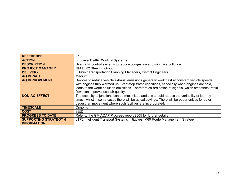| <b>REFERENCE</b>                                       | E <sub>10</sub>                                                                                                                                                                                                                                                                                                                             |
|--------------------------------------------------------|---------------------------------------------------------------------------------------------------------------------------------------------------------------------------------------------------------------------------------------------------------------------------------------------------------------------------------------------|
| <b>ACTION</b>                                          | <b>Improve Traffic Control Systems</b>                                                                                                                                                                                                                                                                                                      |
| <b>DESCRIPTION</b>                                     | Use traffic control systems to reduce congestion and minimise pollution                                                                                                                                                                                                                                                                     |
| <b>PROJECT MANAGER</b>                                 | <b>GM LTP2 Steering Group</b>                                                                                                                                                                                                                                                                                                               |
| <b>DELIVERY</b>                                        | District Transportation Planning Managers, District Engineers                                                                                                                                                                                                                                                                               |
| <b>AQ IMPACT</b>                                       | <b>Medium</b>                                                                                                                                                                                                                                                                                                                               |
| <b>AQ IMPROVEMENT</b>                                  | Devices to reduce vehicle exhaust emissions generally work best at constant vehicle speeds,<br>with engines fully warmed up. Start-stop traffic conditions, especially when engines are cold,<br>leads to the worst pollution emissions. Therefore co-ordination of signals, which smoothes traffic<br>flow, can improve local air quality. |
| <b>NON-AQ EFFECT</b>                                   | The capacity of junctions can be maximised and this should reduce the variability of journey<br>times, whilst in some cases there will be actual savings. There will be opportunities for safer<br>pedestrian movement where such facilities are incorporated.                                                                              |
| <b>TIMESCALE</b>                                       | Ongoing                                                                                                                                                                                                                                                                                                                                     |
| <b>COST</b>                                            | EEEE                                                                                                                                                                                                                                                                                                                                        |
| <b>PROGRESS TO DATE</b>                                | Refer to the GM AQAP Progress report 2005 for further details                                                                                                                                                                                                                                                                               |
| <b>SUPPORTING STRATEGY &amp;</b><br><b>INFORMATION</b> | LTP2 Intelligent Transport Systems initiatives, M60 Route Management Strategy                                                                                                                                                                                                                                                               |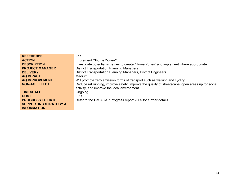| <b>REFERENCE</b>                 | E <sub>11</sub>                                                                                  |
|----------------------------------|--------------------------------------------------------------------------------------------------|
| <b>ACTION</b>                    | Implement "Home Zones"                                                                           |
| <b>DESCRIPTION</b>               | Investigate potential schemes to create "Home Zones" and implement where appropriate.            |
| <b>PROJECT MANAGER</b>           | <b>District Transportation Planning Managers</b>                                                 |
| <b>DELIVERY</b>                  | District Transportation Planning Managers, District Engineers                                    |
| <b>AQ IMPACT</b>                 | Medium                                                                                           |
| <b>AQ IMPROVEMENT</b>            | Will promote zero emission forms of transport such as walking and cycling.                       |
| <b>NON-AQ EFFECT</b>             | Reduce rat running, improve safety, improve the quality of streetscape, open areas up for social |
|                                  | activity, and improve the local environment.                                                     |
| <b>TIMESCALE</b>                 | Ongoing                                                                                          |
| <b>COST</b>                      | EEEE                                                                                             |
| <b>PROGRESS TO DATE</b>          | Refer to the GM AQAP Progress report 2005 for further details                                    |
| <b>SUPPORTING STRATEGY &amp;</b> |                                                                                                  |
| <b>INFORMATION</b>               |                                                                                                  |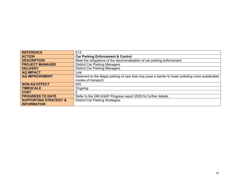| <b>REFERENCE</b>                 | E <sub>12</sub>                                                                                      |
|----------------------------------|------------------------------------------------------------------------------------------------------|
| <b>ACTION</b>                    | <b>Car Parking Enforcement &amp; Control</b>                                                         |
| <b>DESCRIPTION</b>               | Meet the obligations of the decriminalisation of car parking enforcement.                            |
| <b>PROJECT MANAGER</b>           | <b>District Car Parking Managers</b>                                                                 |
| <b>DELIVERY</b>                  | <b>District Car Parking Managers</b>                                                                 |
| <b>AQ IMPACT</b>                 | Low                                                                                                  |
| <b>AQ IMPROVEMENT</b>            | Deterrent to the illegal parking of cars that may pose a barrier to lower polluting more sustainable |
|                                  | modes of transport.                                                                                  |
| <b>NON-AQ EFFECT</b>             | N/A                                                                                                  |
| <b>TIMESCALE</b>                 | Ongoing                                                                                              |
| <b>COST</b>                      |                                                                                                      |
| <b>PROGRESS TO DATE</b>          | Refer to the GM AQAP Progress report 2005 for further details.                                       |
| <b>SUPPORTING STRATEGY &amp;</b> | <b>District Car Parking Strategies</b>                                                               |
| <b>INFORMATION</b>               |                                                                                                      |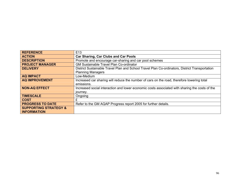| <b>REFERENCE</b>                 | E <sub>13</sub>                                                                                |
|----------------------------------|------------------------------------------------------------------------------------------------|
| <b>ACTION</b>                    | <b>Car Sharing, Car Clubs and Car Pools</b>                                                    |
| <b>DESCRIPTION</b>               | Promote and encourage car-sharing and car pool schemes                                         |
| <b>PROJECT MANAGER</b>           | <b>GM Sustainable Travel Plan Co-ordinator</b>                                                 |
| <b>DELIVERY</b>                  | District Sustainable Travel Plan and School Travel Plan Co-ordinators, District Transportation |
|                                  | <b>Planning Managers</b>                                                                       |
| <b>AQ IMPACT</b>                 | Low-Medium                                                                                     |
| <b>AQ IMPROVEMENT</b>            | Increased car sharing will reduce the number of cars on the road, therefore lowering total     |
|                                  | emissions.                                                                                     |
| <b>NON-AQ EFFECT</b>             | Increased social interaction and lower economic costs associated with sharing the costs of the |
|                                  | journey.                                                                                       |
| <b>TIMESCALE</b>                 | Ongoing                                                                                        |
| <b>COST</b>                      | £                                                                                              |
| <b>PROGRESS TO DATE</b>          | Refer to the GM AQAP Progress report 2005 for further details.                                 |
| <b>SUPPORTING STRATEGY &amp;</b> |                                                                                                |
| <b>INFORMATION</b>               |                                                                                                |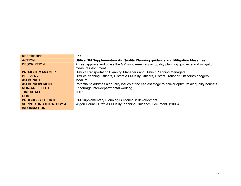| <b>REFERENCE</b>                 | E <sub>14</sub>                                                                                        |
|----------------------------------|--------------------------------------------------------------------------------------------------------|
| <b>ACTION</b>                    | Utilise GM Supplementary Air Quality Planning guidance and Mitigation Measures                         |
| <b>DESCRIPTION</b>               | Agree, approve and utilise the GM supplementary air quality planning guidance and mitigation           |
|                                  | measures document.                                                                                     |
| <b>PROJECT MANAGER</b>           | District Transportation Planning Managers and District Planning Managers                               |
| <b>DELIVERY</b>                  | District Planning Officers, District Air Quality Officers, District Transport Officers/Managers        |
| <b>AQ IMPACT</b>                 | <b>Medium</b>                                                                                          |
| <b>AQ IMPROVEMENT</b>            | Potential to address air quality issues at the earliest stage to deliver optimum air quality benefits. |
| <b>NON-AQ EFFECT</b>             | Encourage inter-departmental working                                                                   |
| <b>TIMESCALE</b>                 | 2007                                                                                                   |
| <b>COST</b>                      | £                                                                                                      |
| <b>PROGRESS TO DATE</b>          | GM Supplementary Planning Guidance in development                                                      |
| <b>SUPPORTING STRATEGY &amp;</b> | Wigan Council Draft Air Quality Planning Guidance Document" (2005)                                     |
| <b>INFORMATION</b>               |                                                                                                        |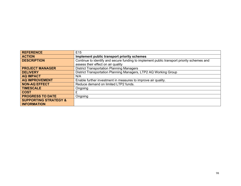| <b>REFERENCE</b>                 | E <sub>15</sub>                                                                            |
|----------------------------------|--------------------------------------------------------------------------------------------|
| <b>ACTION</b>                    | Implement public transport priority schemes                                                |
| <b>DESCRIPTION</b>               | Continue to identify and secure funding to implement public transport priority schemes and |
|                                  | assess their effect on air quality                                                         |
| <b>PROJECT MANAGER</b>           | <b>District Transportation Planning Managers</b>                                           |
| <b>DELIVERY</b>                  | District Transportation Planning Managers, LTP2 AQ Working Group                           |
| <b>AQ IMPACT</b>                 | N/A                                                                                        |
| <b>AQ IMPROVEMENT</b>            | Enable further investment in measures to improve air quality.                              |
| <b>NON-AQ EFFECT</b>             | Reduce demand on limited LTP2 funds.                                                       |
| <b>TIMESCALE</b>                 | Ongoing                                                                                    |
| <b>COST</b>                      | £                                                                                          |
| <b>PROGRESS TO DATE</b>          | Ongoing                                                                                    |
| <b>SUPPORTING STRATEGY &amp;</b> |                                                                                            |
| <b>INFORMATION</b>               |                                                                                            |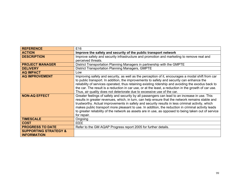| <b>REFERENCE</b>                 | E16                                                                                                   |  |
|----------------------------------|-------------------------------------------------------------------------------------------------------|--|
| <b>ACTION</b>                    | Improve the safety and security of the public transport network                                       |  |
| <b>DESCRIPTION</b>               | Improve safety and security infrastructure and promotion and marketing to remove real and             |  |
|                                  | perceived threats.                                                                                    |  |
| <b>PROJECT MANAGER</b>           | District Transportation Planning Managers in partnership with the GMPTE                               |  |
| <b>DELIVERY</b>                  | <b>District Transportation Planning Managers, GMPTE</b>                                               |  |
| <b>AQ IMPACT</b>                 | Low                                                                                                   |  |
| <b>AQ IMPROVEMENT</b>            | Improving safety and security, as well as the perception of it, encourages a modal shift from car     |  |
|                                  | to public transport. In addition, the improvements to safety and security can enhance the             |  |
|                                  | reliability of services operated, thus retaining existing ridership and avoiding the exodus back to   |  |
|                                  | the car. The result is a reduction in car use, or at the least, a reduction in the growth of car use. |  |
|                                  | Thus, air quality does not deteriorate due to excessive use of the car.                               |  |
| <b>NON-AQ EFFECT</b>             | Greater feelings of safety and security by all passengers can lead to an increase in use. This        |  |
|                                  | results in greater revenues, which, in turn, can help ensure that the network remains stable and      |  |
|                                  | trustworthy. Actual improvements in safety and security results in less criminal activity, which      |  |
|                                  | makes public transport more pleasant to use. In addition, the reduction in criminal activity leads    |  |
|                                  | to greater reliability of the network as assets are in use, as opposed to being taken out of service  |  |
|                                  | for repair.                                                                                           |  |
| <b>TIMESCALE</b>                 | Ongoing                                                                                               |  |
| <b>COST</b>                      | <b>EEEE</b>                                                                                           |  |
| <b>PROGRESS TO DATE</b>          | Refer to the GM AQAP Progress report 2005 for further details.                                        |  |
| <b>SUPPORTING STRATEGY &amp;</b> |                                                                                                       |  |
| <b>INFORMATION</b>               |                                                                                                       |  |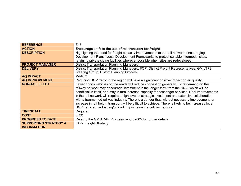| <b>REFERENCE</b>                 | E <sub>17</sub>                                                                                        |  |
|----------------------------------|--------------------------------------------------------------------------------------------------------|--|
| <b>ACTION</b>                    | Encourage shift to the use of rail transport for freight                                               |  |
| <b>DESCRIPTION</b>               | Highlighting the need for freight capacity improvements to the rail network, encouraging               |  |
|                                  | Development Plans/ Local Development Frameworks to protect suitable intermodal sites,                  |  |
|                                  | retaining private siding facilities wherever possible when sites are redeveloped.                      |  |
| <b>PROJECT MANAGER</b>           | <b>District Transportation Planning Managers</b>                                                       |  |
| <b>DELIVERY</b>                  | District Transportation Planning Managers, FQP, District Freight Representatives, GM LTP2              |  |
|                                  | Steering Group, District Planning Officers                                                             |  |
| <b>AQ IMPACT</b>                 | Medium                                                                                                 |  |
| <b>AQ IMPROVEMENT</b>            | Reducing HGV traffic in the region will have a significant positive impact on air quality.             |  |
| <b>NON-AQ EFFECT</b>             | Fewer goods vehicles on the roads will reduce congestion generally. Extra demand on the                |  |
|                                  | railway network may encourage investment in the longer term from the SRA, which will be                |  |
|                                  | beneficial in itself, and may in turn increase capacity for passenger services. Real improvements      |  |
|                                  | in the rail network will require a high level of strategic investment and extensive collaboration      |  |
|                                  | with a fragmented railway industry. There is a danger that, without necessary improvement, an          |  |
|                                  | increase in rail freight transport will be difficult to achieve. There is likely to be increased local |  |
|                                  | HGV traffic at the loading/unloading points on the railway network.                                    |  |
| <b>TIMESCALE</b>                 | Ongoing                                                                                                |  |
| <b>COST</b>                      | <b>EEEE</b>                                                                                            |  |
| <b>PROGRESS TO DATE</b>          | Refer to the GM AQAP Progress report 2005 for further details.                                         |  |
| <b>SUPPORTING STRATEGY &amp;</b> | <b>LTP2 Freight Strategy</b>                                                                           |  |
| <b>INFORMATION</b>               |                                                                                                        |  |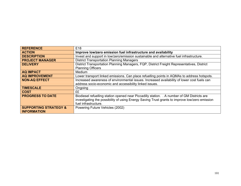| <b>REFERENCE</b>                 | E <sub>18</sub>                                                                                |
|----------------------------------|------------------------------------------------------------------------------------------------|
| <b>ACTION</b>                    | Improve low/zero emission fuel infrastructure and availability                                 |
| <b>DESCRIPTION</b>               | Invest and support in low/zero/emission sustainable and alternative fuel infrastructure.       |
| <b>PROJECT MANAGER</b>           | <b>District Transportation Planning Managers</b>                                               |
| <b>DELIVERY</b>                  | District Transportation Planning Managers, FQP, District Freight Representatives, District     |
|                                  | <b>Planning Officers</b>                                                                       |
| <b>AQ IMPACT</b>                 | <b>Medium</b>                                                                                  |
| <b>AQ IMPROVEMENT</b>            | Lower transport linked emissions. Can place refuelling points in AQMAs to address hotspots.    |
| <b>NON-AQ EFFECT</b>             | Increased awareness of environmental issues. Increased availability of lower cost fuels can    |
|                                  | address socio-economic and accessibility linked issues.                                        |
| <b>TIMESCALE</b>                 | Ongoing                                                                                        |
| <b>COST</b>                      | ££                                                                                             |
| <b>PROGRESS TO DATE</b>          | Biodiesel refuelling station opened near Piccadilly station. . A number of GM Districts are    |
|                                  | investigating the possibility of using Energy Saving Trust grants to improve low/zero emission |
|                                  | fuel infrastructure.                                                                           |
| <b>SUPPORTING STRATEGY &amp;</b> | Powering Future Vehicles (2002)                                                                |
| <b>INFORMATION</b>               |                                                                                                |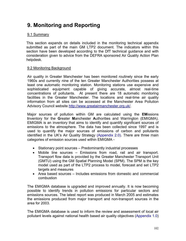## **9. Monitoring and Reporting**

### 9.1 Summary

This section expands on details included in the monitoring technical appendix submitted as part of the main GM LTP2 document. The indicators within this section have been developed according to the DfT technical guidance and with consideration given to advice from the DEFRA sponsored Air Quality Action Plan helpdesk.

### 9.2 Monitoring Background

Air quality in Greater Manchester has been monitored routinely since the early 1960s and currently nine of the ten Greater Manchester Authorities possess at least one automatic monitoring station. Monitoring stations use expensive and sophisticated equipment capable of giving accurate, almost real-time concentrations of pollutants. At present there are 18 automatic monitoring facilities in the Greater Manchester. The locations and real-time air quality information from all sites can be accessed at the Manchester Area Pollution Advisory Council website http://www.greatairmanchester.org.uk/.

Major sources of pollution within GM are calculated using the **EM**issions **I**nventory for the **G**reater **M**anchester **A**uthorities and Warrington (EMIGMA). EMIGMA is an inventory that aims to identify and quantify significant sources of emissions to the atmosphere. The data has been collected since 1997 and is used to quantify the major sources of emissions of carbon and pollutants identified in the UK's Air Quality Strategy (Appendix 2.0). There are three main categories of emission sources used within EMIGMA -

- Stationary point sources Predominantly industrial processes
- Mobile line sources Emissions from road, rail and air transport. Transport flow data is provided by the Greater Manchester Transport Unit (GMTU) using the GM Spatial Planning Model (SPM). The SPM is the key model used as part of the LTP2 process to model, forecast and set LTP2 targets and measures
- Area based sources Includes emissions from domestic and commercial combustion

The EMIGMA database is upgraded and improved annually. It is now becoming possible to identify trends in pollution emissions for particular sectors and emissions sources. The latest report was produced in March 2005 and estimates the emissions produced from major transport and non-transport sources in the area for 2003.

The EMIGMA database is used to inform the review and assessment of local air pollutant levels against national health based air quality objectives (Appendix 1.0)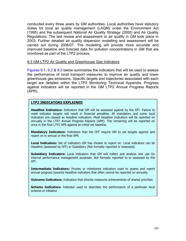conducted every three years by GM authorities. Local authorities have statutory duties for local air quality management (LAQM) under the Environment Act (1995) and the subsequent National Air Quality Strategy (2000) and Air Quality Regulations. The last review and assessment or air quality in GM took place in 2003. Further detailed air quality dispersion modelling and assessment will be carried out during 2006/07. The modelling will provide more accurate and improved baseline and forecast data for pollution concentrations in GM that are monitored as part of the LTP2 process.

#### 9.3 GM LTP2 Air Quality and Greenhouse Gas Indicators

Figures 9.1, 9.2 & 9.3 below summarise the indicators that will be used to assess the performance of local transport measures to improve air quality and lower greenhouse gas emissions. Specific targets and trajectories associated with each target are detailed within the LTP2 Monitoring Technical Appendix. Progress against indicators will be reported in the GM LTP2 Annual Progress Reports (APR).

#### **LTP2 INDICATORS EXPLAINED**

**Headline Indicators:** Indicators that GM will be assessed against by the DfT. Failure to meet indicator targets will result in financial penalties. All mandatory and some local indicators are classed as headline indicators. Most Headline Indicators will be reported on annually in the LTP2 Annual Progress Reports (APR). The remaining will be reported on once in the final LTP2 APR against an initial set baseline.

**Mandatory Indicators:** Indicators that the DfT require GM to set targets against and report on in annual or the final APR.

**Local Indicators:** Set of indicators GM has chosen to report on. Local indicators can be Headline (assessed by DfT) or Subsidiary (Not formally reported or assessed).

**Subsidiary Indicators:** Local indicators that GM will collect and analyse and use for internal performance management purposes. Not formally reported to or assessed by the DfT.

**Intermediate Indicators:** Proxies or milestones indicators used to assess and report annual progress towards Headline indicators that often cannot be reported on annually.

**Outcome Indicators:** Indicators that directly measures achievements of shared priorities

**Scheme Indicators:** Indicator used to describes the performance of a particular local scheme or initiative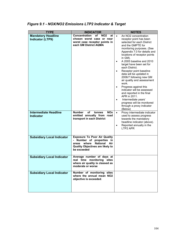| <b>TYPE</b>                                          | <b>INDICATOR</b>                                                                                                                                                | <b>NOTES</b>                                                                                                                                                                                                                                                                                                                                                                                                                                                                                                                                                                                                                                                                               |
|------------------------------------------------------|-----------------------------------------------------------------------------------------------------------------------------------------------------------------|--------------------------------------------------------------------------------------------------------------------------------------------------------------------------------------------------------------------------------------------------------------------------------------------------------------------------------------------------------------------------------------------------------------------------------------------------------------------------------------------------------------------------------------------------------------------------------------------------------------------------------------------------------------------------------------------|
| <b>Mandatory Headline</b><br><b>Indicator (LTP9)</b> | Concentration<br>οf<br>NO <sub>2</sub><br>at<br>chosen worst case or near<br>worst case receptor points in<br>each GM District AQMA                             | An NO <sub>2</sub> concentration<br>$\bullet$<br>receptor point has been<br>selected for each District<br>and the GMPTE for<br>monitoring purposes. (See<br>Appendix 7.0 for details and<br>locations of receptor points<br>in GM).<br>A 2005 baseline and 2010<br>$\bullet$<br>target have been set for<br>each District.<br>Receptor point baseline<br>$\bullet$<br>data will be updated in<br>2006/7 following new GM<br>air quality and assessment<br>work.<br>Progress against this<br>$\bullet$<br>indicator will be assessed<br>and reported in the final<br>APR in 2011.<br>Intermediate years'<br>$\bullet$<br>progress will be monitored<br>through a proxy indicator<br>(Below) |
| <b>Intermediate Headline</b><br><b>Indicator</b>     | <b>Number</b><br><b>NOx</b><br>of<br>tonnes<br>emitted annually from road<br>transport in each District                                                         | Proxy intermediate indicator<br>$\bullet$<br>used to assess progress<br>towards the mandatory<br>headline indicator (above).<br>Reported annually in the<br>$\bullet$<br>LTP2 APR                                                                                                                                                                                                                                                                                                                                                                                                                                                                                                          |
| <b>Subsidiary Local Indicator</b>                    | <b>Exposure To Poor Air Quality</b><br>- Number of properties in<br><b>National</b><br>Air<br>where<br>areas<br>Quality Objectives are likely to<br>be exceeded |                                                                                                                                                                                                                                                                                                                                                                                                                                                                                                                                                                                                                                                                                            |
| <b>Subsidiary Local Indicator</b>                    | Average number of days at<br>real time monitoring sites<br>where air quality is classed as<br>moderate or worse                                                 |                                                                                                                                                                                                                                                                                                                                                                                                                                                                                                                                                                                                                                                                                            |
| <b>Subsidiary Local Indicator</b>                    | Number of monitoring sites<br>where the annual mean NO2<br>objective is exceeded.                                                                               |                                                                                                                                                                                                                                                                                                                                                                                                                                                                                                                                                                                                                                                                                            |

## *Figure 9.1 - NOX/NO2 Emissions LTP2 Indicator & Target*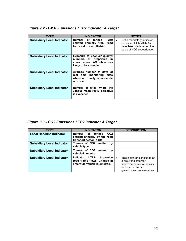| <b>TYPE</b>                       | <b>INDICATOR</b>                                                                                                 | <b>NOTES</b>                                                                                                            |
|-----------------------------------|------------------------------------------------------------------------------------------------------------------|-------------------------------------------------------------------------------------------------------------------------|
| <b>Subsidiary Local Indicator</b> | Number of<br>PM10<br>tonnes<br>emitted annually from road<br>transport in each District                          | Not a mandatory indicator<br>$\bullet$<br>because all GM AOMAs<br>have been declared on the<br>basis of NO2 exceedance. |
| <b>Subsidiary Local Indicator</b> | Exposure to poor air quality:<br>numbers of properties in<br>areas where AQ objectives<br>likely to be exceeded. |                                                                                                                         |
| <b>Subsidiary Local Indicator</b> | Average number of days at<br>real time monitoring sites<br>where air quality is moderate<br>or worse.            |                                                                                                                         |
| <b>Subsidiary Local Indicator</b> | Number of sites where the<br>24hour mean PM10 objective<br>is exceeded.                                          |                                                                                                                         |

### *Figure 9.2 - PM10 Emissions LTP2 Indicator & Target*

*Figure 9.3 - CO2 Emissions LTP2 Indicator & Target*

| <b>TYPE</b>                       | <b>INDICATOR</b>                                                                                           | <b>DESCRIPTION</b>                                                                                                                                    |
|-----------------------------------|------------------------------------------------------------------------------------------------------------|-------------------------------------------------------------------------------------------------------------------------------------------------------|
| <b>Local Headline Indicator</b>   | <b>Number</b><br>CO <sub>2</sub><br>of<br>tonnes<br>emitted annually by the road<br>transport sector in GM |                                                                                                                                                       |
| <b>Subsidiary Local Indicator</b> | Tonnes of CO2 emitted<br>bv<br>vehicle type                                                                |                                                                                                                                                       |
| <b>Subsidiary Local Indicator</b> | Tonnes of CO2 emitted<br>bv<br>vehicle-kilometre.                                                          |                                                                                                                                                       |
| <b>Subsidiary Local Indicator</b> | Indicator LTP2:<br>Area-wide<br>road traffic flows. Change in<br>area wide vehicle kilometres.             | This indicator is included as<br>$\bullet$<br>a proxy indicator for<br>improvements in air quality<br>and a reduction in<br>greenhouse gas emissions. |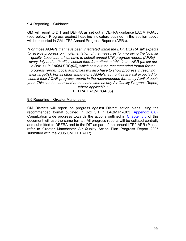#### 9.4 Reporting – Guidance

GM will report to DfT and DEFRA as set out in DEFRA guidance LAQM PGA05 (see below). Progress against headline indicators outlined in the section above will be reported in GM LTP2 Annual Progress Reports (APRs).

*"For those AQAPs that have been integrated within the LTP, DEFRA still expects to receive progress on implementation of the measures for improving the local air quality. Local authorities have to submit annual LTP progress reports (APRs) every July and authorities should therefore attach a table in the APR (as set out in Box 3.1 in LAQM.PRG(03), which sets out the recommended format for the progress report). Local authorities will also have to show progress in reaching their target(s). For all other stand-alone AQAPs, authorities are still expected to submit their AQAP progress reports in the recommended format by April of each year. This can be submitted at the same time as any Air Quality Progress Report, where applicable."* 

DEFRA, LAQM.PGA(05)

#### 9.5 Reporting – Greater Manchester

GM Districts will report on progress against District action plans using the recommended format outlined in Box 3.1 in LAQM.PRG03 (Appendix 8.0). Conurbation wide progress towards the actions outlined in Chapter 8.0 of this document will use the same format. All progress reports will be collated centrally and submitted to DEFRA and to the DfT as part of the annual LTP2 APR (Please refer to Greater Manchester Air Quality Action Plan Progress Report 2005 submitted with the 2005 GMLTP1 APR).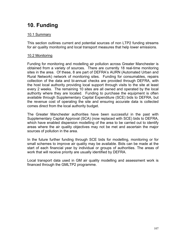# **10. Funding**

### 10.1 Summary

This section outlines current and potential sources of non LTP2 funding streams for air quality monitoring and local transport measures that help lower emissions.

### 10.2 Monitoring

Funding for monitoring and modelling air pollution across Greater Manchester is obtained from a variety of sources. There are currently 18 real-time monitoring sites in the area. Of these, 8 are part of DEFRA's AURN (Automated Urban and Rural Network) network of monitoring sites. Funding for consumables, repairs collection of the data and bi-annual checks are provided through DEFRA, with the host local authority providing local support through visits to the site at least every 2 weeks. The remaining 10 sites are all owned and operated by the local authority where they are located. Funding to purchase the equipment is often available through Supplementary Capital Expenditure (SCE) bids to DEFRA, but the revenue cost of operating the site and ensuring accurate data is collected comes direct from the local authority budget.

The Greater Manchester authorities have been successful in the past with Supplementary Capital Approval (SCA) (now replaced with SCE) bids to DEFRA, which have enabled dispersion modelling of the area to be carried out to identify areas where the air quality objectives may not be met and ascertain the major sources of pollution in the area.

In the future further funding through SCE bids for modelling, monitoring or for small schemes to improve air quality may be available. Bids can be made at the start of each financial year by individual or groups of authorities. The areas of work that will receive priority are usually identified by DEFRA.

Local transport data used in GM air quality modelling and assessment work is financed through the GMLTP2 programme.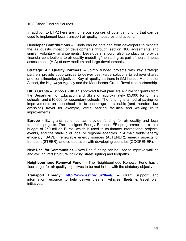#### 10.3 Other Funding Sources

In addition to LTP2 here are numerous sources of potential funding that can be used to implement local transport air quality measures and actions.

**Developer Contributions –** Funds can be obtained from developers to mitigate the air quality impact of developments through section 106 agreements and similar voluntary arrangements. Developers should also conduct or provide financial contributions to air quality modelling/monitoring as part of health impact assessments (HIA) of new medium and large developments.

**Strategic Air Quality Partners –** Jointly funded projects with key strategic partners provide opportunities to deliver best value solutions to achieve shared and complimentary objectives. Key air quality partners in GM include Manchester Airport, the Highways Agency and the Manchester Green Revolution partnership.

**DfES Grants –** Schools with an approved travel plan are eligible for grants from the Department of Education and Skills of approximately £5,000 for primary schools, and £10,000 for secondary schools. The funding is aimed at paying for improvements on the school site to encourage sustainable (and therefore low emission) travel for example, cycle parking facilities and walking route improvements.

**Europe -** EU grants schemes can provide funding for air quality and local transport projects. The Intelligent Energy Europe (IEE) programme has a total budget of 250 million Euros, which is used to co-finance international projects, events, and the start-up of local or regional agencies in 4 main fields: energy efficiency (SAVE); renewable energy sources (ALTENER); energy aspects of transport (STEER); and co-operation with developing countries (COOPENER).

**New Deal for Communities –** New Deal funding can be used to improve walking and cycling infrastructure including street lighting and footpaths.

**Neighbourhood Renewal Fund —** The Neighbourhood Renewal Fund has a floor target for air quality objectives to be met in line with the statutory objectives.

**Transport Energy (http://www.est.org.uk/fleet/) –** Grant support and information resource to help deliver cleaner vehicles, fleets & travel plan initiatives.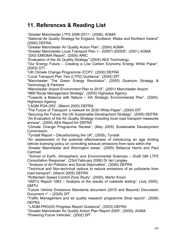# **11. References & Reading List**

"Greater Manchester LTP2 2006-2011", (2006), AGMA

"National Air Quality Strategy for England, Scotland, Wales and Northern Ireland" (2000) DEFRA

"Greater Manchester Air Quality Action Plan", (2004) AGMA

"Greater Manchester Local Transport Plan 1 - 2000/1-2005/6", (2001) AGMA "2003 EMIGMA Report", (2005) ARIC

"Evaluation of the Air Quality Strategy" (2004) AEA Technology

"Our Energy Future – Creating a Low Carbon Economy Energy White Paper", (2003) DTI

"UK Climate Change Programme (CCP)", (2000) DEFRA

"Local Transport Plan Two (LTP2) Guidance", (2004) DfT

"Manchester: The Green Energy Revolution", (2005) Quantum Strategy & Technology & Partners

"Manchester Airport Environment Plan to 2015", (2001) Manchester Airport "M60 Route Management Strategy", (2005) Highways Agency

"Towards a Balance with Nature – HA Strategic Environmental Plan", (2000), Highways Agency

"LAQM PGA (05)", (March 2005) DEFRA

"The Future of Transport: a network for 2030 White Paper", (2004) DfT

"Securing the Future, the UK Sustainable Development Strategy", (2005) DEFRA "An Evaluation of the Air Quality Strategy including local road transport measures annexe", (2004) AEA Report for DEFRA

"Climate Change Programme Review", (May 2005) Sustainable Development Commission

"Tyndall Report – Decarbonising the UK", (2005), Tyndall

"An assessment of the potential effectiveness of introducing an age limiting vehicle licensing policy on controlling exhaust emissions from taxis within the

 Greater Manchester and Warrington areas", (2005) Rebecca Harris and Paul Cartmell

 "School of Earth, Atmospheric and Environmental Sciences – Draft GM LTP2 Consultation Response", (23rd February 2006) Dr Ian Langley

"Analysis of Air Pollution and Social Deprivation", (2000) DEFRA

"Technical and Non-technical options to reduce emissions of air pollutants from road transport", (March 2005) DEFRA

"Rotterdam Speed Control Zone Study", (2005), Martin Kroon

"GMTU Report 1063 – Analysis of the results of roadside testing", (July 2005), GMTU

"Future Vehicle Emissions Standards document (2010 and Beyond) Discussion Document = $" - (2005)$  DfT

"Traffic Management and air quality research programme (final report)", (2006) DEFRA

"LAQM.PRG(03) Progress Report Guidance", (2003) DEFRA

"Greater Manchester Air Quality Action Plan Report 2005", (2005), AGMA

"Powering Future Vehicles", (2002) DfT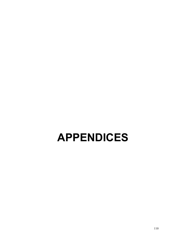# **APPENDICES**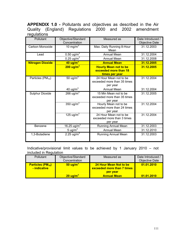**APPENDIX 1.0 -** Pollutants and objectives as described in the Air Quality (England) Regulations 2000 and 2002 amendment regulations

| Pollutant               | Objective/Standard<br>Concentration   | Measured as                                                       | Date Introduced /<br>Objective Date |
|-------------------------|---------------------------------------|-------------------------------------------------------------------|-------------------------------------|
| Carbon Monoxide         | 10 mg/m $3$                           | Max. Daily Running 8-Hour<br>Mean                                 | 31.12.2003                          |
| Lead                    | 0.50 $ug/m3$                          | <b>Annual Mean</b>                                                | 31.12.2004                          |
|                         | 0.25 $ug/m3$                          | <b>Annual Mean</b>                                                | 31.12.2008                          |
| <b>Nitrogen Dioxide</b> | 40 ug/m <sup>3</sup>                  | <b>Annual Mean</b>                                                | 31.12.2005                          |
|                         | $200 \text{ ug/m}^3$                  | <b>Hourly Mean not to be</b>                                      | 31.12.2005                          |
|                         |                                       | exceeded more than 18<br>times per year                           |                                     |
| Particles $(PM_{10})$   | 50 $\mu\overline{g/m}^3$              | 24 Hour Mean not to be<br>exceeded more than 35 times<br>per year | 31.12.2004                          |
|                         | 40 ug/m <sup>3</sup>                  | <b>Annual Mean</b>                                                | 31.12.2004                          |
| <b>Sulphur Dioxide</b>  | $266 \overline{u}$                    | 15 Min Mean not to be<br>exceeded more than 35 times<br>per year  | 31.12.2005                          |
|                         | 350 ug/m <sup>3</sup>                 | Hourly Mean not to be<br>exceeded more than 24 times<br>per year  | 31.12.2004                          |
|                         | 125 ug/m <sup>3</sup>                 | 24 Hour Mean not to be<br>exceeded more than 3 times<br>per year  | 31.12.2004                          |
| Benzene                 | 16.25 $\overline{u}$ g/m <sup>3</sup> | Running Annual Mean                                               | 31.12.2003                          |
|                         | $5 \text{ ug/m}^3$                    | <b>Annual Mean</b>                                                | 31.12.2010                          |
| 1,3-Butadiene           | $2.25 \text{ u} \text{g/m}^3$         | Running Annual Mean                                               | 31.12.2003                          |

Indicative/provisional limit values to be achieved by 1 January 2010 – not included in Regulation

| <b>Pollutant</b>                               | Objective/Standard<br>Concentration | Measured as                                                      | Date Introduced /<br>Objective Date |
|------------------------------------------------|-------------------------------------|------------------------------------------------------------------|-------------------------------------|
| <b>Particles (PM10)</b><br><u>- indicative</u> | $50 \text{ u}$ g/m <sup>3</sup>     | 24 Hour Mean Not to be<br>exceeded more than 7 times<br>per vear | 01.01.2010                          |
|                                                | $20 \text{ u}$ g/m <sup>3</sup>     | <b>Annual Mean</b>                                               | 01.01.2010                          |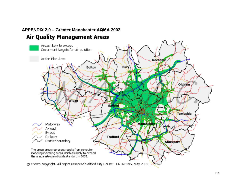# **APPENDIX 2.0 – Greater Manchester AQMA 2002Air Quality Management Areas**

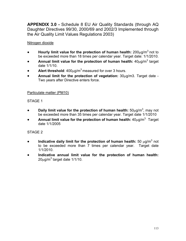**APPENDIX 3.0 -** Schedule 8 EU Air Quality Standards (through AQ Daughter Directives 99/30, 2000/69 and 2002/3 Implemented through the Air Quality Limit Values Regulations 2003)

#### Nitrogen dioxide

- **Hourly limit value for the protection of human health:** 200µg/m3 not to be exceeded more than 18 times per calendar year. Target date: 1/1/2010.
- **Annual limit value for the protection of human health:**  $40\mu$ g/m<sup>3</sup> target date 1/1/10.
- **Alert threshold:**  $400\mu$ g/m<sup>3</sup> measured for over 3 hours.
- **Annual limit for the protection of vegetation:** 30µg/m3. Target date Two years after Directive enters force.

#### Particulate matter (PM10)

#### STAGE 1

- Daily limit value for the protection of human health: 50μg/m<sup>3</sup>, may not be exceeded more than 35 times per calendar year. Target date 1/1/2010
- **Annual limit value for the protection of human health:** 40µg/m3. Target date 1/1/2005

#### STAGE 2

- Indicative daily limit for the protection of human health: 50  $\mu$ g/m<sup>3</sup> not to be exceeded more than 7 times per calendar year. Target date 1/1/2010.
- **Indicative annual limit value for the protection of human health:**   $20 \mu$ g/m $^3$  target date 1/1/10.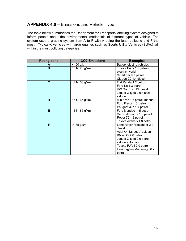## **APPENDIX 4.0 –** Emissions and Vehicle Type

The table below summarises the Department for Transports labelling system designed to inform people about the environmental credentials of different types of vehicle. The system uses a grading system from A to F with A being the least polluting and F the most. Typically, vehicles with large engines such as Sports Utility Vehicles (SUVs) fall within the most polluting categories.

| <b>Rating band</b> | <b>CO2 Emissions</b> | <b>Examples</b>                                                                                                                                                                                         |
|--------------------|----------------------|---------------------------------------------------------------------------------------------------------------------------------------------------------------------------------------------------------|
| A                  | $<$ 100 g/km         | Battery electric vehicles                                                                                                                                                                               |
| B                  | 101-120 g/km         | Toyota Prius 1.5 petrol-<br>electric hybrid<br>Smart car 0.7 petrol<br>Citroen C2 1.4 diesel                                                                                                            |
| C                  | 121-150 g/km         | Fiat Panda 1.2 petrol<br>Ford Ka 1.3 petrol<br>VW Golf 1.9 TDI diesel<br>Jaguar X-type 2.0 diesel<br>saloon                                                                                             |
| D                  | 151-165 g/km         | Mini One 1.6 petrol, manual<br>Ford Fiesta 1.6i petrol<br>Peugeot 307 1.4 petrol                                                                                                                        |
| Е                  | 166-185 g/km         | Ford Mondeo 1.8i petrol<br>Vauxhall Vectra 1.8 petrol<br>Rover 75 1.8 petrol<br>Toyota Avensis 1.8 petrol                                                                                               |
| F                  | >185 g/km            | Land Rover Freelander 2.0<br>diesel<br>Audi A4 1.6 petrol saloon<br>BMW X5 4.8 petrol<br>Jaguar X-type 2.0 petrol<br>saloon automatic<br>Toyota RAV4 2.0 petrol<br>Lamborghini Murcielago 6.2<br>petrol |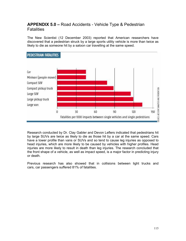## **APPENDIX 5.0 –** Road Accidents - Vehicle Type & Pedestrian **Fatalities**

The New Scientist (12 December 2003) reported that American researchers have discovered that a pedestrian struck by a large sports utility vehicle is more than twice as likely to die as someone hit by a saloon car travelling at the same speed.



Research conducted by Dr. Clay Gabler and Devon Leflers indicated that pedestrians hit by large SUVs are twice as likely to die as those hit by a car at the same speed. Cars have a lower profile than vans or SUVs and so tend to cause leg injuries as opposed to head injuries, which are more likely to be caused by vehicles with higher profiles. Head injuries are more likely to result in death than leg injuries. The research concluded that the front shape of a vehicle, as well as impact speed, is a major factor in predicting injury or death.

Previous research has also showed that in collisions between light trucks and cars, car passengers suffered 81% of fatalities.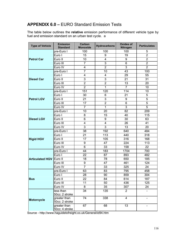## **APPENDIX 6.0 –** EURO Standard Emission Tests

The table below outlines the **relative** emission performance of different vehicle type by fuel and emission standard on an urban test cycle. a

| <b>Type of Vehicle</b>         | <b>Emission</b><br><b>Standard</b> | Carbon<br><b>Monoxide</b> | <b>Hydrocarbons</b> | <b>Oxides of</b><br>Nitrogen | <b>Particulates</b> |
|--------------------------------|------------------------------------|---------------------------|---------------------|------------------------------|---------------------|
|                                | pre-Euro I                         | 100                       | 100                 | 100                          | 5                   |
| <b>Petrol Car</b>              | Euro I                             | 15                        | 9                   | 19                           | $\overline{2}$      |
|                                | Euro II                            | 10                        | 4                   | 9                            | $\overline{2}$      |
|                                | Euro III                           | $\overline{7}$            | 3                   | 6                            | $\overline{2}$      |
|                                | Euro IV                            | 4                         | $\overline{2}$      | 3                            | $\overline{2}$      |
|                                | pre-Euro I                         | $\overline{7}$            | 10                  | 43                           | 100                 |
| <b>Diesel Car</b>              | Euro I                             | 4                         | 4                   | 29                           | 55                  |
|                                | Euro II                            | $\overline{3}$            | 3                   | 21                           | 31                  |
|                                | Euro III                           | $\overline{2}$            | $\overline{2}$      | 13                           | 20                  |
|                                | Euro IV                            | $\overline{2}$            | 1                   | $\overline{7}$               | 10                  |
|                                | pre-Euro I                         | 151                       | 120                 | 114                          | 10                  |
|                                | Euro I                             | 30                        | 6                   | 21                           | 5                   |
| <b>Petrol LGV</b>              | Euro II                            | 21                        | 3                   | 9                            | 5                   |
|                                | Euro III                           | 17                        | $\overline{2}$      | 6                            | 5                   |
|                                | Euro IV                            | $\overline{7}$            | $\mathbf{1}$        | 3                            | 5                   |
|                                | pre-Euro I                         | 10                        | 20                  | 82                           | 209                 |
|                                | Euro I                             | 8                         | 15                  | 40                           | 115                 |
| <b>Diesel LGV</b>              | Euro II                            | 6                         | 9                   | 30                           | 63                  |
|                                | Euro III                           | 4                         | 4                   | 26                           | 41                  |
|                                | Euro IV                            | 3                         | 3                   | 13                           | 20                  |
|                                | pre-Euro I                         | 38                        | 192                 | 640                          | 484                 |
|                                | Euro I                             | 21                        | 113                 | 440                          | 318                 |
| <b>Rigid HGV</b>               | Euro II                            | 17                        | 105                 | 316                          | 168                 |
|                                | Euro III                           | 9                         | 47                  | 224                          | 113                 |
|                                | Euro IV                            | 6                         | 33                  | 158                          | 22                  |
|                                | pre-Euro I                         | 44                        | 183                 | 1704                         | 700                 |
|                                | Euro I                             | 22                        | 87                  | 893                          | 482                 |
| <b>Articulated HGV Euro II</b> |                                    | 18                        | 78                  | 650                          | 185                 |
|                                | Euro III                           | 9                         | 47                  | 461                          | 124                 |
|                                | Euro IV                            | $\overline{7}$            | 33                  | 325                          | 24                  |
|                                | pre-Euro I                         | 63                        | 83                  | 795                          | 458                 |
|                                | Euro I                             | 28                        | 90                  | 859                          | 304                 |
| <b>Bus</b>                     | Euro II                            | 22                        | 84                  | 614                          | 187                 |
|                                | Euro III                           | 11                        | 50                  | 436                          | 125                 |
|                                | Euro IV                            | 8                         | 35                  | 307                          | 24                  |
|                                | less than                          | 34                        | 135                 | $\overline{2}$               |                     |
|                                | 50cc: 2 stroke                     |                           |                     |                              |                     |
| Motorcycle                     | greater than                       | 74                        | 338                 | $\overline{4}$               |                     |
|                                | 50cc: 2 stroke                     |                           |                     |                              |                     |
|                                | greater than<br>50cc: 4 stroke     | 67                        | 68                  | 13                           |                     |

Source - http://www.haguidetofreight.co.uk/General/id94.htm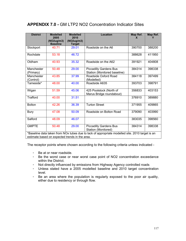## **APPENDIX 7.0 -** GM LTP2 NO2 Concentration Indicator Sites

| <b>District</b>                                | <b>Modelled</b><br>2005<br>(NO2ug/m3)<br><b>Baseline</b> | <b>Modelled</b><br>2010<br>(NO2ug/m3)<br><b>Target</b> | <b>Location</b>                                                                                 | Map Ref.<br>X | Map Ref. |
|------------------------------------------------|----------------------------------------------------------|--------------------------------------------------------|-------------------------------------------------------------------------------------------------|---------------|----------|
| Stockport                                      | 40.71                                                    | 29.01                                                  | Roadside on the A6                                                                              | 390700        | 388200   |
| Rochdale                                       | 53.18                                                    | 46.72                                                  |                                                                                                 | 388628        | 411950   |
| Oldham                                         | 40.93                                                    | 35.32                                                  | Roadside on the A62                                                                             | 391921        | 404808   |
| Manchester<br>(Primary)                        | 50.48                                                    | 29.00                                                  | <b>Piccadilly Gardens Bus</b><br>Station (Monitored baseline)                                   | 384314        | 398338   |
| Manchester<br>(Control)                        | 43.85                                                    | 37.99                                                  | Roadside Oxford Road<br>(Modelled)                                                              | 384118        | 397499   |
| Tameside*                                      | 48.00                                                    | 40.00                                                  | Roadside A635                                                                                   | 393703        | 398791   |
| Wigan                                          | 51.59                                                    | 45.06                                                  | 425 Poolstock (North of<br>Marus Bridge roundabout)                                             | 356833        | 403153   |
| Trafford                                       | 40.00                                                    | 31.51                                                  |                                                                                                 | 376910        | 389880   |
| <b>Bolton</b>                                  | 42.26                                                    | 36.39                                                  | <b>Turton Street</b>                                                                            | 371955        | 409865   |
| <b>Bury</b>                                    | 47.08                                                    | 50.09                                                  | Roadside on Bolton Road                                                                         | 379090        | 403990   |
| Salford                                        | 48.09                                                    | 46.07                                                  |                                                                                                 | 383035        | 398560   |
| <b>GMPTE</b>                                   | 50.48                                                    | 29.00                                                  | <b>Piccadilly Gardens Bus</b><br>Station (Monitored)                                            | 384314        | 398338   |
| estimate based on expected trends in the area. |                                                          |                                                        | *Baseline data taken from NOx tubes due to lack of appropriate modelled site. 2010 target is an |               |          |

The receptor points where chosen according to the following criteria unless indicated -

- Be at or near roadside.
- Be the worst case or near worst case point of NO2 concentration exceedance within the District.
- Not directly influenced by emissions from Highway Agency controlled roads
- Unless stated have a 2005 modelled baseline and 2010 target concentration level.
- Be an area where the population is regularly exposed to the poor air quality, either due to residency or through flow.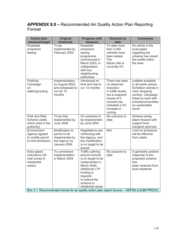# **APPENDIX 8.0 –** Recommended Air Quality Action Plan Reporting Format

| <b>Action plan</b><br>measure/target                                   | <b>Original</b><br>timescale                                                       | <b>Progress with</b><br>measure                                                                                                                                                                | <b>Outcome to</b><br>date                                                                                                                                    | <b>Comments</b>                                                                                                                                                                      |
|------------------------------------------------------------------------|------------------------------------------------------------------------------------|------------------------------------------------------------------------------------------------------------------------------------------------------------------------------------------------|--------------------------------------------------------------------------------------------------------------------------------------------------------------|--------------------------------------------------------------------------------------------------------------------------------------------------------------------------------------|
| Roadside<br>emissions<br>testing                                       | To be<br>implemented by<br>February 2003                                           | Roadside<br>emissions<br>testing<br>programme<br>commenced in<br>March 2003, in<br>collaboration<br>with four<br>neighbouring<br>authorities                                                   | To date more<br>than 2,000<br>vehicles have<br>been tested.<br><b>The</b><br>failure rate is<br>currently 4%                                                 | An article in the<br>local paper<br>regarding the<br>scheme has raised<br>the profile within<br>the area                                                                             |
| Publicity<br>Campaign<br>on<br>walking/cycling                         | Implementation<br>by August 2002,<br>and scheduled to<br>run for 12<br>months      | Introduced on<br>time and due to<br>run 12 months                                                                                                                                              | There has been<br>no observed<br>reduction<br>in traffic levels,<br>but a snapshot<br>review of 5<br>schools has<br>indicated a 5%<br>increase in<br>cycling | Leaflets available<br>in all public places.<br>Exhibition stands in<br>main shopping<br>centres. Campaign<br>linked to work with<br>schools/universities<br>on sustainable<br>travel |
| Park and Ride<br>Scheme (state<br>which area in the<br>authority)      | To be fully<br>implemented by<br><b>June 2004</b>                                  | On schedule to<br>be implemented<br>by June 2004                                                                                                                                               | No outcome to<br>date                                                                                                                                        | Scheme being<br>taken forward with<br>support from<br>transport planners                                                                                                             |
| Environment<br>Agency agreed<br>to modify permit<br>to limit emissions | Modification to<br>permit to be<br>implemented by<br>the Agency by<br>January 2004 | Negotiations are<br>continuing with<br>the Agency, and<br>the modification<br>is on target to be<br>issued                                                                                     | N/A                                                                                                                                                          | Limit on emissions<br>will be effective<br>from (date)                                                                                                                               |
| Area speed<br>reductions (20<br>mph zones in<br>residential<br>areas)  | To commence<br>implementation<br>in March 2004                                     | Traffic calming<br>around schools<br>is on target to be<br>implemented in<br>March 2004.<br><b>Additional LTP</b><br>funding is<br>required<br>to extend the<br>scheme to<br>residential areas | No outcome to<br>date                                                                                                                                        | A generally positive<br>response to the<br>proposed scheme<br>has<br>been received from<br>local residents                                                                           |
|                                                                        |                                                                                    |                                                                                                                                                                                                |                                                                                                                                                              | Box 3.1: Recommended format for air quality action plan report Source - DEFRA (LAQM.PRG03)                                                                                           |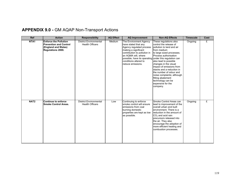# **APPENDIX 9.0 -** GM AQAP Non-Transport Actions

| <b>Ref</b>       | <b>Action</b>                                                                                             | <b>Responsibility</b>                                   | <b>AQ Effect</b> | <b>AQ Improvement</b>                                                                                                                                                                                                                                             | <b>Non-AQ Effects</b>                                                                                                                                                                                                                                                                                                                                                                             | <b>Timescale</b> | Cost |
|------------------|-----------------------------------------------------------------------------------------------------------|---------------------------------------------------------|------------------|-------------------------------------------------------------------------------------------------------------------------------------------------------------------------------------------------------------------------------------------------------------------|---------------------------------------------------------------------------------------------------------------------------------------------------------------------------------------------------------------------------------------------------------------------------------------------------------------------------------------------------------------------------------------------------|------------------|------|
| NTA1             | <b>Enforce the Pollution</b><br><b>Prevention and Control</b><br>(England and Wales)<br>Regulations 2000. | <b>District Environmental</b><br><b>Health Officers</b> | Medium           | The Environment Agency<br>have stated that any<br>Agency regulated process<br>making a significant<br>contribution to pollution in<br>an AQMA will, where<br>possible, have its operating under this regulation can<br>conditions altered to<br>reduce emissions. | These regulations also<br>control the release of<br>pollution to land and air<br>from medium<br>to large sized processes.<br>Process authorisation<br>also lead to possible<br>changes in the visual<br>impact of emissions from<br>stacks and a reduction in<br>the number of odour and<br>noise complaints; although<br>fitting abatement<br>technology can be<br>expensive for the<br>company. | Ongoing          | £    |
| NAT <sub>2</sub> | <b>Continue to enforce</b><br><b>Smoke Control Areas.</b>                                                 | <b>District Environmental</b><br><b>Health Officers</b> | Low              | Continuing to enforce<br>smoke control will ensure<br>emissions from coal<br>burning domestic<br>properties are kept as low<br>as possible.                                                                                                                       | Smoke Control Areas can<br>lead to improvement of the<br>overall urban and built<br>environment. There is a<br>reduction in the amount of<br>$CO2$ and acid rain<br>precursors released into<br>the air. They also<br>encourage the adoption of<br>more efficient heating and<br>combustion processes.                                                                                            | Ongoing          | £    |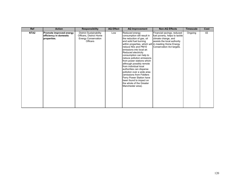| Ref              | <b>Action</b>                                                    | <b>Responsibility</b>                                                                                      | <b>AQ Effect</b> | <b>AQ Improvement</b>                                                                                                                                                                                                                                                                                                                                                                                                                                                                                                                                                            | <b>Non-AQ Effects</b>                                                                                                                          | <b>Timescale</b> | Cost |
|------------------|------------------------------------------------------------------|------------------------------------------------------------------------------------------------------------|------------------|----------------------------------------------------------------------------------------------------------------------------------------------------------------------------------------------------------------------------------------------------------------------------------------------------------------------------------------------------------------------------------------------------------------------------------------------------------------------------------------------------------------------------------------------------------------------------------|------------------------------------------------------------------------------------------------------------------------------------------------|------------------|------|
| NTA <sub>2</sub> | Promote improved energy<br>efficiency in domestic<br>properties. | <b>District Sustainability</b><br>Officers, District Home<br><b>Energy Conservation</b><br><b>Officers</b> | Low              | Reduced energy<br>consumption will result in<br>the reduction of gas, oil<br>and solid fuel burning<br>within properties, which will in meeting Home Energy<br>reduce N0x and PM10<br>emissions into local air.<br>Reduced electricity<br>consumption can help to<br>reduce pollution emissions<br>from power stations which<br>although possibly remote<br>from individual local<br>authorities can disperse<br>pollution over a wide area<br>(emissions from Fiddlers)<br>Ferry Power Station have<br>been found to impact on<br>the whole of the Greater<br>Manchester area). | Financial savings, reduced<br>fuel poverty, helps to tackle<br>climate change, and<br>assists the local authority<br>Conservation Act targets. | Ongoing          | ££   |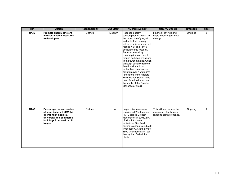| Ref              | <b>Action</b>                                                                                                                                                | <b>Responsibility</b> | <b>AQ Effect</b> | <b>AQ Improvement</b>                                                                                                                                                                                                                                                                                                                                                                                                                                                                                                                                    | <b>Non-AQ Effects</b>                                                             | <b>Timescale</b> | Cost |
|------------------|--------------------------------------------------------------------------------------------------------------------------------------------------------------|-----------------------|------------------|----------------------------------------------------------------------------------------------------------------------------------------------------------------------------------------------------------------------------------------------------------------------------------------------------------------------------------------------------------------------------------------------------------------------------------------------------------------------------------------------------------------------------------------------------------|-----------------------------------------------------------------------------------|------------------|------|
| NAT <sub>3</sub> | Promote energy efficient<br>and sustainable measures<br>to developers.                                                                                       | <b>Districts</b>      | Medium           | Reduced energy<br>consumption will result in<br>the reduction of gas, oil<br>and solid fuel burning<br>within premises, which will<br>reduce N0x and PM10<br>emissions into local air.<br>Reduced electricity<br>consumption can help to<br>reduce pollution emissions<br>from power stations, which<br>although possibly remote<br>from individual local<br>authorities can disperse<br>pollution over a wide area<br>(emissions from Fiddlers)<br>Ferry Power Station have<br>been found to impact on<br>the whole of the Greater<br>Manchester area). | Financial savings and<br>helps in tackling climate<br>change.                     | Ongoing          | £    |
| NTA <sub>3</sub> | <b>Encourage the conversion</b><br>of large boilers (>2MWth)<br>operating in hospital,<br>university and commercial<br>buildings from coal or oil<br>to gas. | <b>Districts</b>      | Low              | Large boiler emissions<br>contributed 204 tonnes of<br>PM10 across Greater<br>Manchester in 2001, 24%<br>of all point source<br>emissions. Gas fired<br>boilers release around 570<br>times less CO <sub>2</sub> and almost<br>1500 times less NOx (per<br>therm) than fuel oil fired<br>plants.                                                                                                                                                                                                                                                         | This will also reduce the<br>emissions of pollutants<br>linked to climate change. | Ongoing          | £    |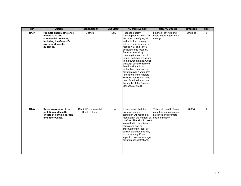| Ref  | <b>Action</b>                                                                                                                       | <b>Responsibility</b>                                   | <b>AQ Effect</b> | <b>AQ Improvement</b>                                                                                                                                                                                                                                                                                                                                                                                                                                                                                                                                    | <b>Non-AQ Effects</b>                                                                         | <b>Timescale</b> | Cost |
|------|-------------------------------------------------------------------------------------------------------------------------------------|---------------------------------------------------------|------------------|----------------------------------------------------------------------------------------------------------------------------------------------------------------------------------------------------------------------------------------------------------------------------------------------------------------------------------------------------------------------------------------------------------------------------------------------------------------------------------------------------------------------------------------------------------|-----------------------------------------------------------------------------------------------|------------------|------|
| NAT4 | Promote energy efficiency<br>in industrial and<br>commercial premises,<br>including the Council's<br>own non-domestic<br>buildings. | <b>Districts</b>                                        | Low              | Reduced energy<br>consumption will result in<br>the reduction of gas, oil<br>and solid fuel burning<br>within premises, which will<br>reduce N0x and PM10<br>emissions into local air.<br>Reduced electricity<br>consumption can help to<br>reduce pollution emissions<br>from power stations, which<br>although possibly remote<br>from individual local<br>authorities can disperse<br>pollution over a wide area<br>(emissions from Fiddlers)<br>Ferry Power Station have<br>been found to impact on<br>the whole of the Greater<br>Manchester area). | Financial savings and<br>helps in tackling climate<br>change.                                 | Ongoing          | £    |
| NTA4 | <b>Raise awareness of the</b><br>pollution and health<br>effects of burning garden<br>and other waste.                              | <b>District Environmental</b><br><b>Health Officers</b> | Low              | It is expected that the<br>awareness raising<br>campaign will result in a<br>reduction in the number of<br>bonfires. This should result<br>in a reduction in nuisance<br>complaints and an<br>improvement in local air<br>quality, although this may<br>not have a significant<br>impact on annual average<br>pollution concentrations.                                                                                                                                                                                                                  | This could lead to fewer<br>complaints about smoke<br>nuisance and promote<br>social harmony. | 2006/7           | £    |